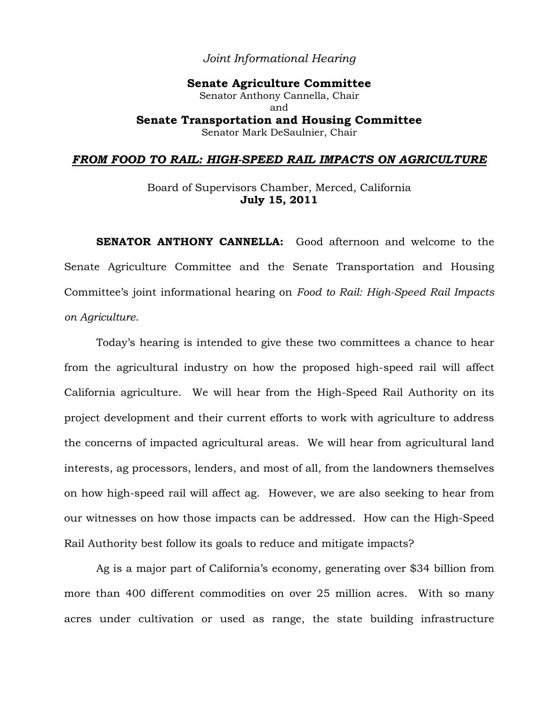## *Joint Informational Hearing*

**Senate Agriculture Committee** Senator Anthony Cannella, Chair and **Senate Transportation and Housing Committee** Senator Mark DeSaulnier, Chair

#### *FROM FOOD TO RAIL: HIGH-SPEED RAIL IMPACTS ON AGRICULTURE*

Board of Supervisors Chamber, Merced, California **July 15, 2011** 

**SENATOR ANTHONY CANNELLA:** Good afternoon and welcome to the Senate Agriculture Committee and the Senate Transportation and Housing Committee's joint informational hearing on *Food to Rail: High-Speed Rail Impacts on Agriculture*.

Today's hearing is intended to give these two committees a chance to hear from the agricultural industry on how the proposed high-speed rail will affect California agriculture. We will hear from the High-Speed Rail Authority on its project development and their current efforts to work with agriculture to address the concerns of impacted agricultural areas. We will hear from agricultural land interests, ag processors, lenders, and most of all, from the landowners themselves on how high-speed rail will affect ag. However, we are also seeking to hear from our witnesses on how those impacts can be addressed. How can the High-Speed Rail Authority best follow its goals to reduce and mitigate impacts?

Ag is a major part of California's economy, generating over \$34 billion from more than 400 different commodities on over 25 million acres. With so many acres under cultivation or used as range, the state building infrastructure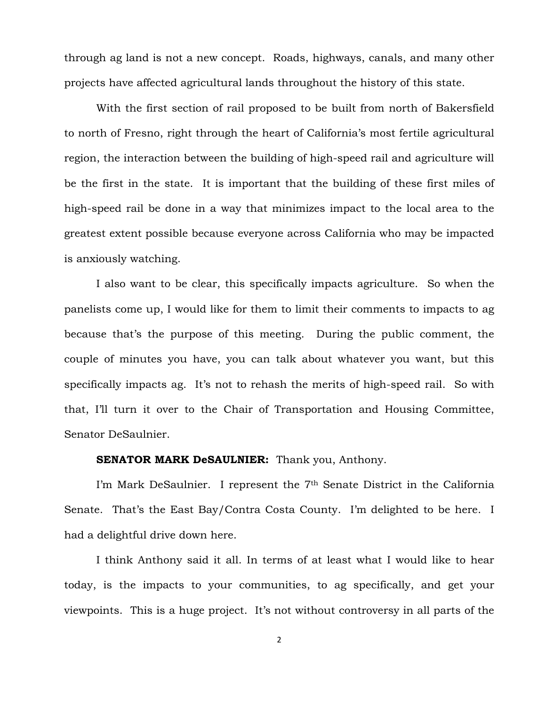through ag land is not a new concept. Roads, highways, canals, and many other projects have affected agricultural lands throughout the history of this state.

With the first section of rail proposed to be built from north of Bakersfield to north of Fresno, right through the heart of California's most fertile agricultural region, the interaction between the building of high-speed rail and agriculture will be the first in the state. It is important that the building of these first miles of high-speed rail be done in a way that minimizes impact to the local area to the greatest extent possible because everyone across California who may be impacted is anxiously watching.

I also want to be clear, this specifically impacts agriculture. So when the panelists come up, I would like for them to limit their comments to impacts to ag because that's the purpose of this meeting. During the public comment, the couple of minutes you have, you can talk about whatever you want, but this specifically impacts ag. It's not to rehash the merits of high-speed rail. So with that, I'll turn it over to the Chair of Transportation and Housing Committee, Senator DeSaulnier.

#### **SENATOR MARK DeSAULNIER:** Thank you, Anthony.

I'm Mark DeSaulnier. I represent the 7<sup>th</sup> Senate District in the California Senate. That's the East Bay/Contra Costa County. I'm delighted to be here. I had a delightful drive down here.

I think Anthony said it all. In terms of at least what I would like to hear today, is the impacts to your communities, to ag specifically, and get your viewpoints. This is a huge project. It's not without controversy in all parts of the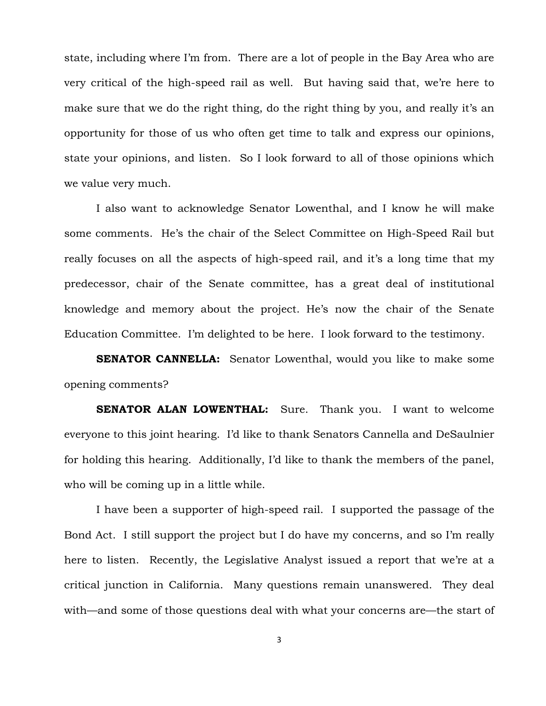state, including where I'm from. There are a lot of people in the Bay Area who are very critical of the high-speed rail as well. But having said that, we're here to make sure that we do the right thing, do the right thing by you, and really it's an opportunity for those of us who often get time to talk and express our opinions, state your opinions, and listen. So I look forward to all of those opinions which we value very much.

I also want to acknowledge Senator Lowenthal, and I know he will make some comments. He's the chair of the Select Committee on High-Speed Rail but really focuses on all the aspects of high-speed rail, and it's a long time that my predecessor, chair of the Senate committee, has a great deal of institutional knowledge and memory about the project. He's now the chair of the Senate Education Committee. I'm delighted to be here. I look forward to the testimony.

**SENATOR CANNELLA:** Senator Lowenthal, would you like to make some opening comments?

**SENATOR ALAN LOWENTHAL:** Sure. Thank you. I want to welcome everyone to this joint hearing. I'd like to thank Senators Cannella and DeSaulnier for holding this hearing. Additionally, I'd like to thank the members of the panel, who will be coming up in a little while.

I have been a supporter of high-speed rail. I supported the passage of the Bond Act. I still support the project but I do have my concerns, and so I'm really here to listen. Recently, the Legislative Analyst issued a report that we're at a critical junction in California. Many questions remain unanswered. They deal with—and some of those questions deal with what your concerns are—the start of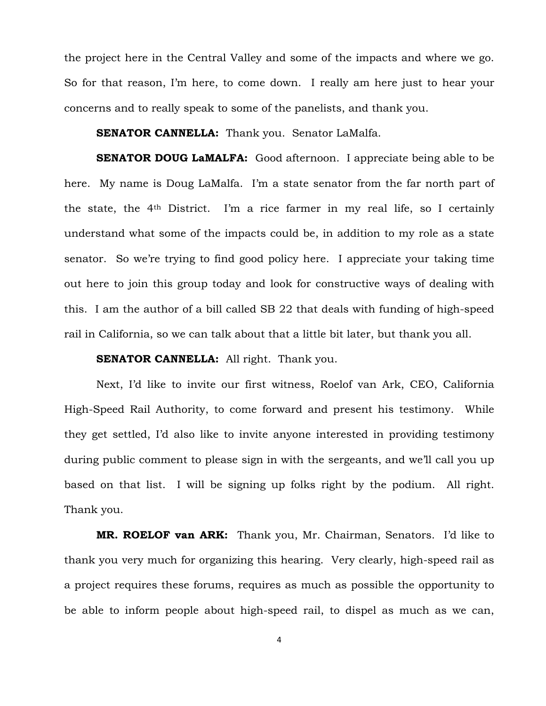the project here in the Central Valley and some of the impacts and where we go. So for that reason, I'm here, to come down. I really am here just to hear your concerns and to really speak to some of the panelists, and thank you.

**SENATOR CANNELLA:** Thank you. Senator LaMalfa.

**SENATOR DOUG LaMALFA:** Good afternoon. I appreciate being able to be here. My name is Doug LaMalfa. I'm a state senator from the far north part of the state, the 4th District. I'm a rice farmer in my real life, so I certainly understand what some of the impacts could be, in addition to my role as a state senator. So we're trying to find good policy here. I appreciate your taking time out here to join this group today and look for constructive ways of dealing with this. I am the author of a bill called SB 22 that deals with funding of high-speed rail in California, so we can talk about that a little bit later, but thank you all.

# **SENATOR CANNELLA:** All right. Thank you.

Next, I'd like to invite our first witness, Roelof van Ark, CEO, California High-Speed Rail Authority, to come forward and present his testimony. While they get settled, I'd also like to invite anyone interested in providing testimony during public comment to please sign in with the sergeants, and we'll call you up based on that list. I will be signing up folks right by the podium. All right. Thank you.

**MR. ROELOF van ARK:** Thank you, Mr. Chairman, Senators. I'd like to thank you very much for organizing this hearing. Very clearly, high-speed rail as a project requires these forums, requires as much as possible the opportunity to be able to inform people about high-speed rail, to dispel as much as we can,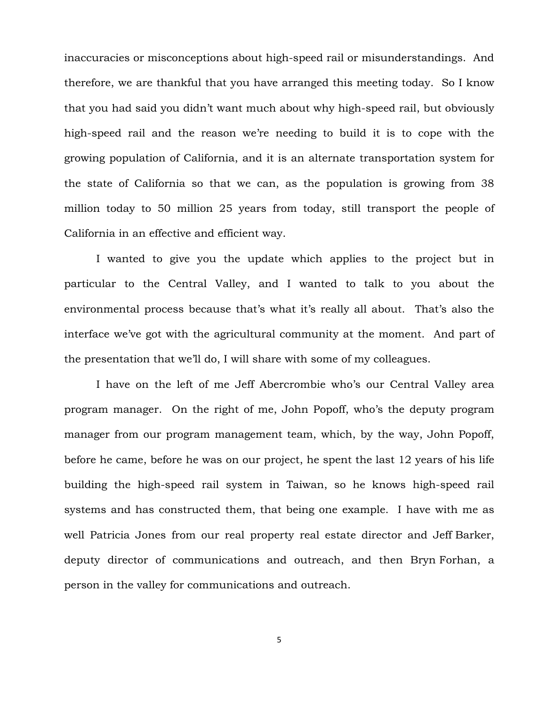inaccuracies or misconceptions about high-speed rail or misunderstandings. And therefore, we are thankful that you have arranged this meeting today. So I know that you had said you didn't want much about why high-speed rail, but obviously high-speed rail and the reason we're needing to build it is to cope with the growing population of California, and it is an alternate transportation system for the state of California so that we can, as the population is growing from 38 million today to 50 million 25 years from today, still transport the people of California in an effective and efficient way.

I wanted to give you the update which applies to the project but in particular to the Central Valley, and I wanted to talk to you about the environmental process because that's what it's really all about. That's also the interface we've got with the agricultural community at the moment. And part of the presentation that we'll do, I will share with some of my colleagues.

I have on the left of me Jeff Abercrombie who's our Central Valley area program manager. On the right of me, John Popoff, who's the deputy program manager from our program management team, which, by the way, John Popoff, before he came, before he was on our project, he spent the last 12 years of his life building the high-speed rail system in Taiwan, so he knows high-speed rail systems and has constructed them, that being one example. I have with me as well Patricia Jones from our real property real estate director and Jeff Barker, deputy director of communications and outreach, and then Bryn Forhan, a person in the valley for communications and outreach.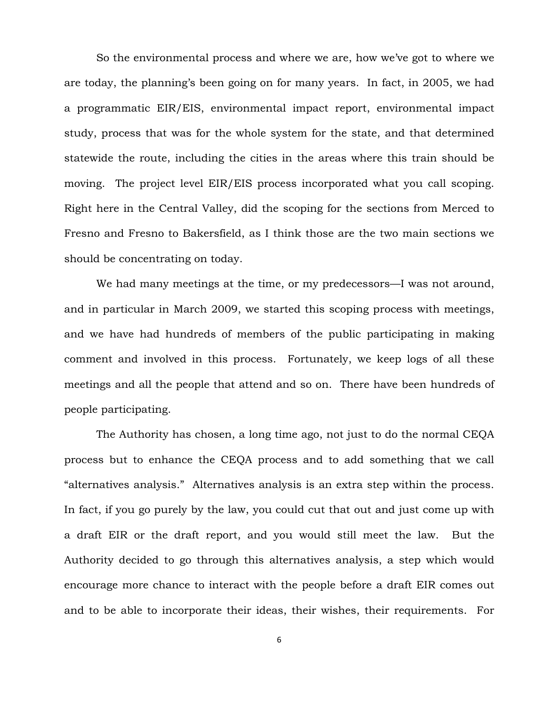So the environmental process and where we are, how we've got to where we are today, the planning's been going on for many years. In fact, in 2005, we had a programmatic EIR/EIS, environmental impact report, environmental impact study, process that was for the whole system for the state, and that determined statewide the route, including the cities in the areas where this train should be moving. The project level EIR/EIS process incorporated what you call scoping. Right here in the Central Valley, did the scoping for the sections from Merced to Fresno and Fresno to Bakersfield, as I think those are the two main sections we should be concentrating on today.

We had many meetings at the time, or my predecessors—I was not around, and in particular in March 2009, we started this scoping process with meetings, and we have had hundreds of members of the public participating in making comment and involved in this process. Fortunately, we keep logs of all these meetings and all the people that attend and so on. There have been hundreds of people participating.

The Authority has chosen, a long time ago, not just to do the normal CEQA process but to enhance the CEQA process and to add something that we call "alternatives analysis." Alternatives analysis is an extra step within the process. In fact, if you go purely by the law, you could cut that out and just come up with a draft EIR or the draft report, and you would still meet the law. But the Authority decided to go through this alternatives analysis, a step which would encourage more chance to interact with the people before a draft EIR comes out and to be able to incorporate their ideas, their wishes, their requirements. For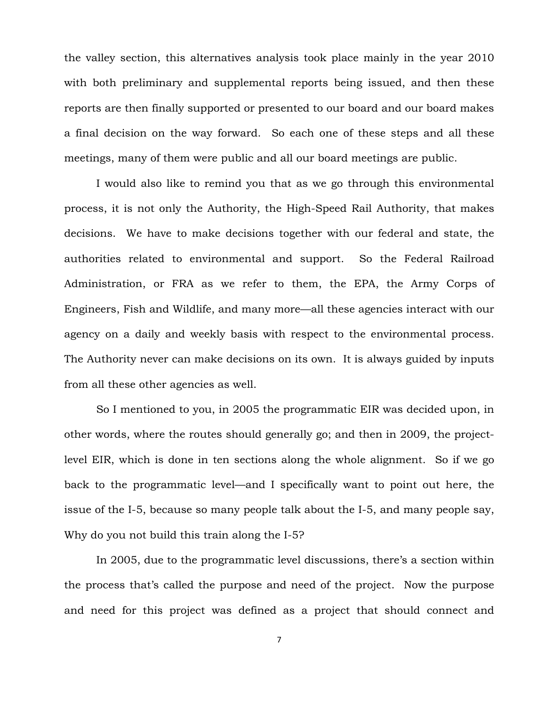the valley section, this alternatives analysis took place mainly in the year 2010 with both preliminary and supplemental reports being issued, and then these reports are then finally supported or presented to our board and our board makes a final decision on the way forward. So each one of these steps and all these meetings, many of them were public and all our board meetings are public.

I would also like to remind you that as we go through this environmental process, it is not only the Authority, the High-Speed Rail Authority, that makes decisions. We have to make decisions together with our federal and state, the authorities related to environmental and support. So the Federal Railroad Administration, or FRA as we refer to them, the EPA, the Army Corps of Engineers, Fish and Wildlife, and many more—all these agencies interact with our agency on a daily and weekly basis with respect to the environmental process. The Authority never can make decisions on its own. It is always guided by inputs from all these other agencies as well.

So I mentioned to you, in 2005 the programmatic EIR was decided upon, in other words, where the routes should generally go; and then in 2009, the projectlevel EIR, which is done in ten sections along the whole alignment. So if we go back to the programmatic level—and I specifically want to point out here, the issue of the I-5, because so many people talk about the I-5, and many people say, Why do you not build this train along the I-5?

In 2005, due to the programmatic level discussions, there's a section within the process that's called the purpose and need of the project. Now the purpose and need for this project was defined as a project that should connect and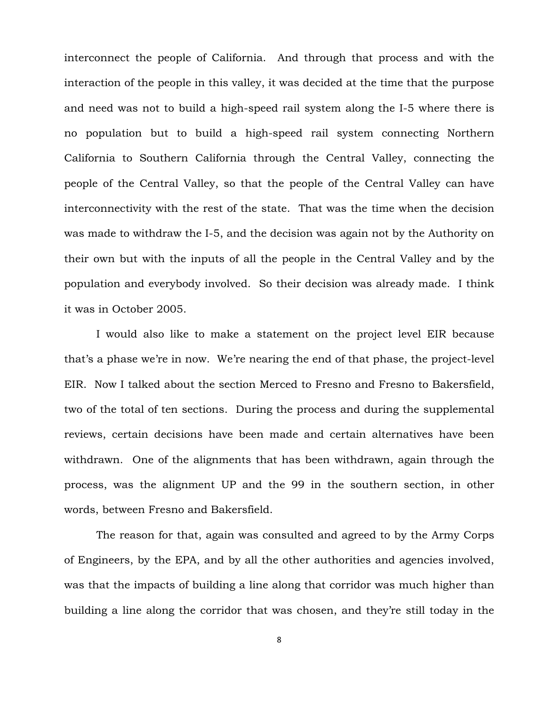interconnect the people of California. And through that process and with the interaction of the people in this valley, it was decided at the time that the purpose and need was not to build a high-speed rail system along the I-5 where there is no population but to build a high-speed rail system connecting Northern California to Southern California through the Central Valley, connecting the people of the Central Valley, so that the people of the Central Valley can have interconnectivity with the rest of the state. That was the time when the decision was made to withdraw the I-5, and the decision was again not by the Authority on their own but with the inputs of all the people in the Central Valley and by the population and everybody involved. So their decision was already made. I think it was in October 2005.

I would also like to make a statement on the project level EIR because that's a phase we're in now. We're nearing the end of that phase, the project-level EIR. Now I talked about the section Merced to Fresno and Fresno to Bakersfield, two of the total of ten sections. During the process and during the supplemental reviews, certain decisions have been made and certain alternatives have been withdrawn. One of the alignments that has been withdrawn, again through the process, was the alignment UP and the 99 in the southern section, in other words, between Fresno and Bakersfield.

The reason for that, again was consulted and agreed to by the Army Corps of Engineers, by the EPA, and by all the other authorities and agencies involved, was that the impacts of building a line along that corridor was much higher than building a line along the corridor that was chosen, and they're still today in the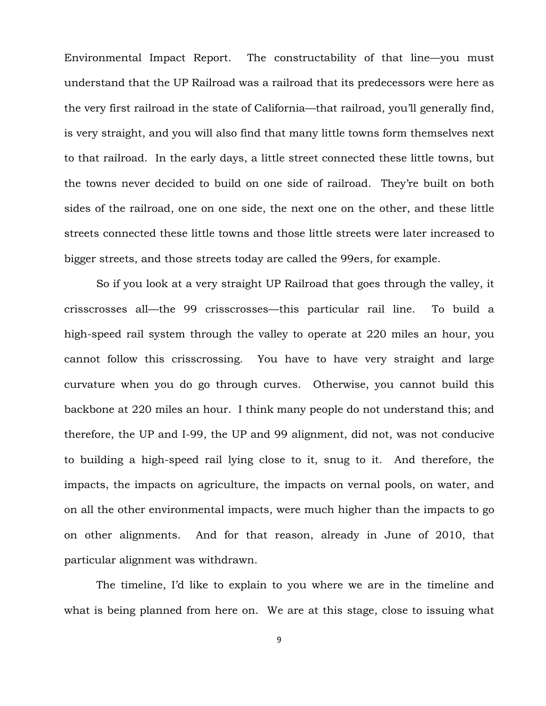Environmental Impact Report. The constructability of that line—you must understand that the UP Railroad was a railroad that its predecessors were here as the very first railroad in the state of California—that railroad, you'll generally find, is very straight, and you will also find that many little towns form themselves next to that railroad. In the early days, a little street connected these little towns, but the towns never decided to build on one side of railroad. They're built on both sides of the railroad, one on one side, the next one on the other, and these little streets connected these little towns and those little streets were later increased to bigger streets, and those streets today are called the 99ers, for example.

So if you look at a very straight UP Railroad that goes through the valley, it crisscrosses all—the 99 crisscrosses—this particular rail line. To build a high-speed rail system through the valley to operate at 220 miles an hour, you cannot follow this crisscrossing. You have to have very straight and large curvature when you do go through curves. Otherwise, you cannot build this backbone at 220 miles an hour. I think many people do not understand this; and therefore, the UP and I-99, the UP and 99 alignment, did not, was not conducive to building a high-speed rail lying close to it, snug to it. And therefore, the impacts, the impacts on agriculture, the impacts on vernal pools, on water, and on all the other environmental impacts, were much higher than the impacts to go on other alignments. And for that reason, already in June of 2010, that particular alignment was withdrawn.

The timeline, I'd like to explain to you where we are in the timeline and what is being planned from here on. We are at this stage, close to issuing what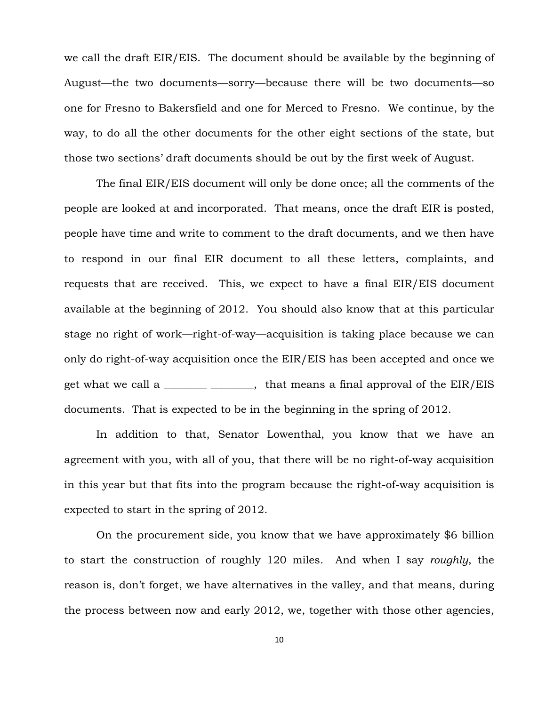we call the draft EIR/EIS. The document should be available by the beginning of August—the two documents—sorry—because there will be two documents—so one for Fresno to Bakersfield and one for Merced to Fresno. We continue, by the way, to do all the other documents for the other eight sections of the state, but those two sections' draft documents should be out by the first week of August.

The final EIR/EIS document will only be done once; all the comments of the people are looked at and incorporated. That means, once the draft EIR is posted, people have time and write to comment to the draft documents, and we then have to respond in our final EIR document to all these letters, complaints, and requests that are received. This, we expect to have a final EIR/EIS document available at the beginning of 2012. You should also know that at this particular stage no right of work—right-of-way—acquisition is taking place because we can only do right-of-way acquisition once the EIR/EIS has been accepted and once we get what we call a \_\_\_\_\_\_\_\_ \_\_\_\_\_, that means a final approval of the  $EIR/EIS$ documents. That is expected to be in the beginning in the spring of 2012.

In addition to that, Senator Lowenthal, you know that we have an agreement with you, with all of you, that there will be no right-of-way acquisition in this year but that fits into the program because the right-of-way acquisition is expected to start in the spring of 2012.

On the procurement side, you know that we have approximately \$6 billion to start the construction of roughly 120 miles. And when I say *roughly*, the reason is, don't forget, we have alternatives in the valley, and that means, during the process between now and early 2012, we, together with those other agencies,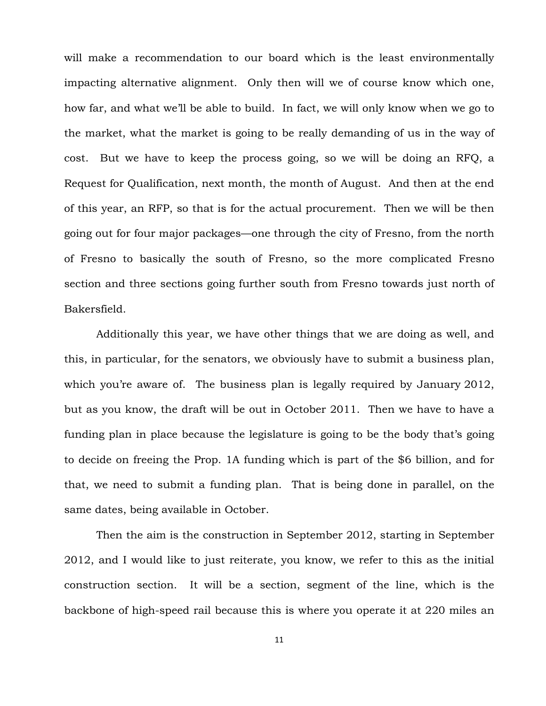will make a recommendation to our board which is the least environmentally impacting alternative alignment. Only then will we of course know which one, how far, and what we'll be able to build. In fact, we will only know when we go to the market, what the market is going to be really demanding of us in the way of cost. But we have to keep the process going, so we will be doing an RFQ, a Request for Qualification, next month, the month of August. And then at the end of this year, an RFP, so that is for the actual procurement. Then we will be then going out for four major packages—one through the city of Fresno, from the north of Fresno to basically the south of Fresno, so the more complicated Fresno section and three sections going further south from Fresno towards just north of Bakersfield.

Additionally this year, we have other things that we are doing as well, and this, in particular, for the senators, we obviously have to submit a business plan, which you're aware of. The business plan is legally required by January 2012, but as you know, the draft will be out in October 2011. Then we have to have a funding plan in place because the legislature is going to be the body that's going to decide on freeing the Prop. 1A funding which is part of the \$6 billion, and for that, we need to submit a funding plan. That is being done in parallel, on the same dates, being available in October.

Then the aim is the construction in September 2012, starting in September 2012, and I would like to just reiterate, you know, we refer to this as the initial construction section. It will be a section, segment of the line, which is the backbone of high-speed rail because this is where you operate it at 220 miles an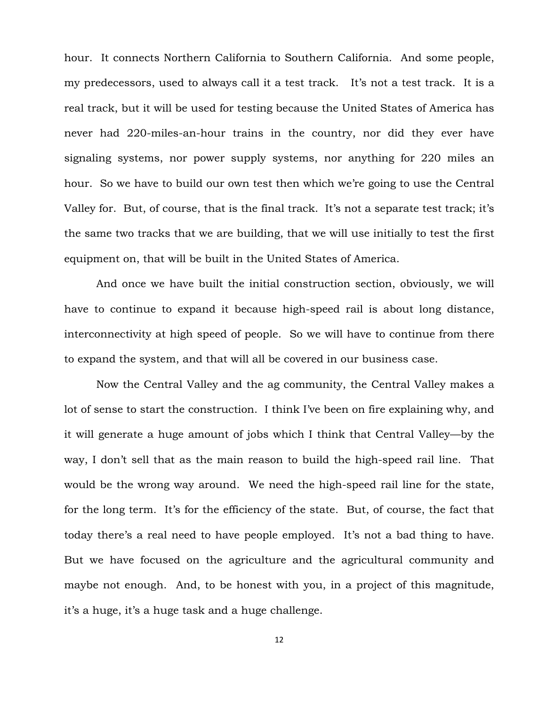hour. It connects Northern California to Southern California. And some people, my predecessors, used to always call it a test track. It's not a test track. It is a real track, but it will be used for testing because the United States of America has never had 220-miles-an-hour trains in the country, nor did they ever have signaling systems, nor power supply systems, nor anything for 220 miles an hour. So we have to build our own test then which we're going to use the Central Valley for. But, of course, that is the final track. It's not a separate test track; it's the same two tracks that we are building, that we will use initially to test the first equipment on, that will be built in the United States of America.

And once we have built the initial construction section, obviously, we will have to continue to expand it because high-speed rail is about long distance, interconnectivity at high speed of people. So we will have to continue from there to expand the system, and that will all be covered in our business case.

Now the Central Valley and the ag community, the Central Valley makes a lot of sense to start the construction. I think I've been on fire explaining why, and it will generate a huge amount of jobs which I think that Central Valley—by the way, I don't sell that as the main reason to build the high-speed rail line. That would be the wrong way around. We need the high-speed rail line for the state, for the long term. It's for the efficiency of the state. But, of course, the fact that today there's a real need to have people employed. It's not a bad thing to have. But we have focused on the agriculture and the agricultural community and maybe not enough. And, to be honest with you, in a project of this magnitude, it's a huge, it's a huge task and a huge challenge.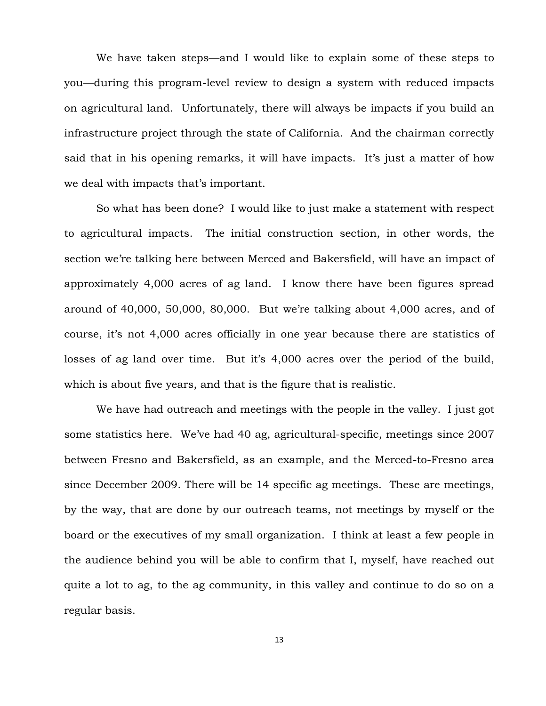We have taken steps—and I would like to explain some of these steps to you—during this program-level review to design a system with reduced impacts on agricultural land. Unfortunately, there will always be impacts if you build an infrastructure project through the state of California. And the chairman correctly said that in his opening remarks, it will have impacts. It's just a matter of how we deal with impacts that's important.

So what has been done? I would like to just make a statement with respect to agricultural impacts. The initial construction section, in other words, the section we're talking here between Merced and Bakersfield, will have an impact of approximately 4,000 acres of ag land. I know there have been figures spread around of 40,000, 50,000, 80,000. But we're talking about 4,000 acres, and of course, it's not 4,000 acres officially in one year because there are statistics of losses of ag land over time. But it's 4,000 acres over the period of the build, which is about five years, and that is the figure that is realistic.

We have had outreach and meetings with the people in the valley. I just got some statistics here. We've had 40 ag, agricultural-specific, meetings since 2007 between Fresno and Bakersfield, as an example, and the Merced-to-Fresno area since December 2009. There will be 14 specific ag meetings. These are meetings, by the way, that are done by our outreach teams, not meetings by myself or the board or the executives of my small organization. I think at least a few people in the audience behind you will be able to confirm that I, myself, have reached out quite a lot to ag, to the ag community, in this valley and continue to do so on a regular basis.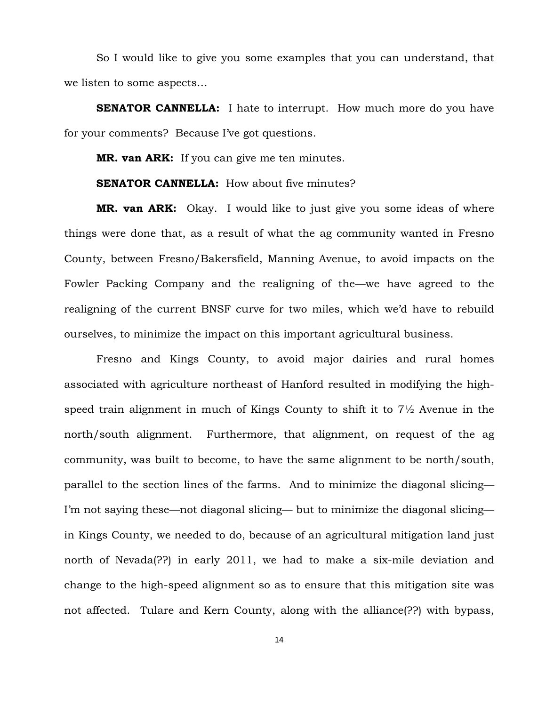So I would like to give you some examples that you can understand, that we listen to some aspects…

**SENATOR CANNELLA:** I hate to interrupt. How much more do you have for your comments? Because I've got questions.

**MR. van ARK:** If you can give me ten minutes.

# **SENATOR CANNELLA:** How about five minutes?

**MR. van ARK:** Okay. I would like to just give you some ideas of where things were done that, as a result of what the ag community wanted in Fresno County, between Fresno/Bakersfield, Manning Avenue, to avoid impacts on the Fowler Packing Company and the realigning of the—we have agreed to the realigning of the current BNSF curve for two miles, which we'd have to rebuild ourselves, to minimize the impact on this important agricultural business.

Fresno and Kings County, to avoid major dairies and rural homes associated with agriculture northeast of Hanford resulted in modifying the highspeed train alignment in much of Kings County to shift it to 7½ Avenue in the north/south alignment. Furthermore, that alignment, on request of the ag community, was built to become, to have the same alignment to be north/south, parallel to the section lines of the farms. And to minimize the diagonal slicing— I'm not saying these—not diagonal slicing— but to minimize the diagonal slicing in Kings County, we needed to do, because of an agricultural mitigation land just north of Nevada(??) in early 2011, we had to make a six-mile deviation and change to the high-speed alignment so as to ensure that this mitigation site was not affected. Tulare and Kern County, along with the alliance(??) with bypass,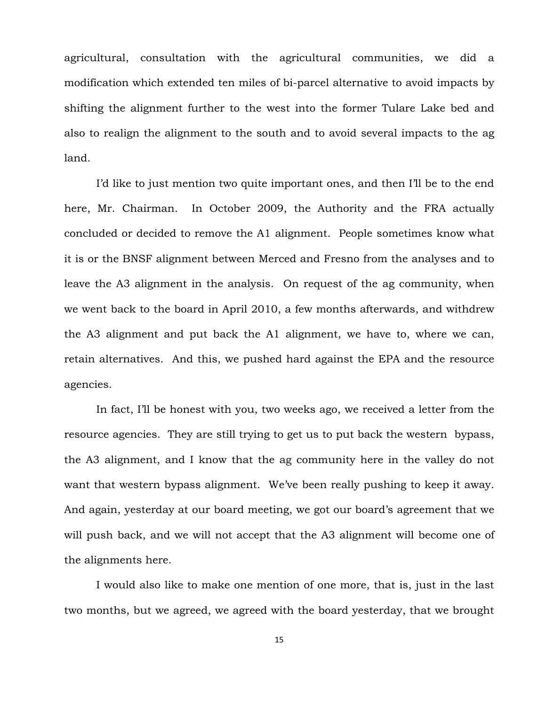agricultural, consultation with the agricultural communities, we did a modification which extended ten miles of bi-parcel alternative to avoid impacts by shifting the alignment further to the west into the former Tulare Lake bed and also to realign the alignment to the south and to avoid several impacts to the ag land.

I'd like to just mention two quite important ones, and then I'll be to the end here, Mr. Chairman. In October 2009, the Authority and the FRA actually concluded or decided to remove the A1 alignment. People sometimes know what it is or the BNSF alignment between Merced and Fresno from the analyses and to leave the A3 alignment in the analysis. On request of the ag community, when we went back to the board in April 2010, a few months afterwards, and withdrew the A3 alignment and put back the A1 alignment, we have to, where we can, retain alternatives. And this, we pushed hard against the EPA and the resource agencies.

In fact, I'll be honest with you, two weeks ago, we received a letter from the resource agencies. They are still trying to get us to put back the western bypass, the A3 alignment, and I know that the ag community here in the valley do not want that western bypass alignment. We've been really pushing to keep it away. And again, yesterday at our board meeting, we got our board's agreement that we will push back, and we will not accept that the A3 alignment will become one of the alignments here.

I would also like to make one mention of one more, that is, just in the last two months, but we agreed, we agreed with the board yesterday, that we brought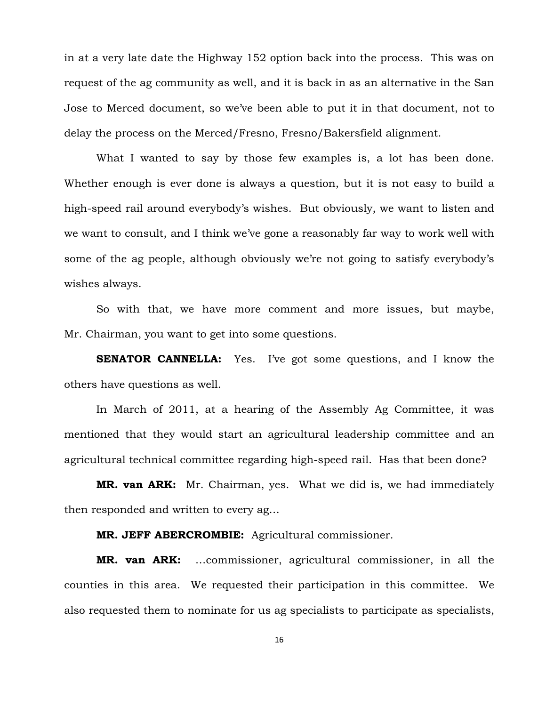in at a very late date the Highway 152 option back into the process. This was on request of the ag community as well, and it is back in as an alternative in the San Jose to Merced document, so we've been able to put it in that document, not to delay the process on the Merced/Fresno, Fresno/Bakersfield alignment.

What I wanted to say by those few examples is, a lot has been done. Whether enough is ever done is always a question, but it is not easy to build a high-speed rail around everybody's wishes. But obviously, we want to listen and we want to consult, and I think we've gone a reasonably far way to work well with some of the ag people, although obviously we're not going to satisfy everybody's wishes always.

So with that, we have more comment and more issues, but maybe, Mr. Chairman, you want to get into some questions.

**SENATOR CANNELLA:** Yes. I've got some questions, and I know the others have questions as well.

In March of 2011, at a hearing of the Assembly Ag Committee, it was mentioned that they would start an agricultural leadership committee and an agricultural technical committee regarding high-speed rail. Has that been done?

**MR. van ARK:** Mr. Chairman, yes. What we did is, we had immediately then responded and written to every ag…

### **MR. JEFF ABERCROMBIE:** Agricultural commissioner.

**MR. van ARK:** …commissioner, agricultural commissioner, in all the counties in this area. We requested their participation in this committee. We also requested them to nominate for us ag specialists to participate as specialists,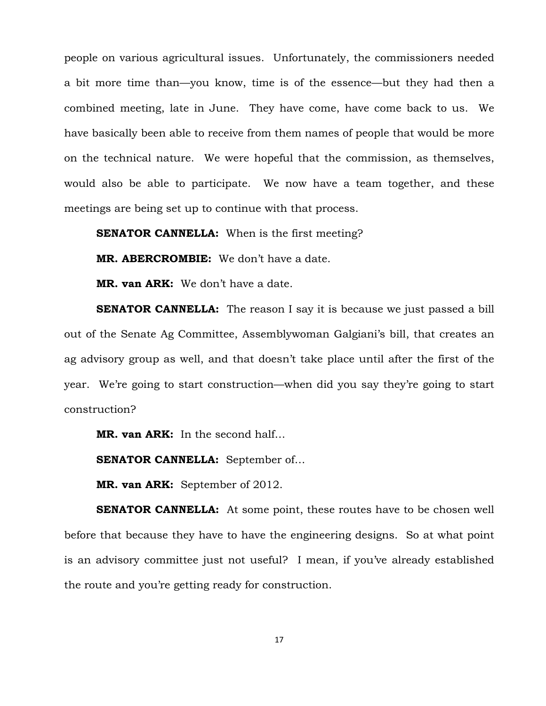people on various agricultural issues. Unfortunately, the commissioners needed a bit more time than—you know, time is of the essence—but they had then a combined meeting, late in June. They have come, have come back to us. We have basically been able to receive from them names of people that would be more on the technical nature. We were hopeful that the commission, as themselves, would also be able to participate. We now have a team together, and these meetings are being set up to continue with that process.

**SENATOR CANNELLA:** When is the first meeting?

**MR. ABERCROMBIE:** We don't have a date.

**MR. van ARK:** We don't have a date.

**SENATOR CANNELLA:** The reason I say it is because we just passed a bill out of the Senate Ag Committee, Assemblywoman Galgiani's bill, that creates an ag advisory group as well, and that doesn't take place until after the first of the year. We're going to start construction—when did you say they're going to start construction?

**MR. van ARK:** In the second half…

**SENATOR CANNELLA:** September of…

**MR. van ARK:** September of 2012.

**SENATOR CANNELLA:** At some point, these routes have to be chosen well before that because they have to have the engineering designs. So at what point is an advisory committee just not useful? I mean, if you've already established the route and you're getting ready for construction.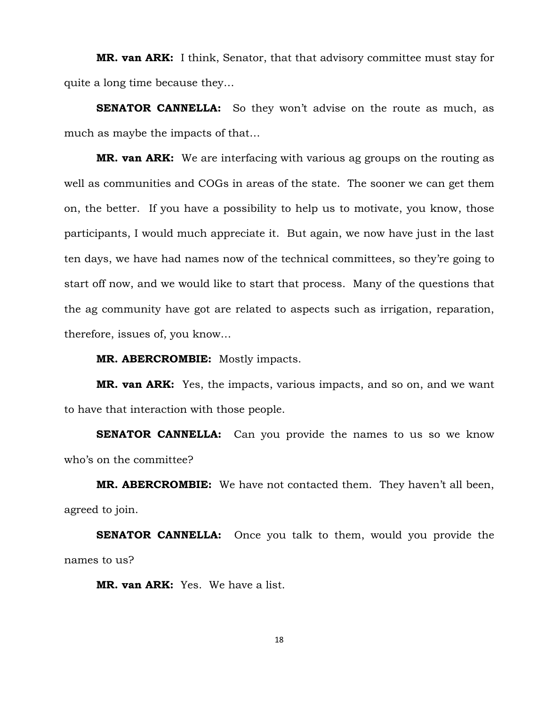**MR. van ARK:** I think, Senator, that that advisory committee must stay for quite a long time because they…

**SENATOR CANNELLA:** So they won't advise on the route as much, as much as maybe the impacts of that…

**MR. van ARK:** We are interfacing with various ag groups on the routing as well as communities and COGs in areas of the state. The sooner we can get them on, the better. If you have a possibility to help us to motivate, you know, those participants, I would much appreciate it. But again, we now have just in the last ten days, we have had names now of the technical committees, so they're going to start off now, and we would like to start that process. Many of the questions that the ag community have got are related to aspects such as irrigation, reparation, therefore, issues of, you know…

**MR. ABERCROMBIE:** Mostly impacts.

**MR. van ARK:** Yes, the impacts, various impacts, and so on, and we want to have that interaction with those people.

**SENATOR CANNELLA:** Can you provide the names to us so we know who's on the committee?

**MR. ABERCROMBIE:** We have not contacted them. They haven't all been, agreed to join.

**SENATOR CANNELLA:** Once you talk to them, would you provide the names to us?

**MR. van ARK:** Yes. We have a list.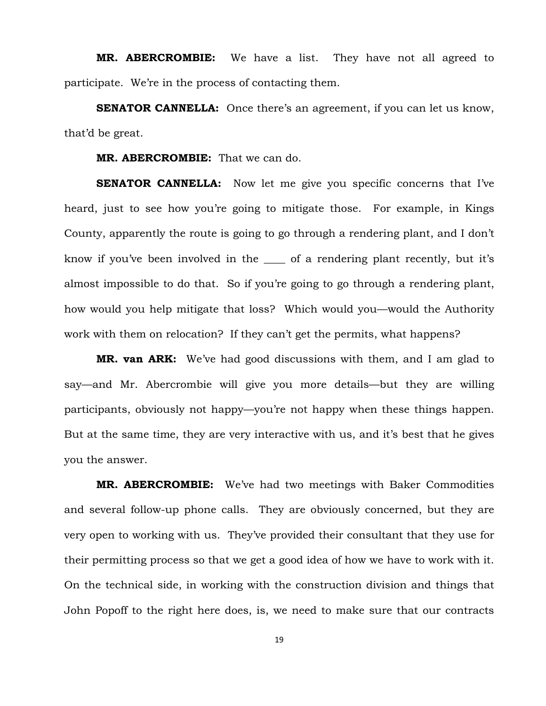**MR. ABERCROMBIE:** We have a list. They have not all agreed to participate. We're in the process of contacting them.

**SENATOR CANNELLA:** Once there's an agreement, if you can let us know, that'd be great.

### **MR. ABERCROMBIE:** That we can do.

**SENATOR CANNELLA:** Now let me give you specific concerns that I've heard, just to see how you're going to mitigate those. For example, in Kings County, apparently the route is going to go through a rendering plant, and I don't know if you've been involved in the \_\_\_\_ of a rendering plant recently, but it's almost impossible to do that. So if you're going to go through a rendering plant, how would you help mitigate that loss? Which would you—would the Authority work with them on relocation? If they can't get the permits, what happens?

**MR. van ARK:** We've had good discussions with them, and I am glad to say—and Mr. Abercrombie will give you more details—but they are willing participants, obviously not happy—you're not happy when these things happen. But at the same time, they are very interactive with us, and it's best that he gives you the answer.

**MR. ABERCROMBIE:** We've had two meetings with Baker Commodities and several follow-up phone calls. They are obviously concerned, but they are very open to working with us. They've provided their consultant that they use for their permitting process so that we get a good idea of how we have to work with it. On the technical side, in working with the construction division and things that John Popoff to the right here does, is, we need to make sure that our contracts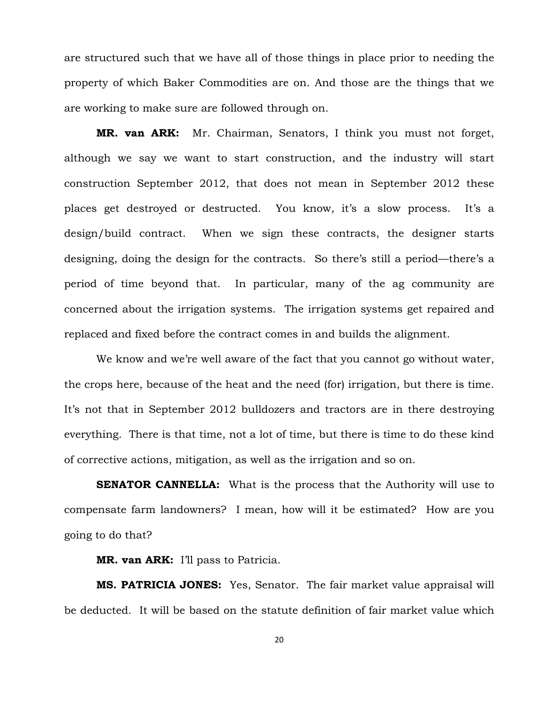are structured such that we have all of those things in place prior to needing the property of which Baker Commodities are on. And those are the things that we are working to make sure are followed through on.

**MR. van ARK:** Mr. Chairman, Senators, I think you must not forget, although we say we want to start construction, and the industry will start construction September 2012, that does not mean in September 2012 these places get destroyed or destructed. You know, it's a slow process. It's a design/build contract. When we sign these contracts, the designer starts designing, doing the design for the contracts. So there's still a period—there's a period of time beyond that. In particular, many of the ag community are concerned about the irrigation systems. The irrigation systems get repaired and replaced and fixed before the contract comes in and builds the alignment.

We know and we're well aware of the fact that you cannot go without water, the crops here, because of the heat and the need (for) irrigation, but there is time. It's not that in September 2012 bulldozers and tractors are in there destroying everything. There is that time, not a lot of time, but there is time to do these kind of corrective actions, mitigation, as well as the irrigation and so on.

**SENATOR CANNELLA:** What is the process that the Authority will use to compensate farm landowners? I mean, how will it be estimated? How are you going to do that?

**MR. van ARK:** I'll pass to Patricia.

**MS. PATRICIA JONES:** Yes, Senator. The fair market value appraisal will be deducted. It will be based on the statute definition of fair market value which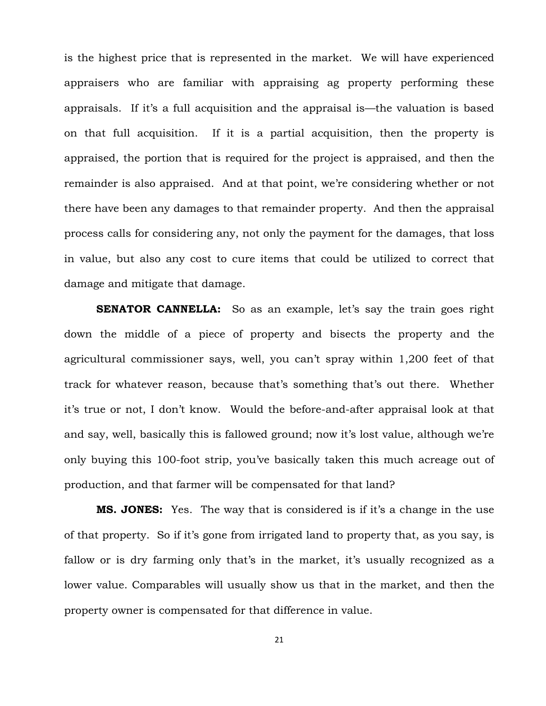is the highest price that is represented in the market. We will have experienced appraisers who are familiar with appraising ag property performing these appraisals. If it's a full acquisition and the appraisal is—the valuation is based on that full acquisition. If it is a partial acquisition, then the property is appraised, the portion that is required for the project is appraised, and then the remainder is also appraised. And at that point, we're considering whether or not there have been any damages to that remainder property. And then the appraisal process calls for considering any, not only the payment for the damages, that loss in value, but also any cost to cure items that could be utilized to correct that damage and mitigate that damage.

**SENATOR CANNELLA:** So as an example, let's say the train goes right down the middle of a piece of property and bisects the property and the agricultural commissioner says, well, you can't spray within 1,200 feet of that track for whatever reason, because that's something that's out there. Whether it's true or not, I don't know. Would the before-and-after appraisal look at that and say, well, basically this is fallowed ground; now it's lost value, although we're only buying this 100-foot strip, you've basically taken this much acreage out of production, and that farmer will be compensated for that land?

**MS. JONES:** Yes. The way that is considered is if it's a change in the use of that property. So if it's gone from irrigated land to property that, as you say, is fallow or is dry farming only that's in the market, it's usually recognized as a lower value. Comparables will usually show us that in the market, and then the property owner is compensated for that difference in value.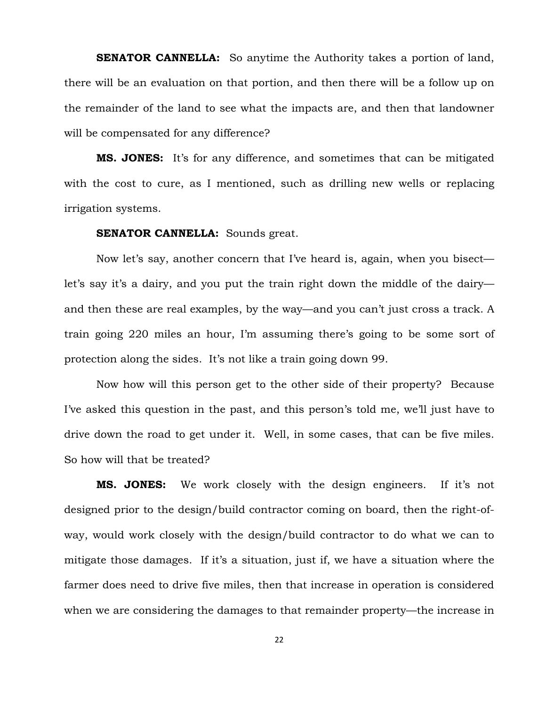**SENATOR CANNELLA:** So anytime the Authority takes a portion of land, there will be an evaluation on that portion, and then there will be a follow up on the remainder of the land to see what the impacts are, and then that landowner will be compensated for any difference?

**MS. JONES:** It's for any difference, and sometimes that can be mitigated with the cost to cure, as I mentioned, such as drilling new wells or replacing irrigation systems.

#### **SENATOR CANNELLA:** Sounds great.

Now let's say, another concern that I've heard is, again, when you bisect let's say it's a dairy, and you put the train right down the middle of the dairy and then these are real examples, by the way—and you can't just cross a track. A train going 220 miles an hour, I'm assuming there's going to be some sort of protection along the sides. It's not like a train going down 99.

Now how will this person get to the other side of their property? Because I've asked this question in the past, and this person's told me, we'll just have to drive down the road to get under it. Well, in some cases, that can be five miles. So how will that be treated?

**MS. JONES:** We work closely with the design engineers. If it's not designed prior to the design/build contractor coming on board, then the right-ofway, would work closely with the design/build contractor to do what we can to mitigate those damages. If it's a situation, just if, we have a situation where the farmer does need to drive five miles, then that increase in operation is considered when we are considering the damages to that remainder property—the increase in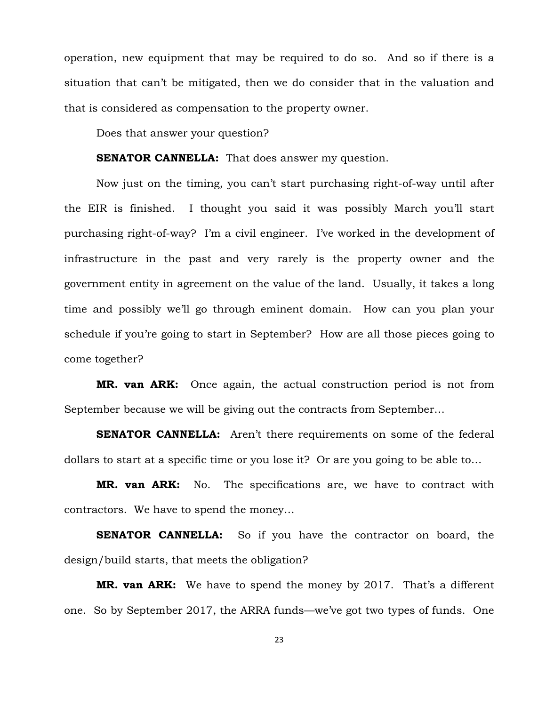operation, new equipment that may be required to do so. And so if there is a situation that can't be mitigated, then we do consider that in the valuation and that is considered as compensation to the property owner.

Does that answer your question?

## **SENATOR CANNELLA:** That does answer my question.

Now just on the timing, you can't start purchasing right-of-way until after the EIR is finished. I thought you said it was possibly March you'll start purchasing right-of-way? I'm a civil engineer. I've worked in the development of infrastructure in the past and very rarely is the property owner and the government entity in agreement on the value of the land. Usually, it takes a long time and possibly we'll go through eminent domain. How can you plan your schedule if you're going to start in September? How are all those pieces going to come together?

**MR. van ARK:** Once again, the actual construction period is not from September because we will be giving out the contracts from September…

**SENATOR CANNELLA:** Aren't there requirements on some of the federal dollars to start at a specific time or you lose it? Or are you going to be able to…

**MR. van ARK:** No. The specifications are, we have to contract with contractors. We have to spend the money…

**SENATOR CANNELLA:** So if you have the contractor on board, the design/build starts, that meets the obligation?

**MR. van ARK:** We have to spend the money by 2017. That's a different one. So by September 2017, the ARRA funds—we've got two types of funds. One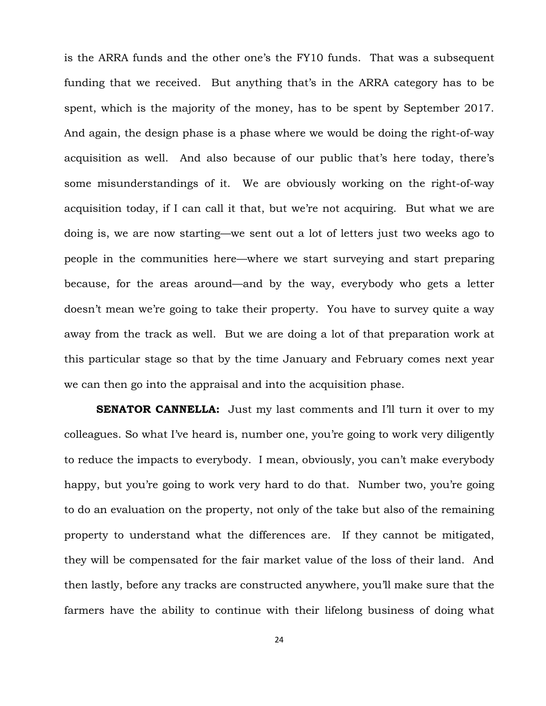is the ARRA funds and the other one's the FY10 funds. That was a subsequent funding that we received. But anything that's in the ARRA category has to be spent, which is the majority of the money, has to be spent by September 2017. And again, the design phase is a phase where we would be doing the right-of-way acquisition as well. And also because of our public that's here today, there's some misunderstandings of it. We are obviously working on the right-of-way acquisition today, if I can call it that, but we're not acquiring. But what we are doing is, we are now starting—we sent out a lot of letters just two weeks ago to people in the communities here—where we start surveying and start preparing because, for the areas around—and by the way, everybody who gets a letter doesn't mean we're going to take their property. You have to survey quite a way away from the track as well. But we are doing a lot of that preparation work at this particular stage so that by the time January and February comes next year we can then go into the appraisal and into the acquisition phase.

**SENATOR CANNELLA:** Just my last comments and I'll turn it over to my colleagues. So what I've heard is, number one, you're going to work very diligently to reduce the impacts to everybody. I mean, obviously, you can't make everybody happy, but you're going to work very hard to do that. Number two, you're going to do an evaluation on the property, not only of the take but also of the remaining property to understand what the differences are. If they cannot be mitigated, they will be compensated for the fair market value of the loss of their land. And then lastly, before any tracks are constructed anywhere, you'll make sure that the farmers have the ability to continue with their lifelong business of doing what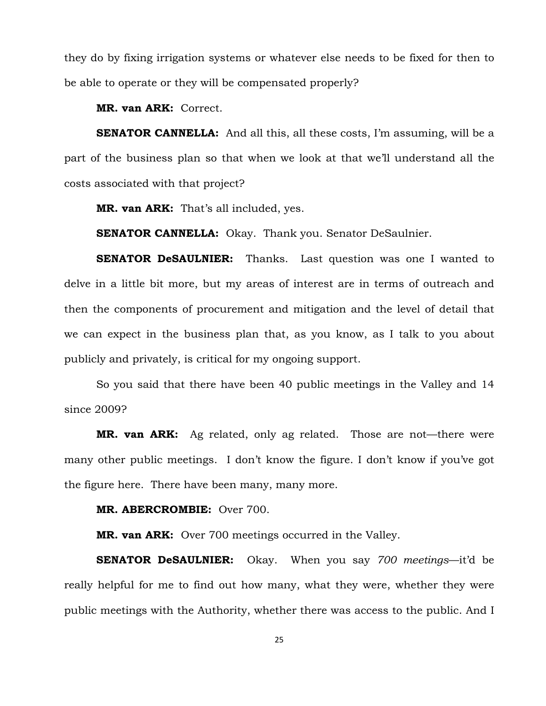they do by fixing irrigation systems or whatever else needs to be fixed for then to be able to operate or they will be compensated properly?

**MR. van ARK:** Correct.

**SENATOR CANNELLA:** And all this, all these costs, I'm assuming, will be a part of the business plan so that when we look at that we'll understand all the costs associated with that project?

**MR. van ARK:** That's all included, yes.

**SENATOR CANNELLA:** Okay. Thank you. Senator DeSaulnier.

**SENATOR DeSAULNIER:** Thanks. Last question was one I wanted to delve in a little bit more, but my areas of interest are in terms of outreach and then the components of procurement and mitigation and the level of detail that we can expect in the business plan that, as you know, as I talk to you about publicly and privately, is critical for my ongoing support.

So you said that there have been 40 public meetings in the Valley and 14 since 2009?

**MR. van ARK:** Ag related, only ag related. Those are not—there were many other public meetings. I don't know the figure. I don't know if you've got the figure here. There have been many, many more.

**MR. ABERCROMBIE:** Over 700.

**MR. van ARK:** Over 700 meetings occurred in the Valley.

**SENATOR DeSAULNIER:** Okay. When you say *700 meetings*—it'd be really helpful for me to find out how many, what they were, whether they were public meetings with the Authority, whether there was access to the public. And I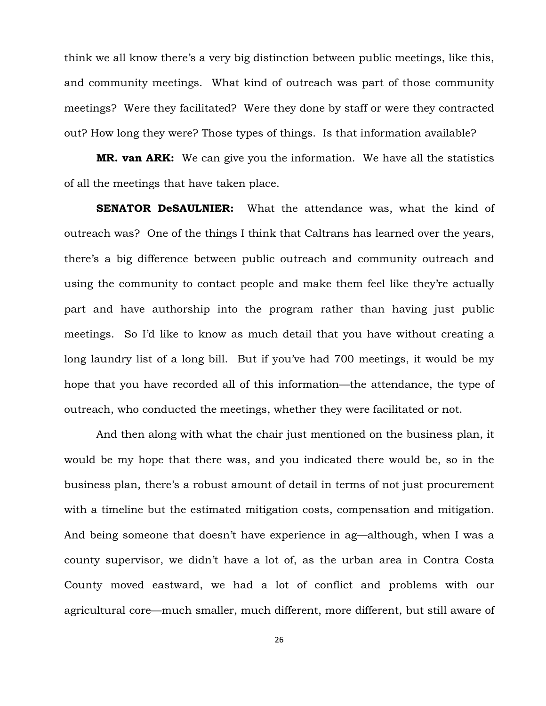think we all know there's a very big distinction between public meetings, like this, and community meetings. What kind of outreach was part of those community meetings? Were they facilitated? Were they done by staff or were they contracted out? How long they were? Those types of things. Is that information available?

**MR. van ARK:** We can give you the information. We have all the statistics of all the meetings that have taken place.

**SENATOR DeSAULNIER:** What the attendance was, what the kind of outreach was? One of the things I think that Caltrans has learned over the years, there's a big difference between public outreach and community outreach and using the community to contact people and make them feel like they're actually part and have authorship into the program rather than having just public meetings. So I'd like to know as much detail that you have without creating a long laundry list of a long bill. But if you've had 700 meetings, it would be my hope that you have recorded all of this information—the attendance, the type of outreach, who conducted the meetings, whether they were facilitated or not.

And then along with what the chair just mentioned on the business plan, it would be my hope that there was, and you indicated there would be, so in the business plan, there's a robust amount of detail in terms of not just procurement with a timeline but the estimated mitigation costs, compensation and mitigation. And being someone that doesn't have experience in ag—although, when I was a county supervisor, we didn't have a lot of, as the urban area in Contra Costa County moved eastward, we had a lot of conflict and problems with our agricultural core—much smaller, much different, more different, but still aware of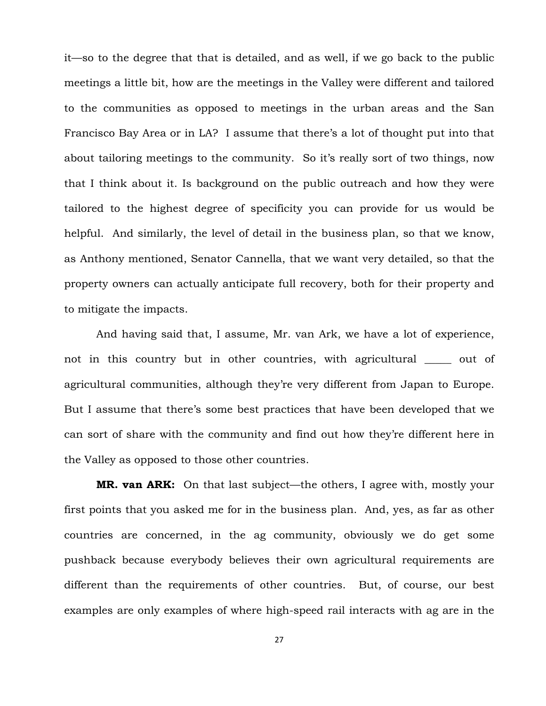it—so to the degree that that is detailed, and as well, if we go back to the public meetings a little bit, how are the meetings in the Valley were different and tailored to the communities as opposed to meetings in the urban areas and the San Francisco Bay Area or in LA? I assume that there's a lot of thought put into that about tailoring meetings to the community. So it's really sort of two things, now that I think about it. Is background on the public outreach and how they were tailored to the highest degree of specificity you can provide for us would be helpful. And similarly, the level of detail in the business plan, so that we know, as Anthony mentioned, Senator Cannella, that we want very detailed, so that the property owners can actually anticipate full recovery, both for their property and to mitigate the impacts.

And having said that, I assume, Mr. van Ark, we have a lot of experience, not in this country but in other countries, with agricultural out of agricultural communities, although they're very different from Japan to Europe. But I assume that there's some best practices that have been developed that we can sort of share with the community and find out how they're different here in the Valley as opposed to those other countries.

**MR. van ARK:** On that last subject—the others, I agree with, mostly your first points that you asked me for in the business plan. And, yes, as far as other countries are concerned, in the ag community, obviously we do get some pushback because everybody believes their own agricultural requirements are different than the requirements of other countries. But, of course, our best examples are only examples of where high-speed rail interacts with ag are in the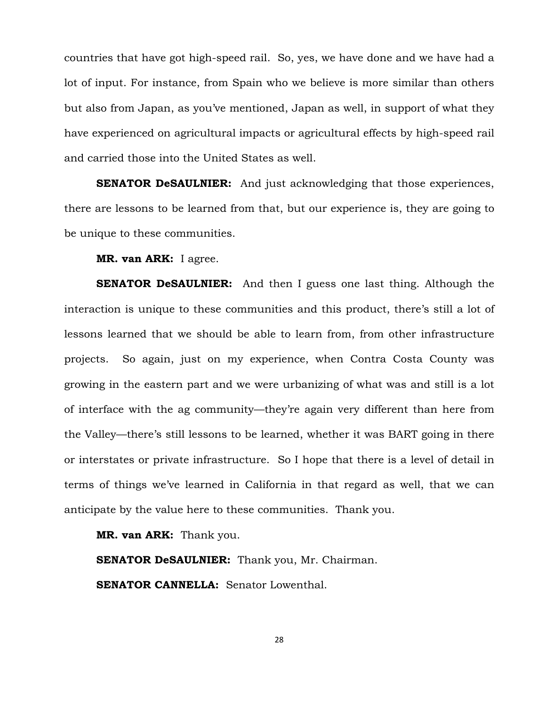countries that have got high-speed rail. So, yes, we have done and we have had a lot of input. For instance, from Spain who we believe is more similar than others but also from Japan, as you've mentioned, Japan as well, in support of what they have experienced on agricultural impacts or agricultural effects by high-speed rail and carried those into the United States as well.

**SENATOR DeSAULNIER:** And just acknowledging that those experiences, there are lessons to be learned from that, but our experience is, they are going to be unique to these communities.

**MR. van ARK:** I agree.

**SENATOR DeSAULNIER:** And then I guess one last thing. Although the interaction is unique to these communities and this product, there's still a lot of lessons learned that we should be able to learn from, from other infrastructure projects. So again, just on my experience, when Contra Costa County was growing in the eastern part and we were urbanizing of what was and still is a lot of interface with the ag community—they're again very different than here from the Valley—there's still lessons to be learned, whether it was BART going in there or interstates or private infrastructure. So I hope that there is a level of detail in terms of things we've learned in California in that regard as well, that we can anticipate by the value here to these communities. Thank you.

**MR. van ARK:** Thank you.

**SENATOR DeSAULNIER:** Thank you, Mr. Chairman.

**SENATOR CANNELLA:** Senator Lowenthal.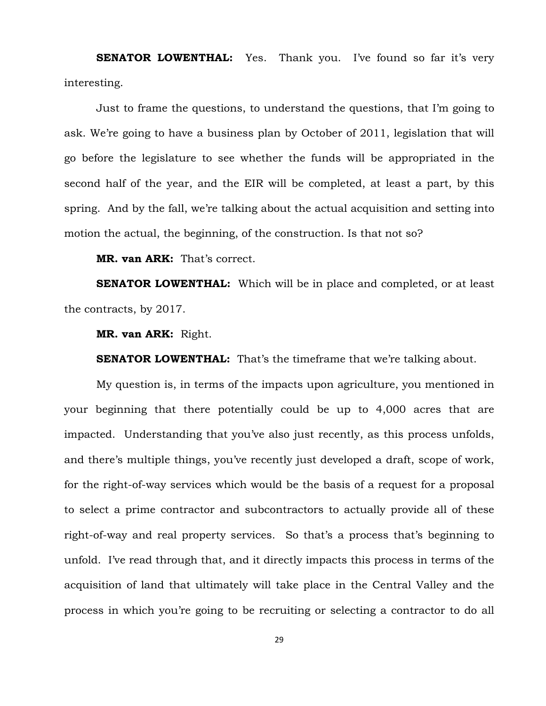**SENATOR LOWENTHAL:** Yes. Thank you. I've found so far it's very interesting.

Just to frame the questions, to understand the questions, that I'm going to ask. We're going to have a business plan by October of 2011, legislation that will go before the legislature to see whether the funds will be appropriated in the second half of the year, and the EIR will be completed, at least a part, by this spring. And by the fall, we're talking about the actual acquisition and setting into motion the actual, the beginning, of the construction. Is that not so?

**MR. van ARK:** That's correct.

**SENATOR LOWENTHAL:** Which will be in place and completed, or at least the contracts, by 2017.

**MR. van ARK:** Right.

**SENATOR LOWENTHAL:** That's the timeframe that we're talking about.

My question is, in terms of the impacts upon agriculture, you mentioned in your beginning that there potentially could be up to 4,000 acres that are impacted. Understanding that you've also just recently, as this process unfolds, and there's multiple things, you've recently just developed a draft, scope of work, for the right-of-way services which would be the basis of a request for a proposal to select a prime contractor and subcontractors to actually provide all of these right-of-way and real property services. So that's a process that's beginning to unfold. I've read through that, and it directly impacts this process in terms of the acquisition of land that ultimately will take place in the Central Valley and the process in which you're going to be recruiting or selecting a contractor to do all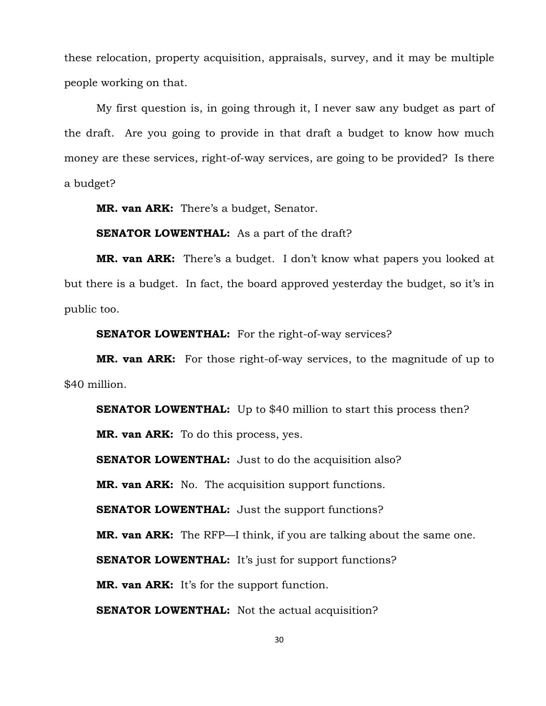these relocation, property acquisition, appraisals, survey, and it may be multiple people working on that.

My first question is, in going through it, I never saw any budget as part of the draft. Are you going to provide in that draft a budget to know how much money are these services, right-of-way services, are going to be provided? Is there a budget?

**MR. van ARK:** There's a budget, Senator.

**SENATOR LOWENTHAL:** As a part of the draft?

**MR. van ARK:** There's a budget. I don't know what papers you looked at but there is a budget. In fact, the board approved yesterday the budget, so it's in public too.

**SENATOR LOWENTHAL:** For the right-of-way services?

**MR. van ARK:** For those right-of-way services, to the magnitude of up to \$40 million.

**SENATOR LOWENTHAL:** Up to \$40 million to start this process then?

**MR. van ARK:** To do this process, yes.

**SENATOR LOWENTHAL:** Just to do the acquisition also?

**MR. van ARK:** No. The acquisition support functions.

**SENATOR LOWENTHAL:** Just the support functions?

**MR. van ARK:** The RFP—I think, if you are talking about the same one.

**SENATOR LOWENTHAL:** It's just for support functions?

**MR. van ARK:** It's for the support function.

**SENATOR LOWENTHAL:** Not the actual acquisition?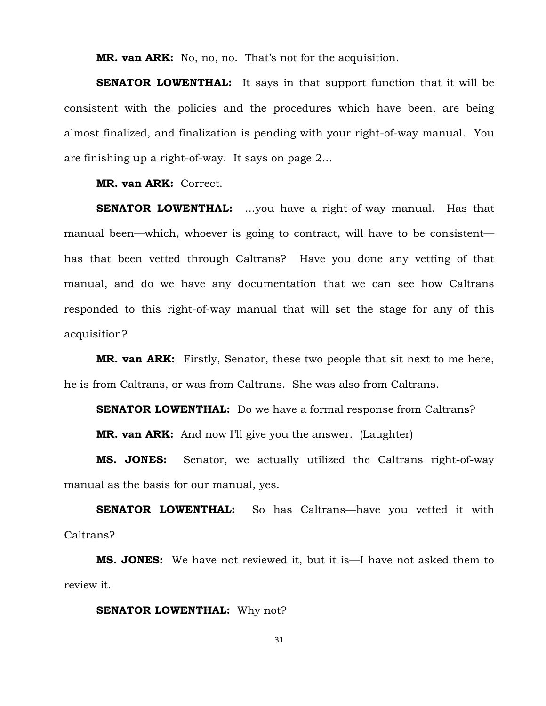**MR. van ARK:** No, no, no. That's not for the acquisition.

**SENATOR LOWENTHAL:** It says in that support function that it will be consistent with the policies and the procedures which have been, are being almost finalized, and finalization is pending with your right-of-way manual. You are finishing up a right-of-way. It says on page 2…

**MR. van ARK:** Correct.

**SENATOR LOWENTHAL:** …you have a right-of-way manual. Has that manual been—which, whoever is going to contract, will have to be consistent has that been vetted through Caltrans? Have you done any vetting of that manual, and do we have any documentation that we can see how Caltrans responded to this right-of-way manual that will set the stage for any of this acquisition?

**MR. van ARK:** Firstly, Senator, these two people that sit next to me here, he is from Caltrans, or was from Caltrans. She was also from Caltrans.

**SENATOR LOWENTHAL:** Do we have a formal response from Caltrans?

**MR. van ARK:** And now I'll give you the answer. (Laughter)

**MS. JONES:** Senator, we actually utilized the Caltrans right-of-way manual as the basis for our manual, yes.

**SENATOR LOWENTHAL:** So has Caltrans—have you vetted it with Caltrans?

**MS. JONES:** We have not reviewed it, but it is—I have not asked them to review it.

#### **SENATOR LOWENTHAL:** Why not?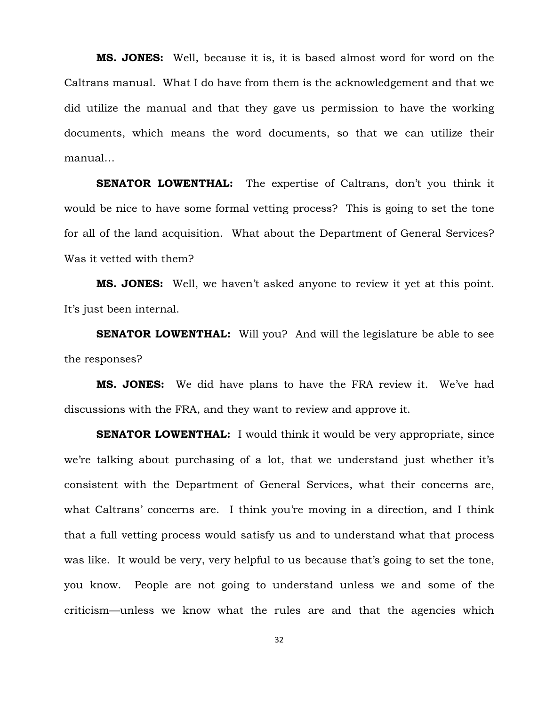**MS. JONES:** Well, because it is, it is based almost word for word on the Caltrans manual. What I do have from them is the acknowledgement and that we did utilize the manual and that they gave us permission to have the working documents, which means the word documents, so that we can utilize their manual…

**SENATOR LOWENTHAL:** The expertise of Caltrans, don't you think it would be nice to have some formal vetting process? This is going to set the tone for all of the land acquisition. What about the Department of General Services? Was it vetted with them?

**MS. JONES:** Well, we haven't asked anyone to review it yet at this point. It's just been internal.

**SENATOR LOWENTHAL:** Will you? And will the legislature be able to see the responses?

**MS. JONES:** We did have plans to have the FRA review it. We've had discussions with the FRA, and they want to review and approve it.

**SENATOR LOWENTHAL:** I would think it would be very appropriate, since we're talking about purchasing of a lot, that we understand just whether it's consistent with the Department of General Services, what their concerns are, what Caltrans' concerns are. I think you're moving in a direction, and I think that a full vetting process would satisfy us and to understand what that process was like. It would be very, very helpful to us because that's going to set the tone, you know. People are not going to understand unless we and some of the criticism—unless we know what the rules are and that the agencies which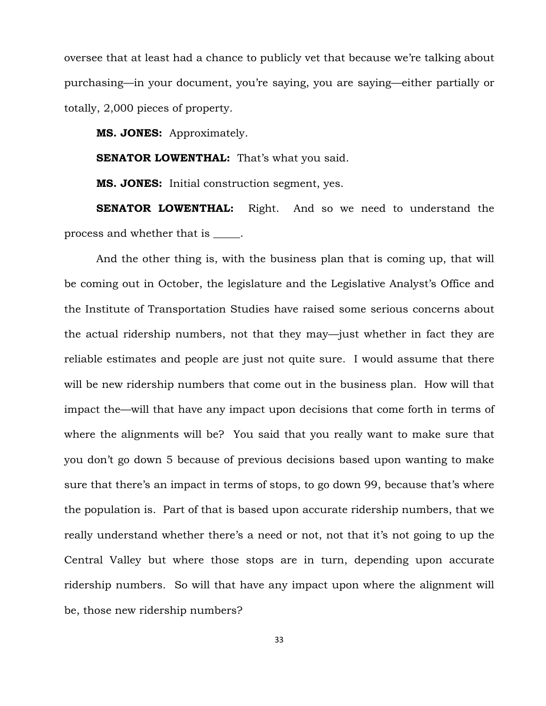oversee that at least had a chance to publicly vet that because we're talking about purchasing—in your document, you're saying, you are saying—either partially or totally, 2,000 pieces of property.

**MS. JONES:** Approximately.

**SENATOR LOWENTHAL:** That's what you said.

**MS. JONES:** Initial construction segment, yes.

**SENATOR LOWENTHAL:** Right. And so we need to understand the process and whether that is \_\_\_\_\_.

And the other thing is, with the business plan that is coming up, that will be coming out in October, the legislature and the Legislative Analyst's Office and the Institute of Transportation Studies have raised some serious concerns about the actual ridership numbers, not that they may—just whether in fact they are reliable estimates and people are just not quite sure. I would assume that there will be new ridership numbers that come out in the business plan. How will that impact the—will that have any impact upon decisions that come forth in terms of where the alignments will be? You said that you really want to make sure that you don't go down 5 because of previous decisions based upon wanting to make sure that there's an impact in terms of stops, to go down 99, because that's where the population is. Part of that is based upon accurate ridership numbers, that we really understand whether there's a need or not, not that it's not going to up the Central Valley but where those stops are in turn, depending upon accurate ridership numbers. So will that have any impact upon where the alignment will be, those new ridership numbers?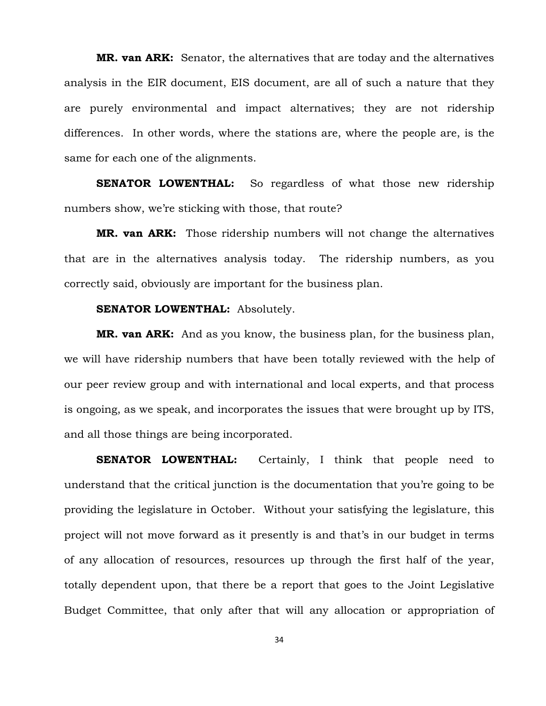**MR. van ARK:** Senator, the alternatives that are today and the alternatives analysis in the EIR document, EIS document, are all of such a nature that they are purely environmental and impact alternatives; they are not ridership differences. In other words, where the stations are, where the people are, is the same for each one of the alignments.

**SENATOR LOWENTHAL:** So regardless of what those new ridership numbers show, we're sticking with those, that route?

**MR. van ARK:** Those ridership numbers will not change the alternatives that are in the alternatives analysis today. The ridership numbers, as you correctly said, obviously are important for the business plan.

### **SENATOR LOWENTHAL:** Absolutely.

**MR. van ARK:** And as you know, the business plan, for the business plan, we will have ridership numbers that have been totally reviewed with the help of our peer review group and with international and local experts, and that process is ongoing, as we speak, and incorporates the issues that were brought up by ITS, and all those things are being incorporated.

**SENATOR LOWENTHAL:** Certainly, I think that people need to understand that the critical junction is the documentation that you're going to be providing the legislature in October. Without your satisfying the legislature, this project will not move forward as it presently is and that's in our budget in terms of any allocation of resources, resources up through the first half of the year, totally dependent upon, that there be a report that goes to the Joint Legislative Budget Committee, that only after that will any allocation or appropriation of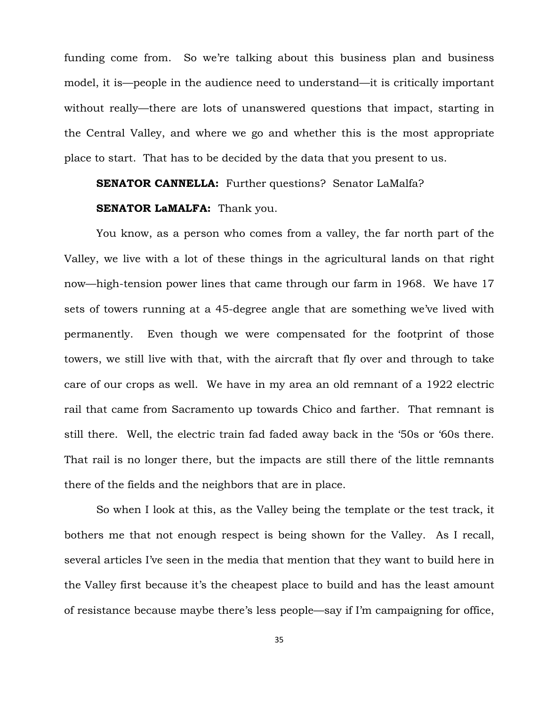funding come from. So we're talking about this business plan and business model, it is—people in the audience need to understand—it is critically important without really—there are lots of unanswered questions that impact, starting in the Central Valley, and where we go and whether this is the most appropriate place to start. That has to be decided by the data that you present to us.

## **SENATOR CANNELLA:** Further questions? Senator LaMalfa?

#### **SENATOR LaMALFA:** Thank you.

You know, as a person who comes from a valley, the far north part of the Valley, we live with a lot of these things in the agricultural lands on that right now—high-tension power lines that came through our farm in 1968. We have 17 sets of towers running at a 45-degree angle that are something we've lived with permanently. Even though we were compensated for the footprint of those towers, we still live with that, with the aircraft that fly over and through to take care of our crops as well. We have in my area an old remnant of a 1922 electric rail that came from Sacramento up towards Chico and farther. That remnant is still there. Well, the electric train fad faded away back in the '50s or '60s there. That rail is no longer there, but the impacts are still there of the little remnants there of the fields and the neighbors that are in place.

So when I look at this, as the Valley being the template or the test track, it bothers me that not enough respect is being shown for the Valley. As I recall, several articles I've seen in the media that mention that they want to build here in the Valley first because it's the cheapest place to build and has the least amount of resistance because maybe there's less people—say if I'm campaigning for office,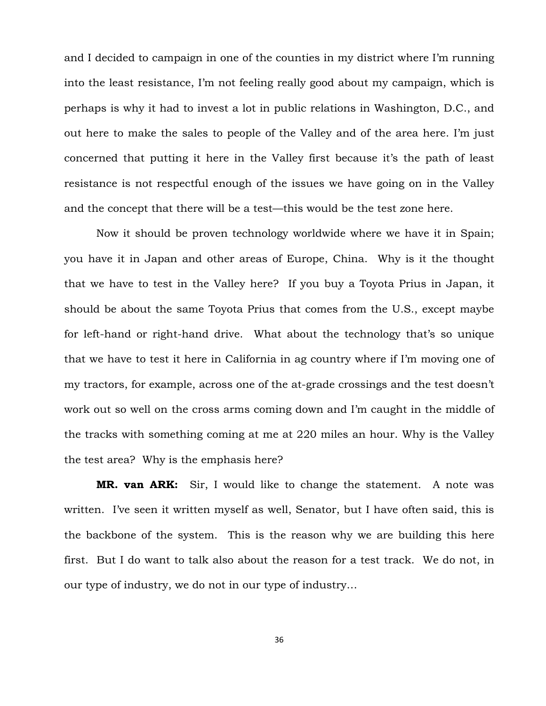and I decided to campaign in one of the counties in my district where I'm running into the least resistance, I'm not feeling really good about my campaign, which is perhaps is why it had to invest a lot in public relations in Washington, D.C., and out here to make the sales to people of the Valley and of the area here. I'm just concerned that putting it here in the Valley first because it's the path of least resistance is not respectful enough of the issues we have going on in the Valley and the concept that there will be a test—this would be the test zone here.

Now it should be proven technology worldwide where we have it in Spain; you have it in Japan and other areas of Europe, China. Why is it the thought that we have to test in the Valley here? If you buy a Toyota Prius in Japan, it should be about the same Toyota Prius that comes from the U.S., except maybe for left-hand or right-hand drive. What about the technology that's so unique that we have to test it here in California in ag country where if I'm moving one of my tractors, for example, across one of the at-grade crossings and the test doesn't work out so well on the cross arms coming down and I'm caught in the middle of the tracks with something coming at me at 220 miles an hour. Why is the Valley the test area? Why is the emphasis here?

**MR. van ARK:** Sir, I would like to change the statement. A note was written. I've seen it written myself as well, Senator, but I have often said, this is the backbone of the system. This is the reason why we are building this here first. But I do want to talk also about the reason for a test track. We do not, in our type of industry, we do not in our type of industry…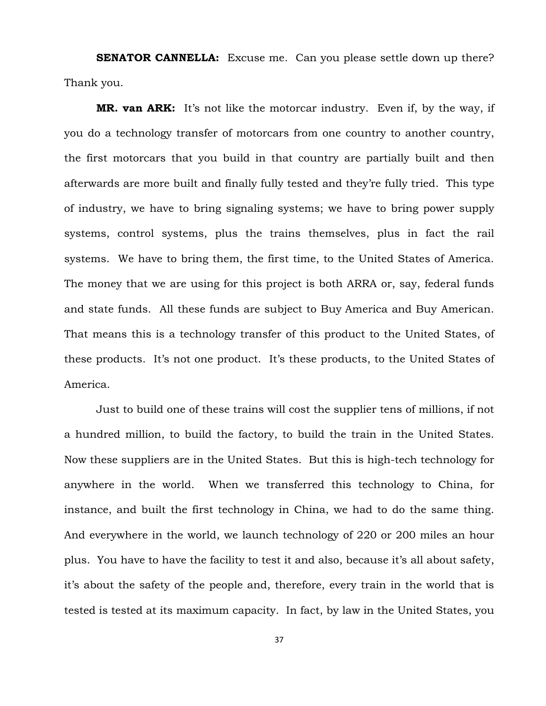**SENATOR CANNELLA:** Excuse me. Can you please settle down up there? Thank you.

**MR. van ARK:** It's not like the motorcar industry. Even if, by the way, if you do a technology transfer of motorcars from one country to another country, the first motorcars that you build in that country are partially built and then afterwards are more built and finally fully tested and they're fully tried. This type of industry, we have to bring signaling systems; we have to bring power supply systems, control systems, plus the trains themselves, plus in fact the rail systems. We have to bring them, the first time, to the United States of America. The money that we are using for this project is both ARRA or, say, federal funds and state funds. All these funds are subject to Buy America and Buy American. That means this is a technology transfer of this product to the United States, of these products. It's not one product. It's these products, to the United States of America.

Just to build one of these trains will cost the supplier tens of millions, if not a hundred million, to build the factory, to build the train in the United States. Now these suppliers are in the United States. But this is high-tech technology for anywhere in the world. When we transferred this technology to China, for instance, and built the first technology in China, we had to do the same thing. And everywhere in the world, we launch technology of 220 or 200 miles an hour plus. You have to have the facility to test it and also, because it's all about safety, it's about the safety of the people and, therefore, every train in the world that is tested is tested at its maximum capacity. In fact, by law in the United States, you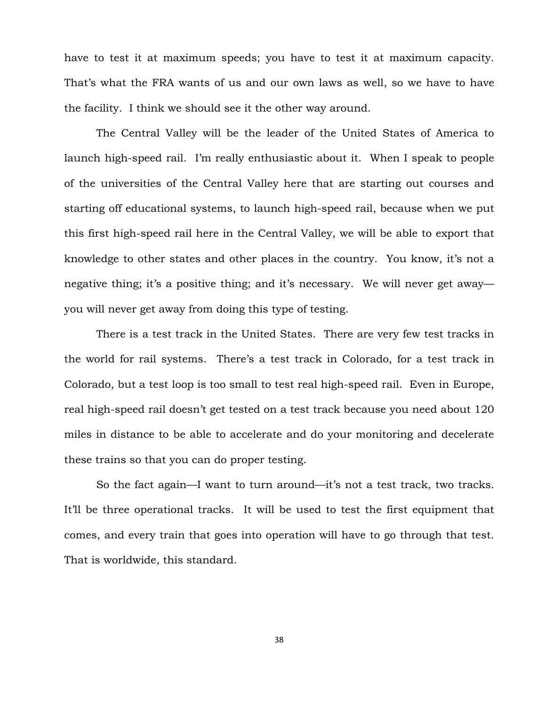have to test it at maximum speeds; you have to test it at maximum capacity. That's what the FRA wants of us and our own laws as well, so we have to have the facility. I think we should see it the other way around.

The Central Valley will be the leader of the United States of America to launch high-speed rail. I'm really enthusiastic about it. When I speak to people of the universities of the Central Valley here that are starting out courses and starting off educational systems, to launch high-speed rail, because when we put this first high-speed rail here in the Central Valley, we will be able to export that knowledge to other states and other places in the country. You know, it's not a negative thing; it's a positive thing; and it's necessary. We will never get away you will never get away from doing this type of testing.

There is a test track in the United States. There are very few test tracks in the world for rail systems. There's a test track in Colorado, for a test track in Colorado, but a test loop is too small to test real high-speed rail. Even in Europe, real high-speed rail doesn't get tested on a test track because you need about 120 miles in distance to be able to accelerate and do your monitoring and decelerate these trains so that you can do proper testing.

So the fact again—I want to turn around—it's not a test track, two tracks. It'll be three operational tracks. It will be used to test the first equipment that comes, and every train that goes into operation will have to go through that test. That is worldwide, this standard.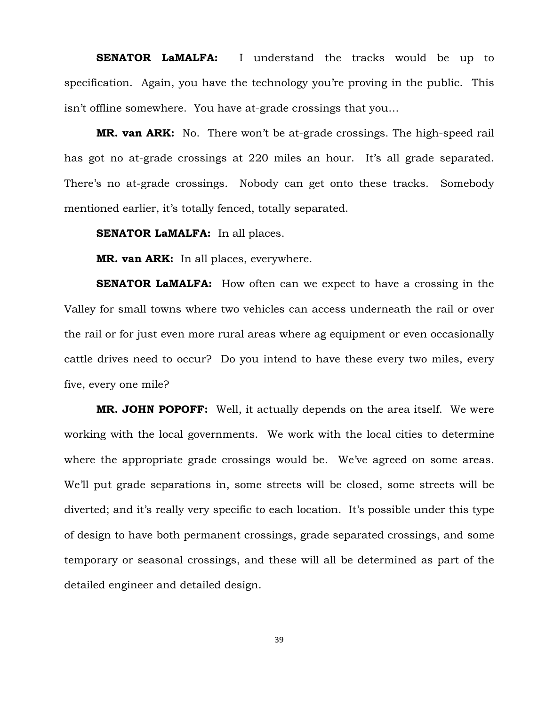**SENATOR LaMALFA:** I understand the tracks would be up to specification. Again, you have the technology you're proving in the public. This isn't offline somewhere. You have at-grade crossings that you…

**MR. van ARK:** No. There won't be at-grade crossings. The high-speed rail has got no at-grade crossings at 220 miles an hour. It's all grade separated. There's no at-grade crossings. Nobody can get onto these tracks. Somebody mentioned earlier, it's totally fenced, totally separated.

**SENATOR LaMALFA:** In all places.

**MR. van ARK:** In all places, everywhere.

**SENATOR LaMALFA:** How often can we expect to have a crossing in the Valley for small towns where two vehicles can access underneath the rail or over the rail or for just even more rural areas where ag equipment or even occasionally cattle drives need to occur? Do you intend to have these every two miles, every five, every one mile?

**MR. JOHN POPOFF:** Well, it actually depends on the area itself. We were working with the local governments. We work with the local cities to determine where the appropriate grade crossings would be. We've agreed on some areas. We'll put grade separations in, some streets will be closed, some streets will be diverted; and it's really very specific to each location. It's possible under this type of design to have both permanent crossings, grade separated crossings, and some temporary or seasonal crossings, and these will all be determined as part of the detailed engineer and detailed design.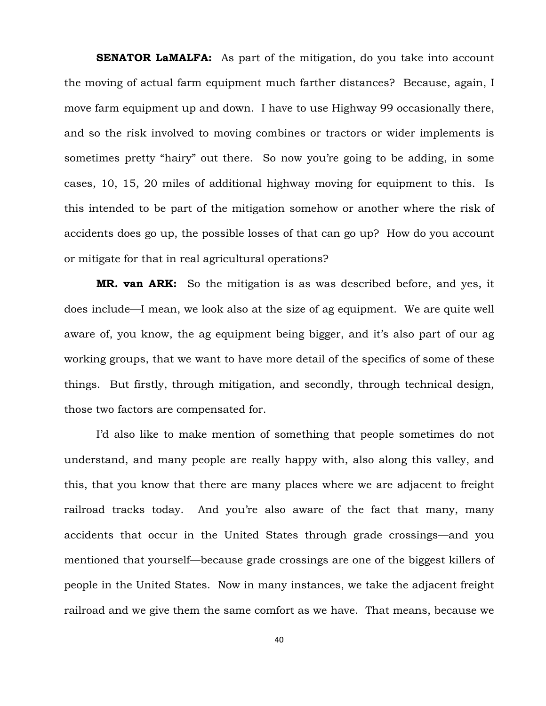**SENATOR LaMALFA:** As part of the mitigation, do you take into account the moving of actual farm equipment much farther distances? Because, again, I move farm equipment up and down. I have to use Highway 99 occasionally there, and so the risk involved to moving combines or tractors or wider implements is sometimes pretty "hairy" out there. So now you're going to be adding, in some cases, 10, 15, 20 miles of additional highway moving for equipment to this. Is this intended to be part of the mitigation somehow or another where the risk of accidents does go up, the possible losses of that can go up? How do you account or mitigate for that in real agricultural operations?

**MR. van ARK:** So the mitigation is as was described before, and yes, it does include—I mean, we look also at the size of ag equipment. We are quite well aware of, you know, the ag equipment being bigger, and it's also part of our ag working groups, that we want to have more detail of the specifics of some of these things. But firstly, through mitigation, and secondly, through technical design, those two factors are compensated for.

I'd also like to make mention of something that people sometimes do not understand, and many people are really happy with, also along this valley, and this, that you know that there are many places where we are adjacent to freight railroad tracks today. And you're also aware of the fact that many, many accidents that occur in the United States through grade crossings—and you mentioned that yourself—because grade crossings are one of the biggest killers of people in the United States. Now in many instances, we take the adjacent freight railroad and we give them the same comfort as we have. That means, because we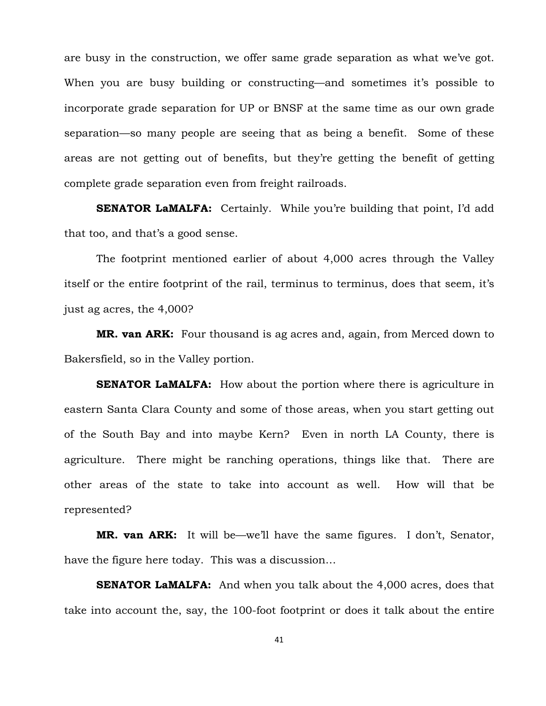are busy in the construction, we offer same grade separation as what we've got. When you are busy building or constructing—and sometimes it's possible to incorporate grade separation for UP or BNSF at the same time as our own grade separation—so many people are seeing that as being a benefit. Some of these areas are not getting out of benefits, but they're getting the benefit of getting complete grade separation even from freight railroads.

**SENATOR LaMALFA:** Certainly. While you're building that point, I'd add that too, and that's a good sense.

The footprint mentioned earlier of about 4,000 acres through the Valley itself or the entire footprint of the rail, terminus to terminus, does that seem, it's just ag acres, the 4,000?

**MR. van ARK:** Four thousand is ag acres and, again, from Merced down to Bakersfield, so in the Valley portion.

**SENATOR LaMALFA:** How about the portion where there is agriculture in eastern Santa Clara County and some of those areas, when you start getting out of the South Bay and into maybe Kern? Even in north LA County, there is agriculture. There might be ranching operations, things like that. There are other areas of the state to take into account as well. How will that be represented?

**MR. van ARK:** It will be—we'll have the same figures. I don't, Senator, have the figure here today. This was a discussion…

**SENATOR LaMALFA:** And when you talk about the 4,000 acres, does that take into account the, say, the 100-foot footprint or does it talk about the entire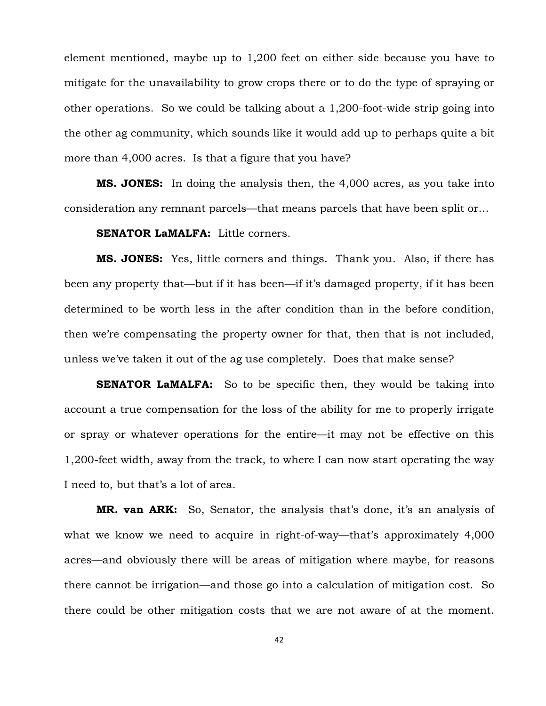element mentioned, maybe up to 1,200 feet on either side because you have to mitigate for the unavailability to grow crops there or to do the type of spraying or other operations. So we could be talking about a 1,200-foot-wide strip going into the other ag community, which sounds like it would add up to perhaps quite a bit more than 4,000 acres. Is that a figure that you have?

**MS. JONES:** In doing the analysis then, the 4,000 acres, as you take into consideration any remnant parcels—that means parcels that have been split or…

### **SENATOR LaMALFA:** Little corners.

**MS. JONES:** Yes, little corners and things. Thank you. Also, if there has been any property that—but if it has been—if it's damaged property, if it has been determined to be worth less in the after condition than in the before condition, then we're compensating the property owner for that, then that is not included, unless we've taken it out of the ag use completely. Does that make sense?

**SENATOR LaMALFA:** So to be specific then, they would be taking into account a true compensation for the loss of the ability for me to properly irrigate or spray or whatever operations for the entire—it may not be effective on this 1,200-feet width, away from the track, to where I can now start operating the way I need to, but that's a lot of area.

**MR. van ARK:** So, Senator, the analysis that's done, it's an analysis of what we know we need to acquire in right-of-way—that's approximately 4,000 acres—and obviously there will be areas of mitigation where maybe, for reasons there cannot be irrigation—and those go into a calculation of mitigation cost. So there could be other mitigation costs that we are not aware of at the moment.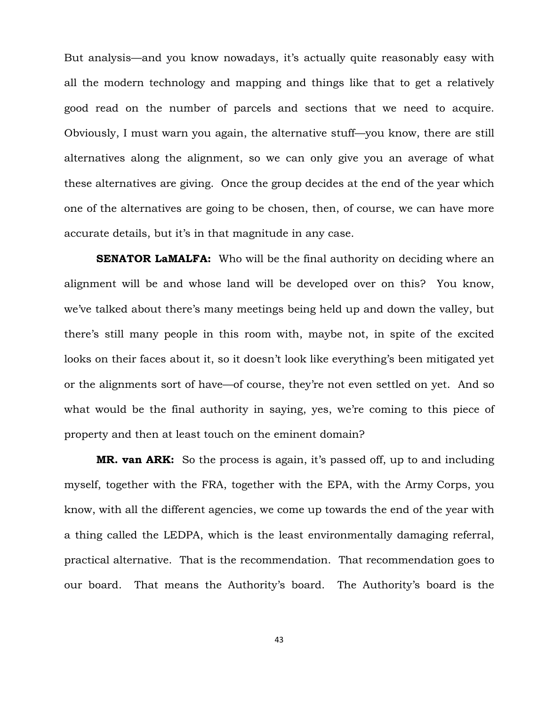But analysis—and you know nowadays, it's actually quite reasonably easy with all the modern technology and mapping and things like that to get a relatively good read on the number of parcels and sections that we need to acquire. Obviously, I must warn you again, the alternative stuff—you know, there are still alternatives along the alignment, so we can only give you an average of what these alternatives are giving. Once the group decides at the end of the year which one of the alternatives are going to be chosen, then, of course, we can have more accurate details, but it's in that magnitude in any case.

**SENATOR LaMALFA:** Who will be the final authority on deciding where an alignment will be and whose land will be developed over on this? You know, we've talked about there's many meetings being held up and down the valley, but there's still many people in this room with, maybe not, in spite of the excited looks on their faces about it, so it doesn't look like everything's been mitigated yet or the alignments sort of have—of course, they're not even settled on yet. And so what would be the final authority in saying, yes, we're coming to this piece of property and then at least touch on the eminent domain?

**MR. van ARK:** So the process is again, it's passed off, up to and including myself, together with the FRA, together with the EPA, with the Army Corps, you know, with all the different agencies, we come up towards the end of the year with a thing called the LEDPA, which is the least environmentally damaging referral, practical alternative. That is the recommendation. That recommendation goes to our board. That means the Authority's board. The Authority's board is the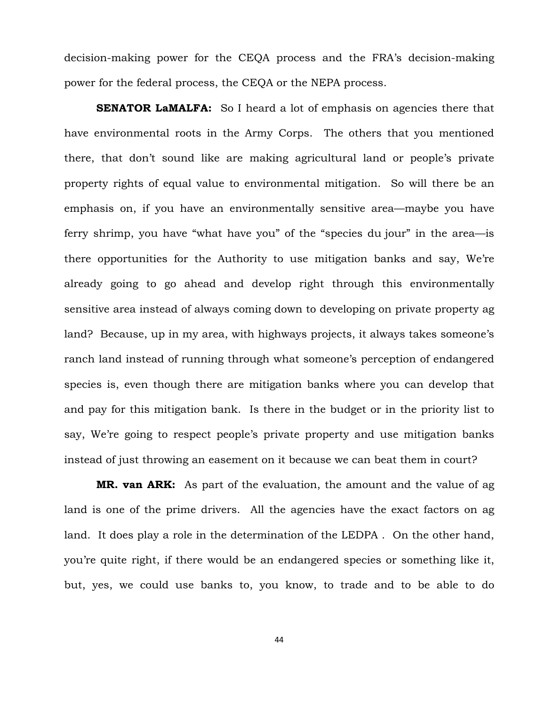decision-making power for the CEQA process and the FRA's decision-making power for the federal process, the CEQA or the NEPA process.

**SENATOR LaMALFA:** So I heard a lot of emphasis on agencies there that have environmental roots in the Army Corps. The others that you mentioned there, that don't sound like are making agricultural land or people's private property rights of equal value to environmental mitigation. So will there be an emphasis on, if you have an environmentally sensitive area—maybe you have ferry shrimp, you have "what have you" of the "species du jour" in the area—is there opportunities for the Authority to use mitigation banks and say, We're already going to go ahead and develop right through this environmentally sensitive area instead of always coming down to developing on private property ag land? Because, up in my area, with highways projects, it always takes someone's ranch land instead of running through what someone's perception of endangered species is, even though there are mitigation banks where you can develop that and pay for this mitigation bank. Is there in the budget or in the priority list to say, We're going to respect people's private property and use mitigation banks instead of just throwing an easement on it because we can beat them in court?

**MR. van ARK:** As part of the evaluation, the amount and the value of ag land is one of the prime drivers. All the agencies have the exact factors on ag land. It does play a role in the determination of the LEDPA . On the other hand, you're quite right, if there would be an endangered species or something like it, but, yes, we could use banks to, you know, to trade and to be able to do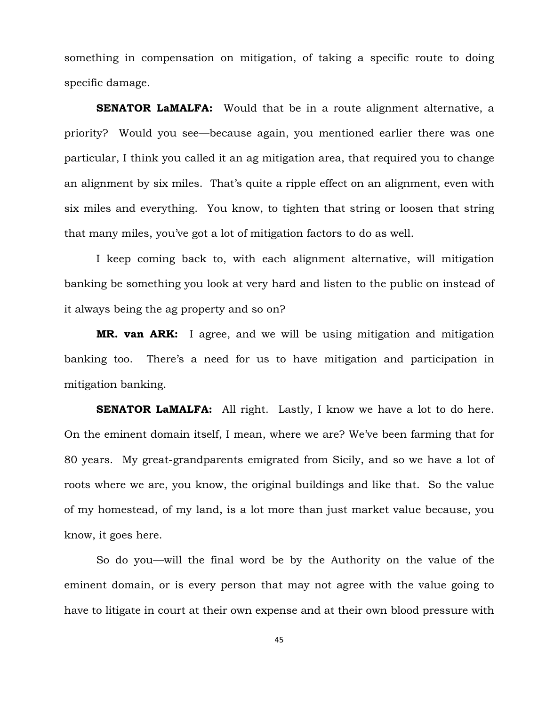something in compensation on mitigation, of taking a specific route to doing specific damage.

**SENATOR LaMALFA:** Would that be in a route alignment alternative, a priority? Would you see—because again, you mentioned earlier there was one particular, I think you called it an ag mitigation area, that required you to change an alignment by six miles. That's quite a ripple effect on an alignment, even with six miles and everything. You know, to tighten that string or loosen that string that many miles, you've got a lot of mitigation factors to do as well.

I keep coming back to, with each alignment alternative, will mitigation banking be something you look at very hard and listen to the public on instead of it always being the ag property and so on?

**MR. van ARK:** I agree, and we will be using mitigation and mitigation banking too. There's a need for us to have mitigation and participation in mitigation banking.

**SENATOR LaMALFA:** All right. Lastly, I know we have a lot to do here. On the eminent domain itself, I mean, where we are? We've been farming that for 80 years. My great-grandparents emigrated from Sicily, and so we have a lot of roots where we are, you know, the original buildings and like that. So the value of my homestead, of my land, is a lot more than just market value because, you know, it goes here.

So do you—will the final word be by the Authority on the value of the eminent domain, or is every person that may not agree with the value going to have to litigate in court at their own expense and at their own blood pressure with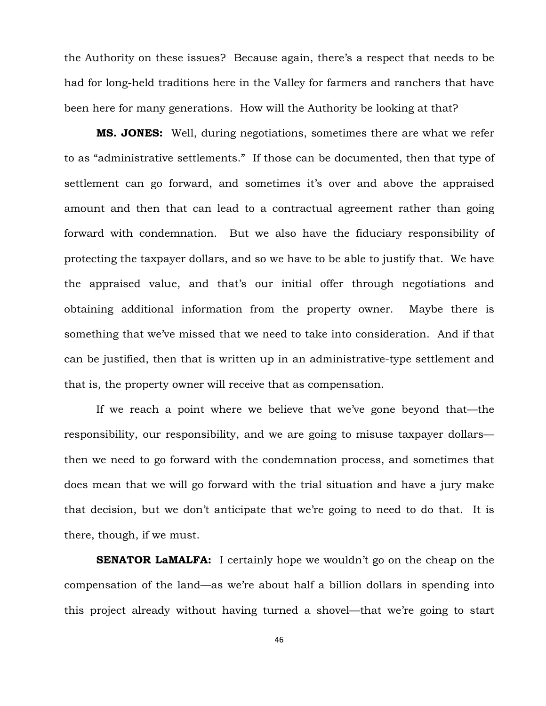the Authority on these issues? Because again, there's a respect that needs to be had for long-held traditions here in the Valley for farmers and ranchers that have been here for many generations. How will the Authority be looking at that?

**MS. JONES:** Well, during negotiations, sometimes there are what we refer to as "administrative settlements." If those can be documented, then that type of settlement can go forward, and sometimes it's over and above the appraised amount and then that can lead to a contractual agreement rather than going forward with condemnation. But we also have the fiduciary responsibility of protecting the taxpayer dollars, and so we have to be able to justify that. We have the appraised value, and that's our initial offer through negotiations and obtaining additional information from the property owner. Maybe there is something that we've missed that we need to take into consideration. And if that can be justified, then that is written up in an administrative-type settlement and that is, the property owner will receive that as compensation.

If we reach a point where we believe that we've gone beyond that—the responsibility, our responsibility, and we are going to misuse taxpayer dollars then we need to go forward with the condemnation process, and sometimes that does mean that we will go forward with the trial situation and have a jury make that decision, but we don't anticipate that we're going to need to do that. It is there, though, if we must.

**SENATOR LaMALFA:** I certainly hope we wouldn't go on the cheap on the compensation of the land—as we're about half a billion dollars in spending into this project already without having turned a shovel—that we're going to start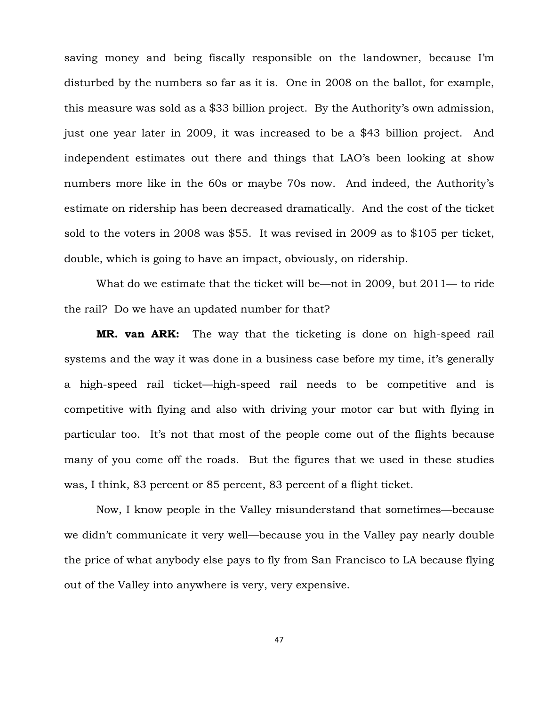saving money and being fiscally responsible on the landowner, because I'm disturbed by the numbers so far as it is. One in 2008 on the ballot, for example, this measure was sold as a \$33 billion project. By the Authority's own admission, just one year later in 2009, it was increased to be a \$43 billion project. And independent estimates out there and things that LAO's been looking at show numbers more like in the 60s or maybe 70s now. And indeed, the Authority's estimate on ridership has been decreased dramatically. And the cost of the ticket sold to the voters in 2008 was \$55. It was revised in 2009 as to \$105 per ticket, double, which is going to have an impact, obviously, on ridership.

What do we estimate that the ticket will be—not in 2009, but 2011— to ride the rail? Do we have an updated number for that?

**MR. van ARK:** The way that the ticketing is done on high-speed rail systems and the way it was done in a business case before my time, it's generally a high-speed rail ticket—high-speed rail needs to be competitive and is competitive with flying and also with driving your motor car but with flying in particular too. It's not that most of the people come out of the flights because many of you come off the roads. But the figures that we used in these studies was, I think, 83 percent or 85 percent, 83 percent of a flight ticket.

Now, I know people in the Valley misunderstand that sometimes—because we didn't communicate it very well—because you in the Valley pay nearly double the price of what anybody else pays to fly from San Francisco to LA because flying out of the Valley into anywhere is very, very expensive.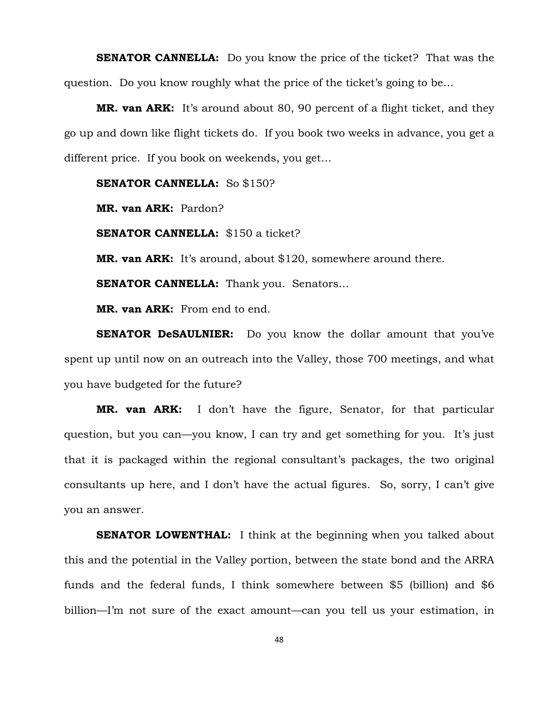**SENATOR CANNELLA:** Do you know the price of the ticket? That was the question. Do you know roughly what the price of the ticket's going to be…

**MR. van ARK:** It's around about 80, 90 percent of a flight ticket, and they go up and down like flight tickets do. If you book two weeks in advance, you get a different price. If you book on weekends, you get…

### **SENATOR CANNELLA:** So \$150?

**MR. van ARK:** Pardon?

**SENATOR CANNELLA:** \$150 a ticket?

**MR. van ARK:** It's around, about \$120, somewhere around there.

**SENATOR CANNELLA:** Thank you. Senators...

**MR. van ARK:** From end to end.

**SENATOR DeSAULNIER:** Do you know the dollar amount that you've spent up until now on an outreach into the Valley, those 700 meetings, and what you have budgeted for the future?

**MR. van ARK:** I don't have the figure, Senator, for that particular question, but you can—you know, I can try and get something for you. It's just that it is packaged within the regional consultant's packages, the two original consultants up here, and I don't have the actual figures. So, sorry, I can't give you an answer.

**SENATOR LOWENTHAL:** I think at the beginning when you talked about this and the potential in the Valley portion, between the state bond and the ARRA funds and the federal funds, I think somewhere between \$5 (billion) and \$6 billion—I'm not sure of the exact amount—can you tell us your estimation, in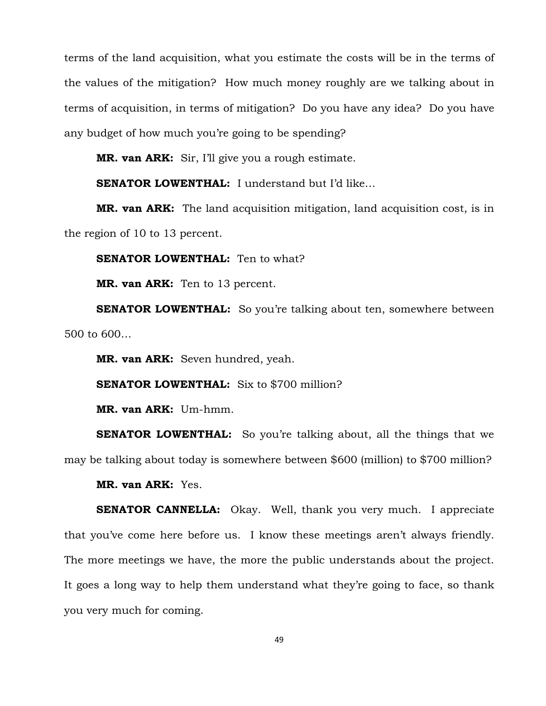terms of the land acquisition, what you estimate the costs will be in the terms of the values of the mitigation? How much money roughly are we talking about in terms of acquisition, in terms of mitigation? Do you have any idea? Do you have any budget of how much you're going to be spending?

**MR. van ARK:** Sir, I'll give you a rough estimate.

**SENATOR LOWENTHAL:** I understand but I'd like…

**MR. van ARK:** The land acquisition mitigation, land acquisition cost, is in the region of 10 to 13 percent.

**SENATOR LOWENTHAL:** Ten to what?

**MR. van ARK:** Ten to 13 percent.

**SENATOR LOWENTHAL:** So you're talking about ten, somewhere between 500 to 600…

**MR. van ARK:** Seven hundred, yeah.

**SENATOR LOWENTHAL:** Six to \$700 million?

**MR. van ARK:** Um-hmm.

**SENATOR LOWENTHAL:** So you're talking about, all the things that we may be talking about today is somewhere between \$600 (million) to \$700 million?

**MR. van ARK:** Yes.

**SENATOR CANNELLA:** Okay. Well, thank you very much. I appreciate that you've come here before us. I know these meetings aren't always friendly. The more meetings we have, the more the public understands about the project. It goes a long way to help them understand what they're going to face, so thank you very much for coming.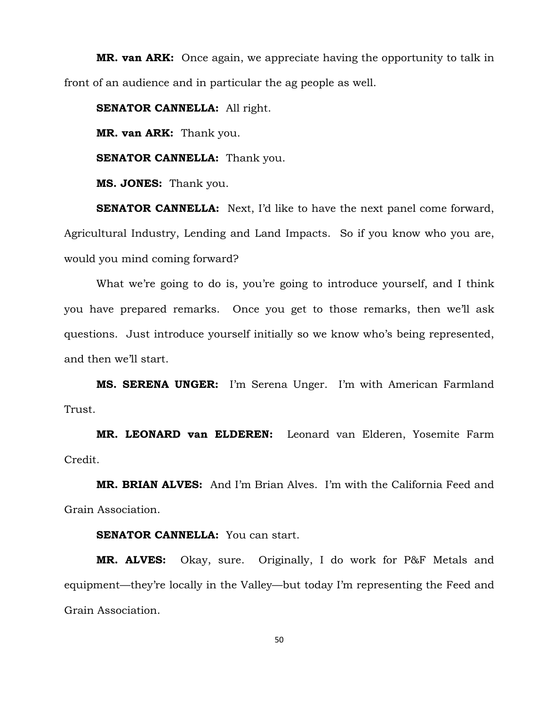**MR. van ARK:** Once again, we appreciate having the opportunity to talk in front of an audience and in particular the ag people as well.

**SENATOR CANNELLA:** All right.

**MR. van ARK:** Thank you.

**SENATOR CANNELLA:** Thank you.

**MS. JONES:** Thank you.

**SENATOR CANNELLA:** Next, I'd like to have the next panel come forward, Agricultural Industry, Lending and Land Impacts. So if you know who you are, would you mind coming forward?

What we're going to do is, you're going to introduce yourself, and I think you have prepared remarks. Once you get to those remarks, then we'll ask questions. Just introduce yourself initially so we know who's being represented, and then we'll start.

**MS. SERENA UNGER:** I'm Serena Unger. I'm with American Farmland Trust.

**MR. LEONARD van ELDEREN:** Leonard van Elderen, Yosemite Farm Credit.

**MR. BRIAN ALVES:** And I'm Brian Alves. I'm with the California Feed and Grain Association.

# **SENATOR CANNELLA:** You can start.

**MR. ALVES:** Okay, sure. Originally, I do work for P&F Metals and equipment—they're locally in the Valley—but today I'm representing the Feed and Grain Association.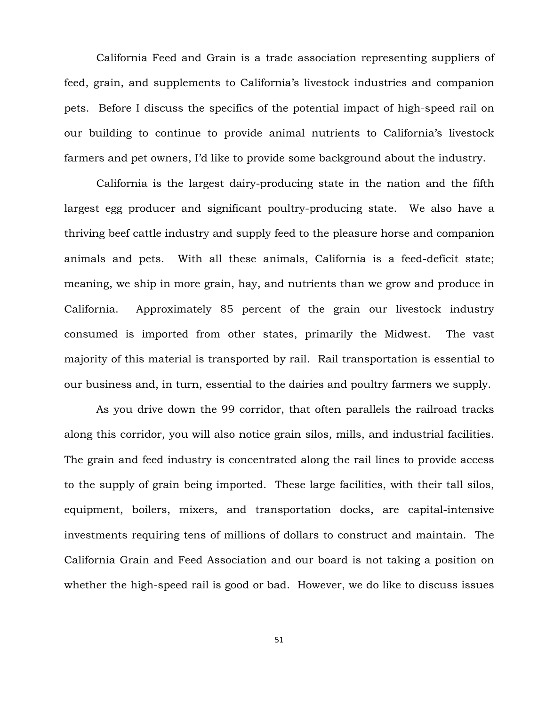California Feed and Grain is a trade association representing suppliers of feed, grain, and supplements to California's livestock industries and companion pets. Before I discuss the specifics of the potential impact of high-speed rail on our building to continue to provide animal nutrients to California's livestock farmers and pet owners, I'd like to provide some background about the industry.

California is the largest dairy-producing state in the nation and the fifth largest egg producer and significant poultry-producing state. We also have a thriving beef cattle industry and supply feed to the pleasure horse and companion animals and pets. With all these animals, California is a feed-deficit state; meaning, we ship in more grain, hay, and nutrients than we grow and produce in California. Approximately 85 percent of the grain our livestock industry consumed is imported from other states, primarily the Midwest. The vast majority of this material is transported by rail. Rail transportation is essential to our business and, in turn, essential to the dairies and poultry farmers we supply.

As you drive down the 99 corridor, that often parallels the railroad tracks along this corridor, you will also notice grain silos, mills, and industrial facilities. The grain and feed industry is concentrated along the rail lines to provide access to the supply of grain being imported. These large facilities, with their tall silos, equipment, boilers, mixers, and transportation docks, are capital-intensive investments requiring tens of millions of dollars to construct and maintain. The California Grain and Feed Association and our board is not taking a position on whether the high-speed rail is good or bad. However, we do like to discuss issues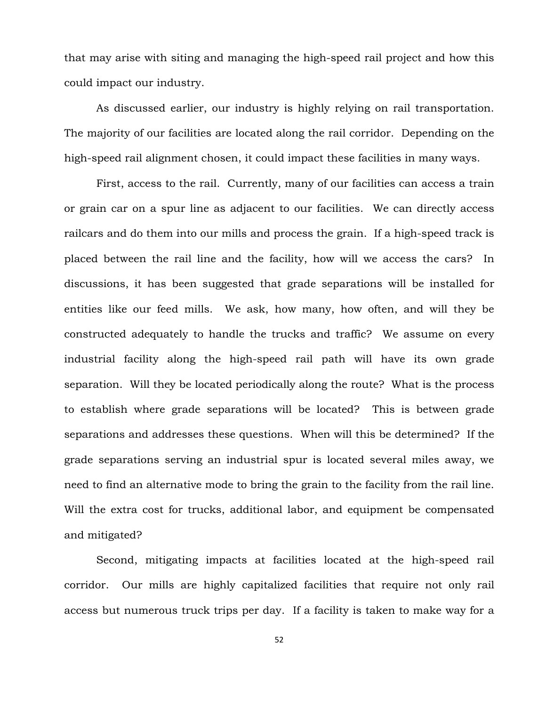that may arise with siting and managing the high-speed rail project and how this could impact our industry.

As discussed earlier, our industry is highly relying on rail transportation. The majority of our facilities are located along the rail corridor. Depending on the high-speed rail alignment chosen, it could impact these facilities in many ways.

First, access to the rail. Currently, many of our facilities can access a train or grain car on a spur line as adjacent to our facilities. We can directly access railcars and do them into our mills and process the grain. If a high-speed track is placed between the rail line and the facility, how will we access the cars? In discussions, it has been suggested that grade separations will be installed for entities like our feed mills. We ask, how many, how often, and will they be constructed adequately to handle the trucks and traffic? We assume on every industrial facility along the high-speed rail path will have its own grade separation. Will they be located periodically along the route? What is the process to establish where grade separations will be located? This is between grade separations and addresses these questions. When will this be determined? If the grade separations serving an industrial spur is located several miles away, we need to find an alternative mode to bring the grain to the facility from the rail line. Will the extra cost for trucks, additional labor, and equipment be compensated and mitigated?

Second, mitigating impacts at facilities located at the high-speed rail corridor. Our mills are highly capitalized facilities that require not only rail access but numerous truck trips per day. If a facility is taken to make way for a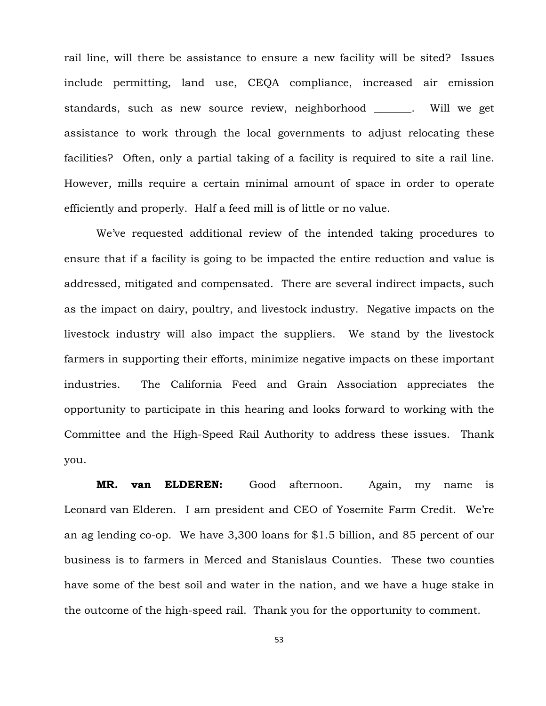rail line, will there be assistance to ensure a new facility will be sited? Issues include permitting, land use, CEQA compliance, increased air emission standards, such as new source review, neighborhood . Will we get assistance to work through the local governments to adjust relocating these facilities? Often, only a partial taking of a facility is required to site a rail line. However, mills require a certain minimal amount of space in order to operate efficiently and properly. Half a feed mill is of little or no value.

We've requested additional review of the intended taking procedures to ensure that if a facility is going to be impacted the entire reduction and value is addressed, mitigated and compensated. There are several indirect impacts, such as the impact on dairy, poultry, and livestock industry. Negative impacts on the livestock industry will also impact the suppliers. We stand by the livestock farmers in supporting their efforts, minimize negative impacts on these important industries. The California Feed and Grain Association appreciates the opportunity to participate in this hearing and looks forward to working with the Committee and the High-Speed Rail Authority to address these issues. Thank you.

**MR. van ELDEREN:** Good afternoon. Again, my name is Leonard van Elderen. I am president and CEO of Yosemite Farm Credit. We're an ag lending co-op. We have 3,300 loans for \$1.5 billion, and 85 percent of our business is to farmers in Merced and Stanislaus Counties. These two counties have some of the best soil and water in the nation, and we have a huge stake in the outcome of the high-speed rail. Thank you for the opportunity to comment.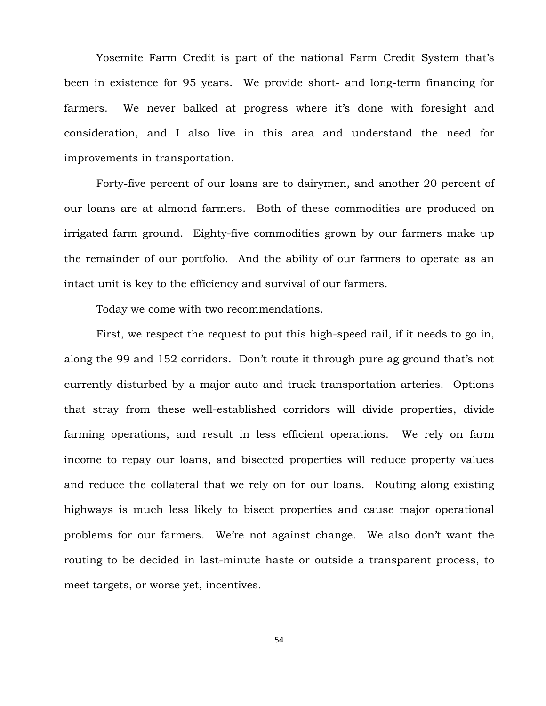Yosemite Farm Credit is part of the national Farm Credit System that's been in existence for 95 years. We provide short- and long-term financing for farmers. We never balked at progress where it's done with foresight and consideration, and I also live in this area and understand the need for improvements in transportation.

Forty-five percent of our loans are to dairymen, and another 20 percent of our loans are at almond farmers. Both of these commodities are produced on irrigated farm ground. Eighty-five commodities grown by our farmers make up the remainder of our portfolio. And the ability of our farmers to operate as an intact unit is key to the efficiency and survival of our farmers.

Today we come with two recommendations.

First, we respect the request to put this high-speed rail, if it needs to go in, along the 99 and 152 corridors. Don't route it through pure ag ground that's not currently disturbed by a major auto and truck transportation arteries. Options that stray from these well-established corridors will divide properties, divide farming operations, and result in less efficient operations. We rely on farm income to repay our loans, and bisected properties will reduce property values and reduce the collateral that we rely on for our loans. Routing along existing highways is much less likely to bisect properties and cause major operational problems for our farmers. We're not against change. We also don't want the routing to be decided in last-minute haste or outside a transparent process, to meet targets, or worse yet, incentives.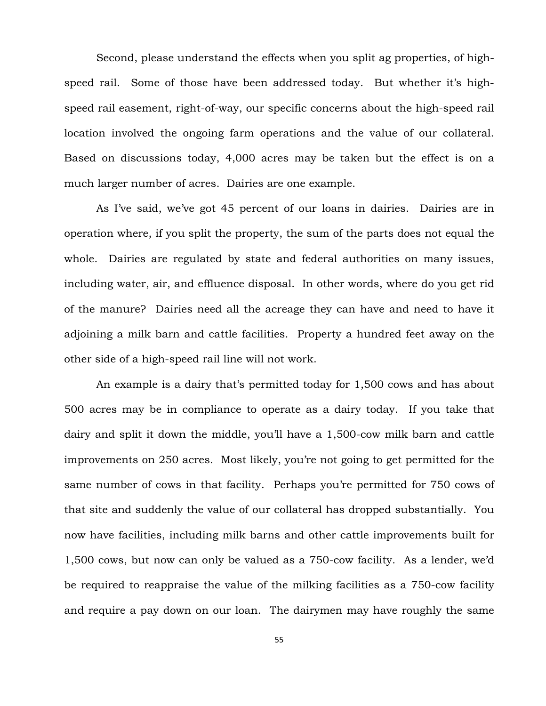Second, please understand the effects when you split ag properties, of highspeed rail. Some of those have been addressed today. But whether it's highspeed rail easement, right-of-way, our specific concerns about the high-speed rail location involved the ongoing farm operations and the value of our collateral. Based on discussions today, 4,000 acres may be taken but the effect is on a much larger number of acres. Dairies are one example.

As I've said, we've got 45 percent of our loans in dairies. Dairies are in operation where, if you split the property, the sum of the parts does not equal the whole. Dairies are regulated by state and federal authorities on many issues, including water, air, and effluence disposal. In other words, where do you get rid of the manure? Dairies need all the acreage they can have and need to have it adjoining a milk barn and cattle facilities. Property a hundred feet away on the other side of a high-speed rail line will not work.

An example is a dairy that's permitted today for 1,500 cows and has about 500 acres may be in compliance to operate as a dairy today. If you take that dairy and split it down the middle, you'll have a 1,500-cow milk barn and cattle improvements on 250 acres. Most likely, you're not going to get permitted for the same number of cows in that facility. Perhaps you're permitted for 750 cows of that site and suddenly the value of our collateral has dropped substantially. You now have facilities, including milk barns and other cattle improvements built for 1,500 cows, but now can only be valued as a 750-cow facility. As a lender, we'd be required to reappraise the value of the milking facilities as a 750-cow facility and require a pay down on our loan. The dairymen may have roughly the same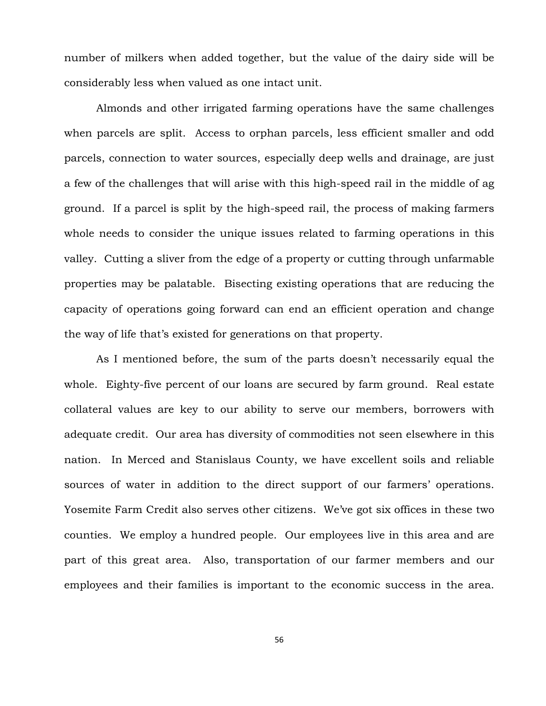number of milkers when added together, but the value of the dairy side will be considerably less when valued as one intact unit.

Almonds and other irrigated farming operations have the same challenges when parcels are split. Access to orphan parcels, less efficient smaller and odd parcels, connection to water sources, especially deep wells and drainage, are just a few of the challenges that will arise with this high-speed rail in the middle of ag ground. If a parcel is split by the high-speed rail, the process of making farmers whole needs to consider the unique issues related to farming operations in this valley. Cutting a sliver from the edge of a property or cutting through unfarmable properties may be palatable. Bisecting existing operations that are reducing the capacity of operations going forward can end an efficient operation and change the way of life that's existed for generations on that property.

As I mentioned before, the sum of the parts doesn't necessarily equal the whole. Eighty-five percent of our loans are secured by farm ground. Real estate collateral values are key to our ability to serve our members, borrowers with adequate credit. Our area has diversity of commodities not seen elsewhere in this nation. In Merced and Stanislaus County, we have excellent soils and reliable sources of water in addition to the direct support of our farmers' operations. Yosemite Farm Credit also serves other citizens. We've got six offices in these two counties. We employ a hundred people. Our employees live in this area and are part of this great area. Also, transportation of our farmer members and our employees and their families is important to the economic success in the area.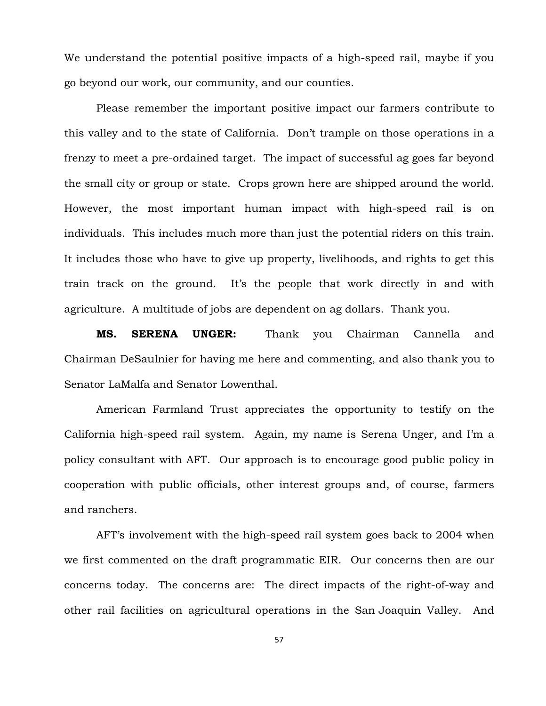We understand the potential positive impacts of a high-speed rail, maybe if you go beyond our work, our community, and our counties.

Please remember the important positive impact our farmers contribute to this valley and to the state of California. Don't trample on those operations in a frenzy to meet a pre-ordained target. The impact of successful ag goes far beyond the small city or group or state. Crops grown here are shipped around the world. However, the most important human impact with high-speed rail is on individuals. This includes much more than just the potential riders on this train. It includes those who have to give up property, livelihoods, and rights to get this train track on the ground. It's the people that work directly in and with agriculture. A multitude of jobs are dependent on ag dollars. Thank you.

**MS. SERENA UNGER:** Thank you Chairman Cannella and Chairman DeSaulnier for having me here and commenting, and also thank you to Senator LaMalfa and Senator Lowenthal.

American Farmland Trust appreciates the opportunity to testify on the California high-speed rail system. Again, my name is Serena Unger, and I'm a policy consultant with AFT. Our approach is to encourage good public policy in cooperation with public officials, other interest groups and, of course, farmers and ranchers.

AFT's involvement with the high-speed rail system goes back to 2004 when we first commented on the draft programmatic EIR. Our concerns then are our concerns today. The concerns are: The direct impacts of the right-of-way and other rail facilities on agricultural operations in the San Joaquin Valley. And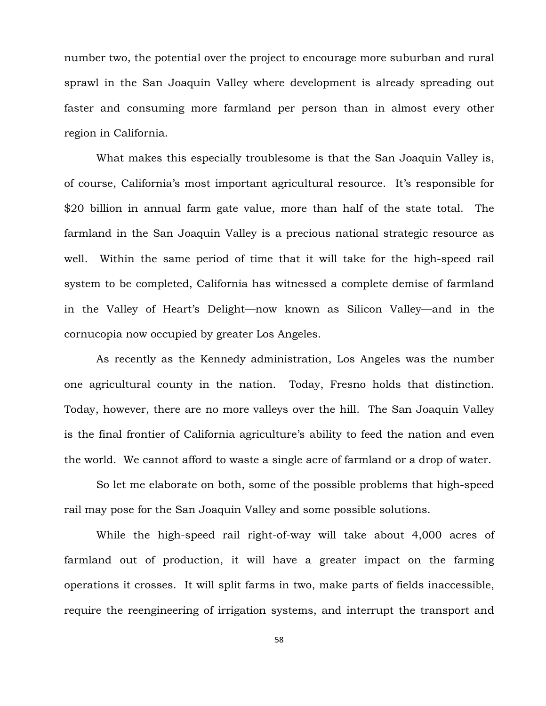number two, the potential over the project to encourage more suburban and rural sprawl in the San Joaquin Valley where development is already spreading out faster and consuming more farmland per person than in almost every other region in California.

What makes this especially troublesome is that the San Joaquin Valley is, of course, California's most important agricultural resource. It's responsible for \$20 billion in annual farm gate value, more than half of the state total. The farmland in the San Joaquin Valley is a precious national strategic resource as well. Within the same period of time that it will take for the high-speed rail system to be completed, California has witnessed a complete demise of farmland in the Valley of Heart's Delight—now known as Silicon Valley—and in the cornucopia now occupied by greater Los Angeles.

As recently as the Kennedy administration, Los Angeles was the number one agricultural county in the nation. Today, Fresno holds that distinction. Today, however, there are no more valleys over the hill. The San Joaquin Valley is the final frontier of California agriculture's ability to feed the nation and even the world. We cannot afford to waste a single acre of farmland or a drop of water.

So let me elaborate on both, some of the possible problems that high-speed rail may pose for the San Joaquin Valley and some possible solutions.

While the high-speed rail right-of-way will take about 4,000 acres of farmland out of production, it will have a greater impact on the farming operations it crosses. It will split farms in two, make parts of fields inaccessible, require the reengineering of irrigation systems, and interrupt the transport and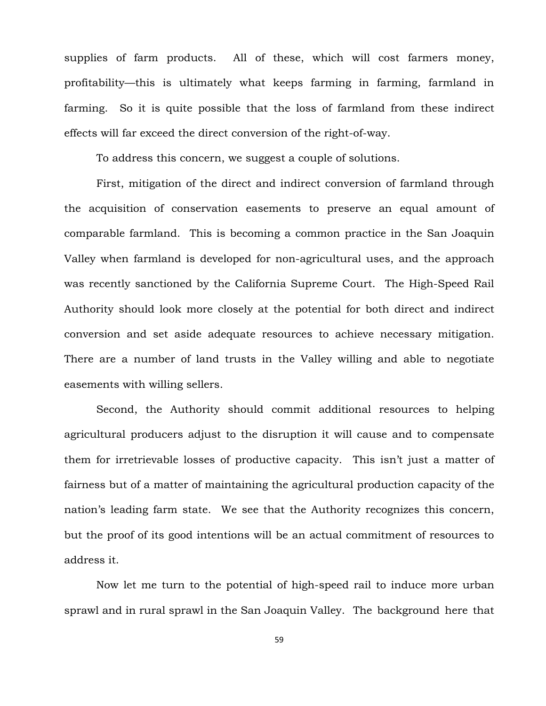supplies of farm products. All of these, which will cost farmers money, profitability—this is ultimately what keeps farming in farming, farmland in farming. So it is quite possible that the loss of farmland from these indirect effects will far exceed the direct conversion of the right-of-way.

To address this concern, we suggest a couple of solutions.

First, mitigation of the direct and indirect conversion of farmland through the acquisition of conservation easements to preserve an equal amount of comparable farmland. This is becoming a common practice in the San Joaquin Valley when farmland is developed for non-agricultural uses, and the approach was recently sanctioned by the California Supreme Court. The High-Speed Rail Authority should look more closely at the potential for both direct and indirect conversion and set aside adequate resources to achieve necessary mitigation. There are a number of land trusts in the Valley willing and able to negotiate easements with willing sellers.

Second, the Authority should commit additional resources to helping agricultural producers adjust to the disruption it will cause and to compensate them for irretrievable losses of productive capacity. This isn't just a matter of fairness but of a matter of maintaining the agricultural production capacity of the nation's leading farm state. We see that the Authority recognizes this concern, but the proof of its good intentions will be an actual commitment of resources to address it.

Now let me turn to the potential of high-speed rail to induce more urban sprawl and in rural sprawl in the San Joaquin Valley. The background here that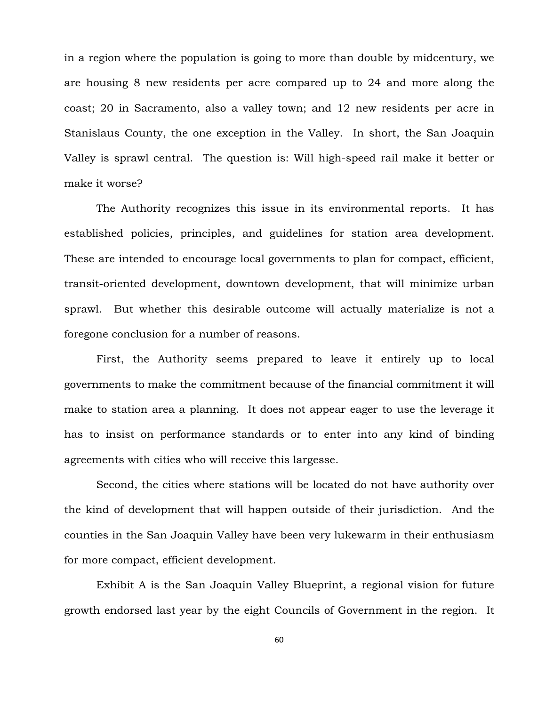in a region where the population is going to more than double by midcentury, we are housing 8 new residents per acre compared up to 24 and more along the coast; 20 in Sacramento, also a valley town; and 12 new residents per acre in Stanislaus County, the one exception in the Valley. In short, the San Joaquin Valley is sprawl central. The question is: Will high-speed rail make it better or make it worse?

The Authority recognizes this issue in its environmental reports. It has established policies, principles, and guidelines for station area development. These are intended to encourage local governments to plan for compact, efficient, transit-oriented development, downtown development, that will minimize urban sprawl. But whether this desirable outcome will actually materialize is not a foregone conclusion for a number of reasons.

First, the Authority seems prepared to leave it entirely up to local governments to make the commitment because of the financial commitment it will make to station area a planning. It does not appear eager to use the leverage it has to insist on performance standards or to enter into any kind of binding agreements with cities who will receive this largesse.

Second, the cities where stations will be located do not have authority over the kind of development that will happen outside of their jurisdiction. And the counties in the San Joaquin Valley have been very lukewarm in their enthusiasm for more compact, efficient development.

Exhibit A is the San Joaquin Valley Blueprint, a regional vision for future growth endorsed last year by the eight Councils of Government in the region. It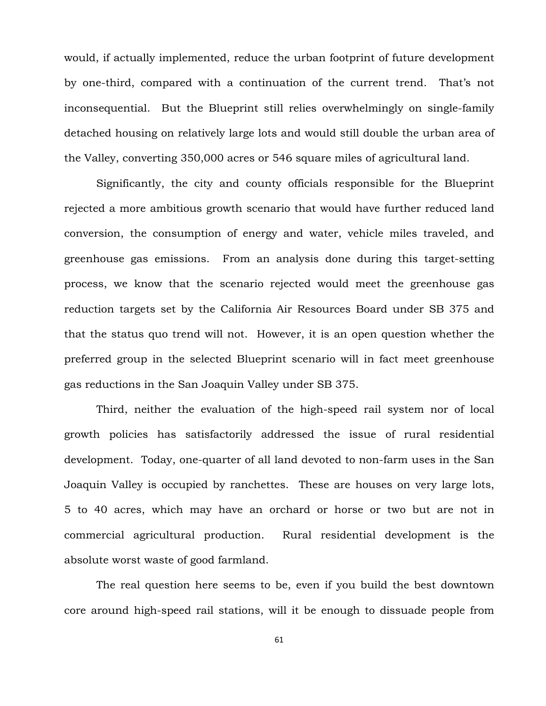would, if actually implemented, reduce the urban footprint of future development by one-third, compared with a continuation of the current trend. That's not inconsequential. But the Blueprint still relies overwhelmingly on single-family detached housing on relatively large lots and would still double the urban area of the Valley, converting 350,000 acres or 546 square miles of agricultural land.

Significantly, the city and county officials responsible for the Blueprint rejected a more ambitious growth scenario that would have further reduced land conversion, the consumption of energy and water, vehicle miles traveled, and greenhouse gas emissions. From an analysis done during this target-setting process, we know that the scenario rejected would meet the greenhouse gas reduction targets set by the California Air Resources Board under SB 375 and that the status quo trend will not. However, it is an open question whether the preferred group in the selected Blueprint scenario will in fact meet greenhouse gas reductions in the San Joaquin Valley under SB 375.

Third, neither the evaluation of the high-speed rail system nor of local growth policies has satisfactorily addressed the issue of rural residential development. Today, one-quarter of all land devoted to non-farm uses in the San Joaquin Valley is occupied by ranchettes. These are houses on very large lots, 5 to 40 acres, which may have an orchard or horse or two but are not in commercial agricultural production. Rural residential development is the absolute worst waste of good farmland.

The real question here seems to be, even if you build the best downtown core around high-speed rail stations, will it be enough to dissuade people from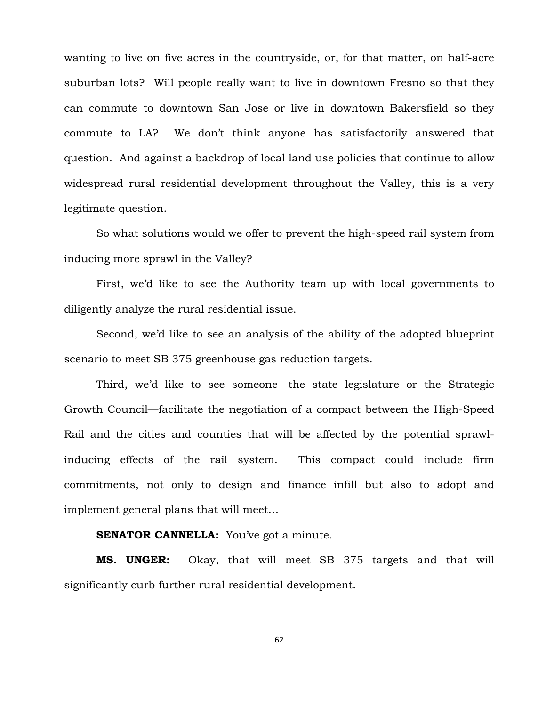wanting to live on five acres in the countryside, or, for that matter, on half-acre suburban lots? Will people really want to live in downtown Fresno so that they can commute to downtown San Jose or live in downtown Bakersfield so they commute to LA? We don't think anyone has satisfactorily answered that question. And against a backdrop of local land use policies that continue to allow widespread rural residential development throughout the Valley, this is a very legitimate question.

So what solutions would we offer to prevent the high-speed rail system from inducing more sprawl in the Valley?

First, we'd like to see the Authority team up with local governments to diligently analyze the rural residential issue.

Second, we'd like to see an analysis of the ability of the adopted blueprint scenario to meet SB 375 greenhouse gas reduction targets.

Third, we'd like to see someone—the state legislature or the Strategic Growth Council—facilitate the negotiation of a compact between the High-Speed Rail and the cities and counties that will be affected by the potential sprawlinducing effects of the rail system. This compact could include firm commitments, not only to design and finance infill but also to adopt and implement general plans that will meet…

# **SENATOR CANNELLA:** You've got a minute.

**MS. UNGER:** Okay, that will meet SB 375 targets and that will significantly curb further rural residential development.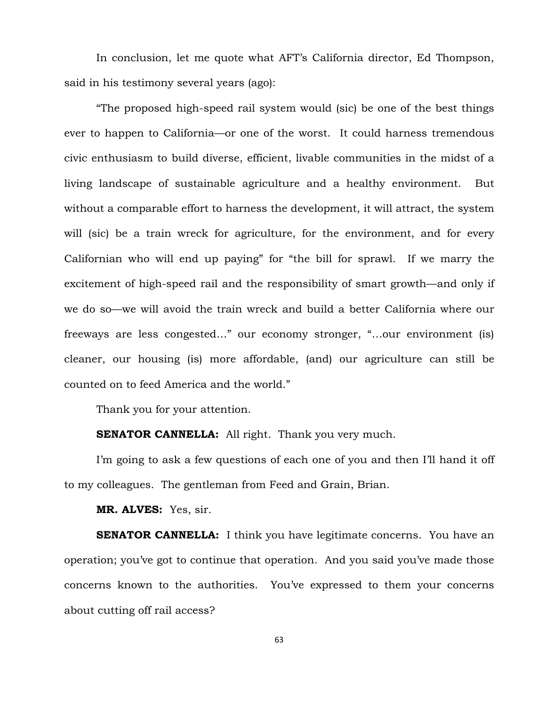In conclusion, let me quote what AFT's California director, Ed Thompson, said in his testimony several years (ago):

"The proposed high-speed rail system would (sic) be one of the best things ever to happen to California—or one of the worst. It could harness tremendous civic enthusiasm to build diverse, efficient, livable communities in the midst of a living landscape of sustainable agriculture and a healthy environment. But without a comparable effort to harness the development, it will attract, the system will (sic) be a train wreck for agriculture, for the environment, and for every Californian who will end up paying" for "the bill for sprawl. If we marry the excitement of high-speed rail and the responsibility of smart growth—and only if we do so—we will avoid the train wreck and build a better California where our freeways are less congested…" our economy stronger, "…our environment (is) cleaner, our housing (is) more affordable, (and) our agriculture can still be counted on to feed America and the world."

Thank you for your attention.

**SENATOR CANNELLA:** All right. Thank you very much.

I'm going to ask a few questions of each one of you and then I'll hand it off to my colleagues. The gentleman from Feed and Grain, Brian.

**MR. ALVES:** Yes, sir.

**SENATOR CANNELLA:** I think you have legitimate concerns. You have an operation; you've got to continue that operation. And you said you've made those concerns known to the authorities. You've expressed to them your concerns about cutting off rail access?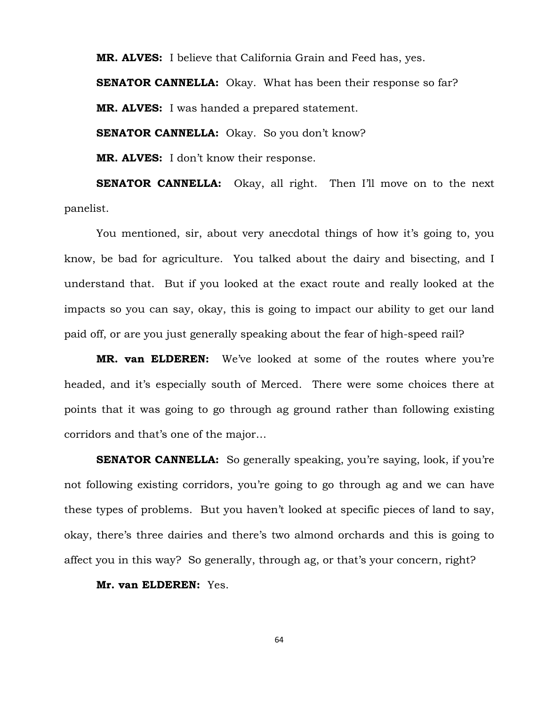**MR. ALVES:** I believe that California Grain and Feed has, yes.

**SENATOR CANNELLA:** Okay. What has been their response so far?

**MR. ALVES:** I was handed a prepared statement.

**SENATOR CANNELLA:** Okay. So you don't know?

**MR. ALVES:** I don't know their response.

**SENATOR CANNELLA:** Okay, all right. Then I'll move on to the next panelist.

You mentioned, sir, about very anecdotal things of how it's going to, you know, be bad for agriculture. You talked about the dairy and bisecting, and I understand that. But if you looked at the exact route and really looked at the impacts so you can say, okay, this is going to impact our ability to get our land paid off, or are you just generally speaking about the fear of high-speed rail?

**MR. van ELDEREN:** We've looked at some of the routes where you're headed, and it's especially south of Merced. There were some choices there at points that it was going to go through ag ground rather than following existing corridors and that's one of the major…

**SENATOR CANNELLA:** So generally speaking, you're saying, look, if you're not following existing corridors, you're going to go through ag and we can have these types of problems. But you haven't looked at specific pieces of land to say, okay, there's three dairies and there's two almond orchards and this is going to affect you in this way? So generally, through ag, or that's your concern, right?

**Mr. van ELDEREN:** Yes.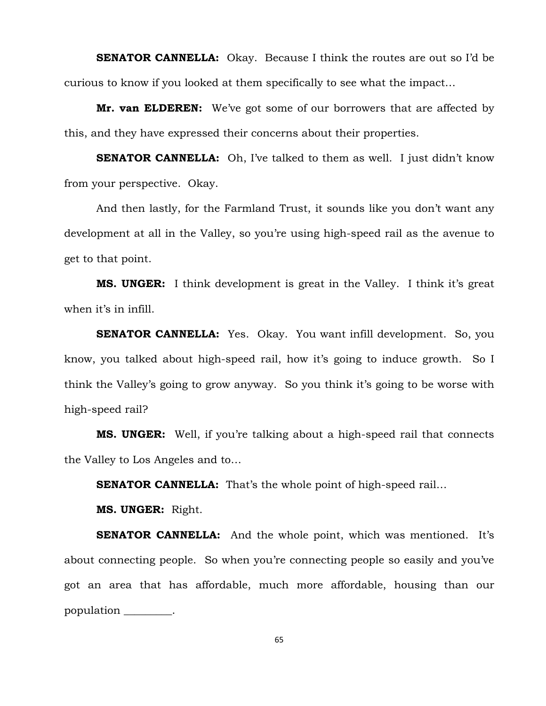**SENATOR CANNELLA:** Okay. Because I think the routes are out so I'd be curious to know if you looked at them specifically to see what the impact…

**Mr. van ELDEREN:** We've got some of our borrowers that are affected by this, and they have expressed their concerns about their properties.

**SENATOR CANNELLA:** Oh, I've talked to them as well. I just didn't know from your perspective. Okay.

And then lastly, for the Farmland Trust, it sounds like you don't want any development at all in the Valley, so you're using high-speed rail as the avenue to get to that point.

**MS. UNGER:** I think development is great in the Valley. I think it's great when it's in infill.

**SENATOR CANNELLA:** Yes. Okay. You want infill development. So, you know, you talked about high-speed rail, how it's going to induce growth. So I think the Valley's going to grow anyway. So you think it's going to be worse with high-speed rail?

**MS. UNGER:** Well, if you're talking about a high-speed rail that connects the Valley to Los Angeles and to…

**SENATOR CANNELLA:** That's the whole point of high-speed rail...

**MS. UNGER:** Right.

**SENATOR CANNELLA:** And the whole point, which was mentioned. It's about connecting people. So when you're connecting people so easily and you've got an area that has affordable, much more affordable, housing than our population \_\_\_\_\_\_\_\_\_.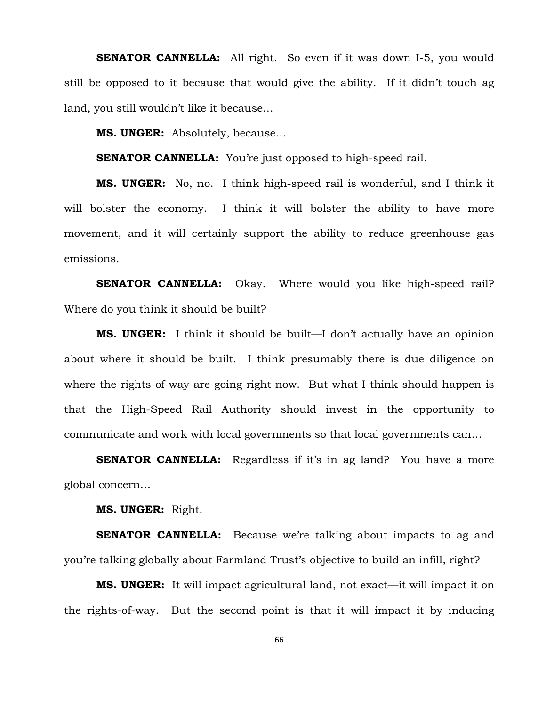**SENATOR CANNELLA:** All right. So even if it was down I-5, you would still be opposed to it because that would give the ability. If it didn't touch ag land, you still wouldn't like it because…

**MS. UNGER:** Absolutely, because…

**SENATOR CANNELLA:** You're just opposed to high-speed rail.

**MS. UNGER:** No, no. I think high-speed rail is wonderful, and I think it will bolster the economy. I think it will bolster the ability to have more movement, and it will certainly support the ability to reduce greenhouse gas emissions.

**SENATOR CANNELLA:** Okay. Where would you like high-speed rail? Where do you think it should be built?

**MS. UNGER:** I think it should be built—I don't actually have an opinion about where it should be built. I think presumably there is due diligence on where the rights-of-way are going right now. But what I think should happen is that the High-Speed Rail Authority should invest in the opportunity to communicate and work with local governments so that local governments can…

**SENATOR CANNELLA:** Regardless if it's in ag land? You have a more global concern…

**MS. UNGER:** Right.

**SENATOR CANNELLA:** Because we're talking about impacts to ag and you're talking globally about Farmland Trust's objective to build an infill, right?

**MS. UNGER:** It will impact agricultural land, not exact—it will impact it on the rights-of-way. But the second point is that it will impact it by inducing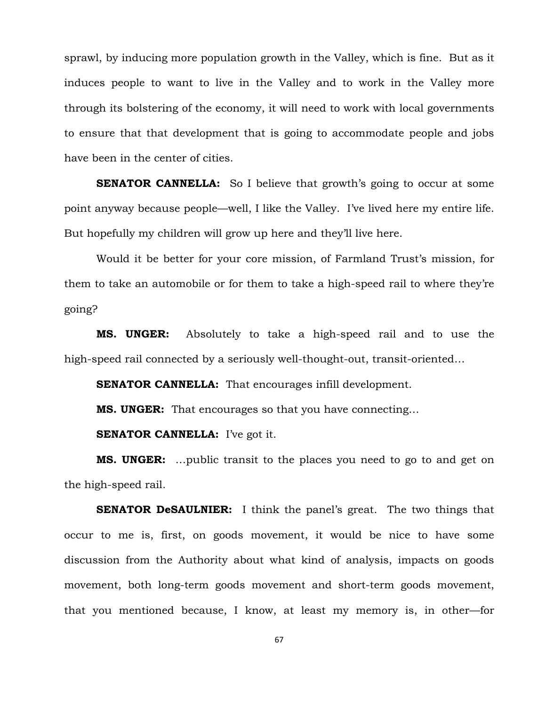sprawl, by inducing more population growth in the Valley, which is fine. But as it induces people to want to live in the Valley and to work in the Valley more through its bolstering of the economy, it will need to work with local governments to ensure that that development that is going to accommodate people and jobs have been in the center of cities.

**SENATOR CANNELLA:** So I believe that growth's going to occur at some point anyway because people—well, I like the Valley. I've lived here my entire life. But hopefully my children will grow up here and they'll live here.

Would it be better for your core mission, of Farmland Trust's mission, for them to take an automobile or for them to take a high-speed rail to where they're going?

**MS. UNGER:** Absolutely to take a high-speed rail and to use the high-speed rail connected by a seriously well-thought-out, transit-oriented…

**SENATOR CANNELLA:** That encourages infill development.

**MS. UNGER:** That encourages so that you have connecting…

**SENATOR CANNELLA:** I've got it.

**MS. UNGER:** …public transit to the places you need to go to and get on the high-speed rail.

**SENATOR DeSAULNIER:** I think the panel's great. The two things that occur to me is, first, on goods movement, it would be nice to have some discussion from the Authority about what kind of analysis, impacts on goods movement, both long-term goods movement and short-term goods movement, that you mentioned because, I know, at least my memory is, in other—for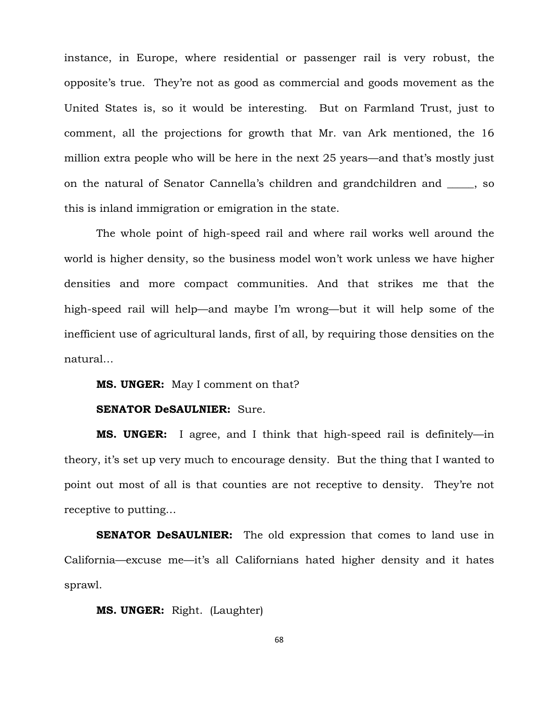instance, in Europe, where residential or passenger rail is very robust, the opposite's true. They're not as good as commercial and goods movement as the United States is, so it would be interesting. But on Farmland Trust, just to comment, all the projections for growth that Mr. van Ark mentioned, the 16 million extra people who will be here in the next 25 years—and that's mostly just on the natural of Senator Cannella's children and grandchildren and \_\_\_\_\_, so this is inland immigration or emigration in the state.

The whole point of high-speed rail and where rail works well around the world is higher density, so the business model won't work unless we have higher densities and more compact communities. And that strikes me that the high-speed rail will help—and maybe I'm wrong—but it will help some of the inefficient use of agricultural lands, first of all, by requiring those densities on the natural…

## **MS. UNGER:** May I comment on that?

## **SENATOR DeSAULNIER:** Sure.

**MS. UNGER:** I agree, and I think that high-speed rail is definitely—in theory, it's set up very much to encourage density. But the thing that I wanted to point out most of all is that counties are not receptive to density. They're not receptive to putting…

**SENATOR DeSAULNIER:** The old expression that comes to land use in California—excuse me—it's all Californians hated higher density and it hates sprawl.

## **MS. UNGER:** Right. (Laughter)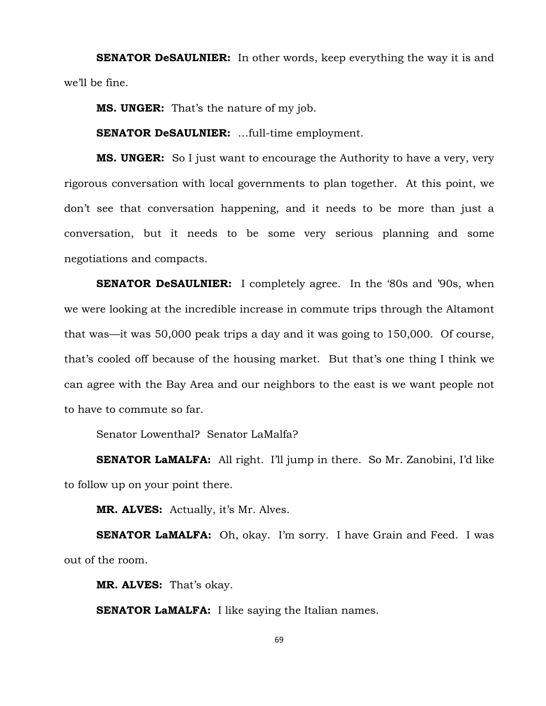**SENATOR DeSAULNIER:** In other words, keep everything the way it is and we'll be fine.

**MS. UNGER:** That's the nature of my job.

**SENATOR DeSAULNIER:** …full-time employment.

**MS. UNGER:** So I just want to encourage the Authority to have a very, very rigorous conversation with local governments to plan together. At this point, we don't see that conversation happening, and it needs to be more than just a conversation, but it needs to be some very serious planning and some negotiations and compacts.

**SENATOR DeSAULNIER:** I completely agree. In the '80s and '90s, when we were looking at the incredible increase in commute trips through the Altamont that was—it was 50,000 peak trips a day and it was going to 150,000. Of course, that's cooled off because of the housing market. But that's one thing I think we can agree with the Bay Area and our neighbors to the east is we want people not to have to commute so far.

Senator Lowenthal? Senator LaMalfa?

**SENATOR LaMALFA:** All right. I'll jump in there. So Mr. Zanobini, I'd like to follow up on your point there.

**MR. ALVES:** Actually, it's Mr. Alves.

**SENATOR LaMALFA:** Oh, okay. I'm sorry. I have Grain and Feed. I was out of the room.

**MR. ALVES:** That's okay.

**SENATOR LaMALFA:** I like saying the Italian names.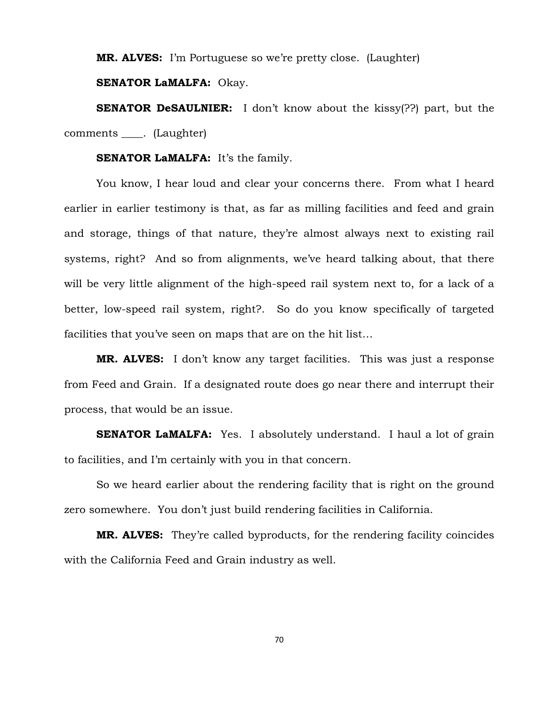**MR. ALVES:** I'm Portuguese so we're pretty close. (Laughter)

**SENATOR LaMALFA:** Okay.

**SENATOR DeSAULNIER:** I don't know about the kissy<sup>(??)</sup> part, but the comments . (Laughter)

**SENATOR LaMALFA:** It's the family.

You know, I hear loud and clear your concerns there. From what I heard earlier in earlier testimony is that, as far as milling facilities and feed and grain and storage, things of that nature, they're almost always next to existing rail systems, right? And so from alignments, we've heard talking about, that there will be very little alignment of the high-speed rail system next to, for a lack of a better, low-speed rail system, right?. So do you know specifically of targeted facilities that you've seen on maps that are on the hit list…

**MR. ALVES:** I don't know any target facilities. This was just a response from Feed and Grain. If a designated route does go near there and interrupt their process, that would be an issue.

**SENATOR LaMALFA:** Yes. I absolutely understand. I haul a lot of grain to facilities, and I'm certainly with you in that concern.

So we heard earlier about the rendering facility that is right on the ground zero somewhere. You don't just build rendering facilities in California.

**MR. ALVES:** They're called byproducts, for the rendering facility coincides with the California Feed and Grain industry as well.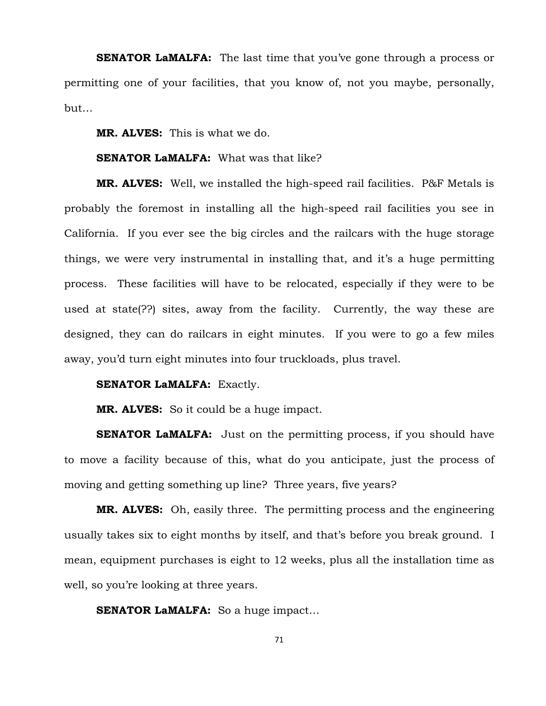**SENATOR LaMALFA:** The last time that you've gone through a process or permitting one of your facilities, that you know of, not you maybe, personally, but…

**MR. ALVES:** This is what we do.

### **SENATOR LaMALFA:** What was that like?

**MR. ALVES:** Well, we installed the high-speed rail facilities. P&F Metals is probably the foremost in installing all the high-speed rail facilities you see in California. If you ever see the big circles and the railcars with the huge storage things, we were very instrumental in installing that, and it's a huge permitting process. These facilities will have to be relocated, especially if they were to be used at state(??) sites, away from the facility. Currently, the way these are designed, they can do railcars in eight minutes. If you were to go a few miles away, you'd turn eight minutes into four truckloads, plus travel.

#### **SENATOR LaMALFA: Exactly.**

**MR. ALVES:** So it could be a huge impact.

**SENATOR LaMALFA:** Just on the permitting process, if you should have to move a facility because of this, what do you anticipate, just the process of moving and getting something up line? Three years, five years?

**MR. ALVES:** Oh, easily three. The permitting process and the engineering usually takes six to eight months by itself, and that's before you break ground. I mean, equipment purchases is eight to 12 weeks, plus all the installation time as well, so you're looking at three years.

**SENATOR LaMALFA:** So a huge impact...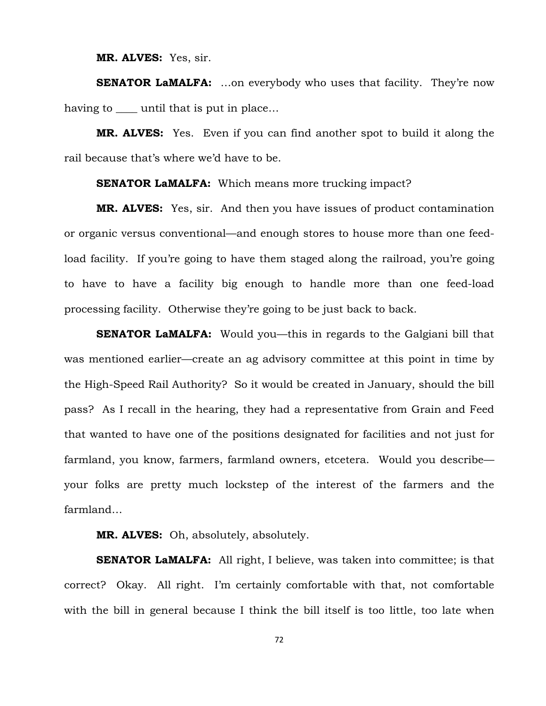**MR. ALVES:** Yes, sir.

**SENATOR LaMALFA:** ...on everybody who uses that facility. They're now having to until that is put in place...

**MR. ALVES:** Yes. Even if you can find another spot to build it along the rail because that's where we'd have to be.

**SENATOR LaMALFA:** Which means more trucking impact?

**MR. ALVES:** Yes, sir. And then you have issues of product contamination or organic versus conventional—and enough stores to house more than one feedload facility. If you're going to have them staged along the railroad, you're going to have to have a facility big enough to handle more than one feed-load processing facility. Otherwise they're going to be just back to back.

**SENATOR LaMALFA:** Would you—this in regards to the Galgiani bill that was mentioned earlier—create an ag advisory committee at this point in time by the High-Speed Rail Authority? So it would be created in January, should the bill pass? As I recall in the hearing, they had a representative from Grain and Feed that wanted to have one of the positions designated for facilities and not just for farmland, you know, farmers, farmland owners, etcetera. Would you describe your folks are pretty much lockstep of the interest of the farmers and the farmland…

**MR. ALVES:** Oh, absolutely, absolutely.

**SENATOR LaMALFA:** All right, I believe, was taken into committee; is that correct? Okay. All right. I'm certainly comfortable with that, not comfortable with the bill in general because I think the bill itself is too little, too late when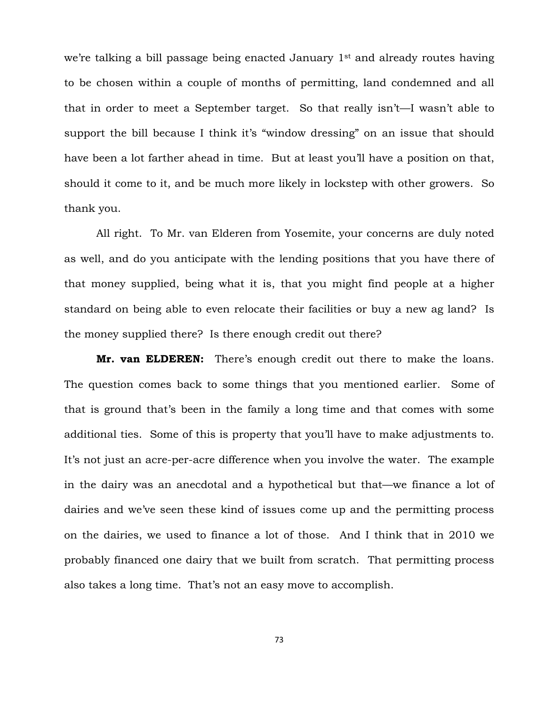we're talking a bill passage being enacted January 1<sup>st</sup> and already routes having to be chosen within a couple of months of permitting, land condemned and all that in order to meet a September target. So that really isn't—I wasn't able to support the bill because I think it's "window dressing" on an issue that should have been a lot farther ahead in time. But at least you'll have a position on that, should it come to it, and be much more likely in lockstep with other growers. So thank you.

All right. To Mr. van Elderen from Yosemite, your concerns are duly noted as well, and do you anticipate with the lending positions that you have there of that money supplied, being what it is, that you might find people at a higher standard on being able to even relocate their facilities or buy a new ag land? Is the money supplied there? Is there enough credit out there?

**Mr. van ELDEREN:** There's enough credit out there to make the loans. The question comes back to some things that you mentioned earlier. Some of that is ground that's been in the family a long time and that comes with some additional ties. Some of this is property that you'll have to make adjustments to. It's not just an acre-per-acre difference when you involve the water. The example in the dairy was an anecdotal and a hypothetical but that—we finance a lot of dairies and we've seen these kind of issues come up and the permitting process on the dairies, we used to finance a lot of those. And I think that in 2010 we probably financed one dairy that we built from scratch. That permitting process also takes a long time. That's not an easy move to accomplish.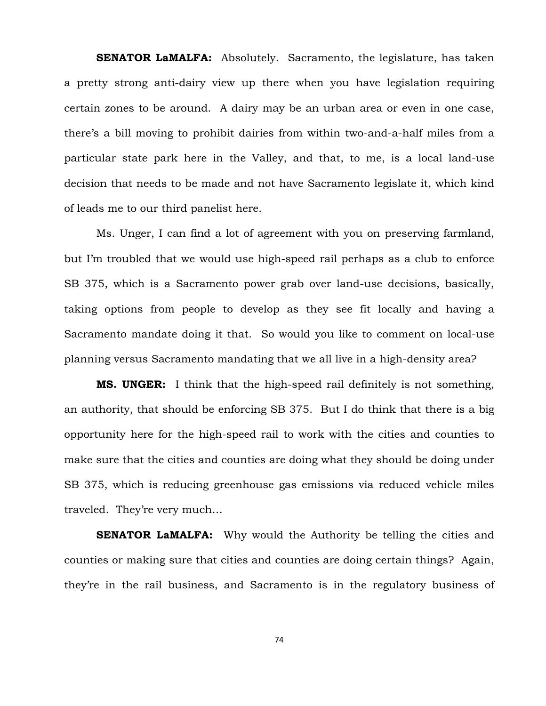**SENATOR LaMALFA:** Absolutely. Sacramento, the legislature, has taken a pretty strong anti-dairy view up there when you have legislation requiring certain zones to be around. A dairy may be an urban area or even in one case, there's a bill moving to prohibit dairies from within two-and-a-half miles from a particular state park here in the Valley, and that, to me, is a local land-use decision that needs to be made and not have Sacramento legislate it, which kind of leads me to our third panelist here.

Ms. Unger, I can find a lot of agreement with you on preserving farmland, but I'm troubled that we would use high-speed rail perhaps as a club to enforce SB 375, which is a Sacramento power grab over land-use decisions, basically, taking options from people to develop as they see fit locally and having a Sacramento mandate doing it that. So would you like to comment on local-use planning versus Sacramento mandating that we all live in a high-density area?

**MS. UNGER:** I think that the high-speed rail definitely is not something, an authority, that should be enforcing SB 375. But I do think that there is a big opportunity here for the high-speed rail to work with the cities and counties to make sure that the cities and counties are doing what they should be doing under SB 375, which is reducing greenhouse gas emissions via reduced vehicle miles traveled. They're very much…

**SENATOR LaMALFA:** Why would the Authority be telling the cities and counties or making sure that cities and counties are doing certain things? Again, they're in the rail business, and Sacramento is in the regulatory business of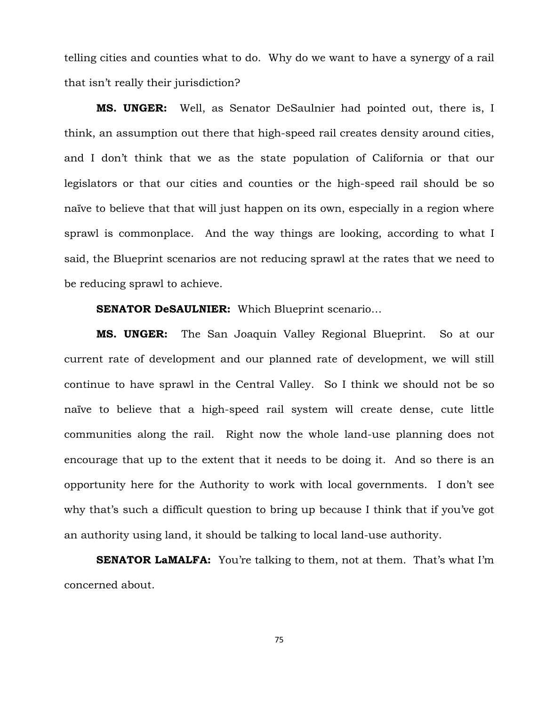telling cities and counties what to do. Why do we want to have a synergy of a rail that isn't really their jurisdiction?

**MS. UNGER:** Well, as Senator DeSaulnier had pointed out, there is, I think, an assumption out there that high-speed rail creates density around cities, and I don't think that we as the state population of California or that our legislators or that our cities and counties or the high-speed rail should be so naïve to believe that that will just happen on its own, especially in a region where sprawl is commonplace. And the way things are looking, according to what I said, the Blueprint scenarios are not reducing sprawl at the rates that we need to be reducing sprawl to achieve.

# **SENATOR DeSAULNIER:** Which Blueprint scenario…

**MS. UNGER:** The San Joaquin Valley Regional Blueprint. So at our current rate of development and our planned rate of development, we will still continue to have sprawl in the Central Valley. So I think we should not be so naïve to believe that a high-speed rail system will create dense, cute little communities along the rail. Right now the whole land-use planning does not encourage that up to the extent that it needs to be doing it. And so there is an opportunity here for the Authority to work with local governments. I don't see why that's such a difficult question to bring up because I think that if you've got an authority using land, it should be talking to local land-use authority.

**SENATOR LaMALFA:** You're talking to them, not at them. That's what I'm concerned about.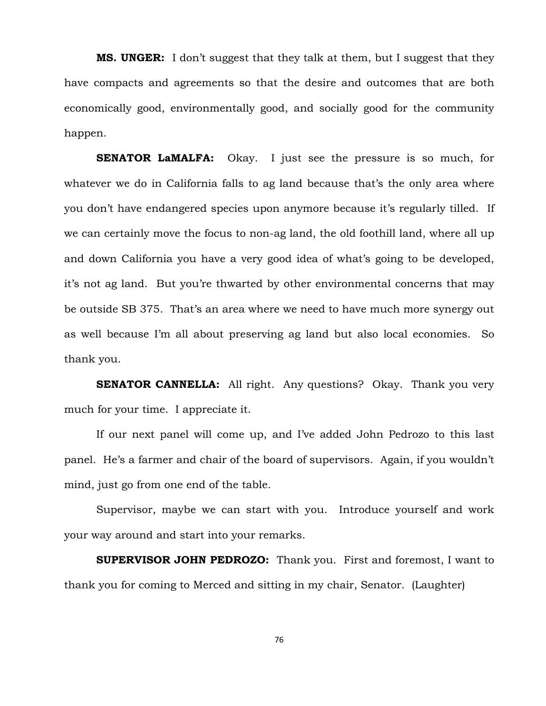**MS. UNGER:** I don't suggest that they talk at them, but I suggest that they have compacts and agreements so that the desire and outcomes that are both economically good, environmentally good, and socially good for the community happen.

**SENATOR LaMALFA:** Okay. I just see the pressure is so much, for whatever we do in California falls to ag land because that's the only area where you don't have endangered species upon anymore because it's regularly tilled. If we can certainly move the focus to non-ag land, the old foothill land, where all up and down California you have a very good idea of what's going to be developed, it's not ag land. But you're thwarted by other environmental concerns that may be outside SB 375. That's an area where we need to have much more synergy out as well because I'm all about preserving ag land but also local economies. So thank you.

**SENATOR CANNELLA:** All right. Any questions? Okay. Thank you very much for your time. I appreciate it.

If our next panel will come up, and I've added John Pedrozo to this last panel. He's a farmer and chair of the board of supervisors. Again, if you wouldn't mind, just go from one end of the table.

Supervisor, maybe we can start with you. Introduce yourself and work your way around and start into your remarks.

**SUPERVISOR JOHN PEDROZO:** Thank you. First and foremost, I want to thank you for coming to Merced and sitting in my chair, Senator. (Laughter)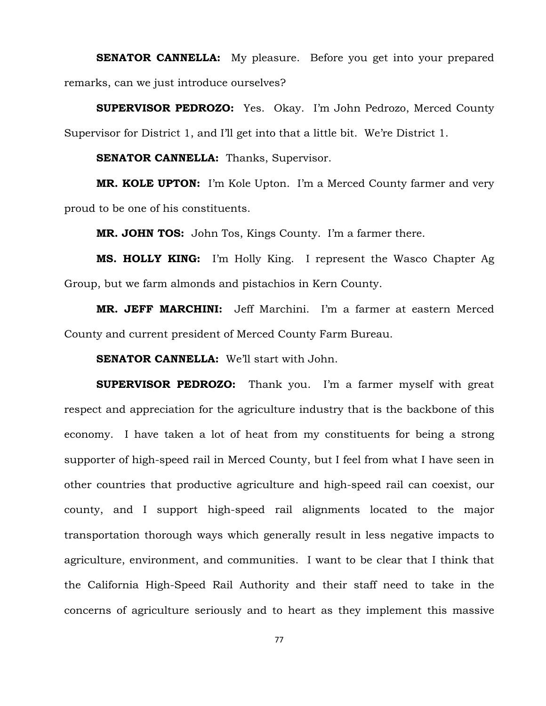**SENATOR CANNELLA:** My pleasure. Before you get into your prepared remarks, can we just introduce ourselves?

**SUPERVISOR PEDROZO:** Yes. Okay. I'm John Pedrozo, Merced County Supervisor for District 1, and I'll get into that a little bit. We're District 1.

**SENATOR CANNELLA:** Thanks, Supervisor.

**MR. KOLE UPTON:** I'm Kole Upton. I'm a Merced County farmer and very proud to be one of his constituents.

**MR. JOHN TOS:** John Tos, Kings County. I'm a farmer there.

**MS. HOLLY KING:** I'm Holly King. I represent the Wasco Chapter Ag Group, but we farm almonds and pistachios in Kern County.

**MR. JEFF MARCHINI:** Jeff Marchini. I'm a farmer at eastern Merced County and current president of Merced County Farm Bureau.

**SENATOR CANNELLA:** We'll start with John.

**SUPERVISOR PEDROZO:** Thank you. I'm a farmer myself with great respect and appreciation for the agriculture industry that is the backbone of this economy. I have taken a lot of heat from my constituents for being a strong supporter of high-speed rail in Merced County, but I feel from what I have seen in other countries that productive agriculture and high-speed rail can coexist, our county, and I support high-speed rail alignments located to the major transportation thorough ways which generally result in less negative impacts to agriculture, environment, and communities. I want to be clear that I think that the California High-Speed Rail Authority and their staff need to take in the concerns of agriculture seriously and to heart as they implement this massive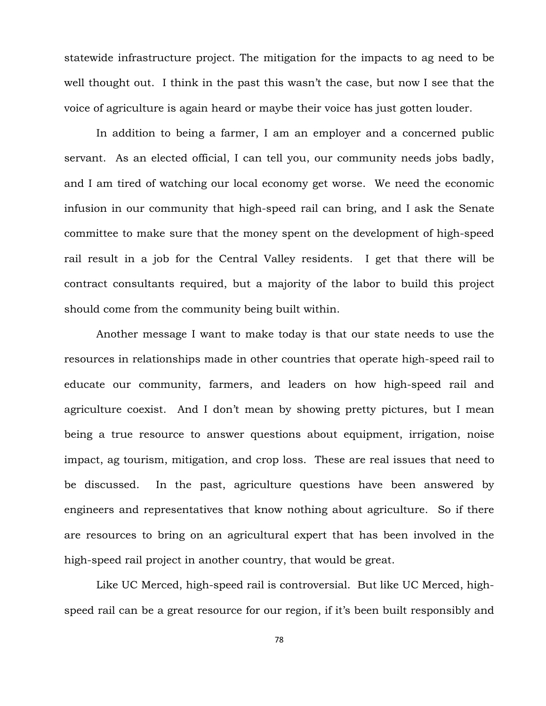statewide infrastructure project. The mitigation for the impacts to ag need to be well thought out. I think in the past this wasn't the case, but now I see that the voice of agriculture is again heard or maybe their voice has just gotten louder.

In addition to being a farmer, I am an employer and a concerned public servant. As an elected official, I can tell you, our community needs jobs badly, and I am tired of watching our local economy get worse. We need the economic infusion in our community that high-speed rail can bring, and I ask the Senate committee to make sure that the money spent on the development of high-speed rail result in a job for the Central Valley residents. I get that there will be contract consultants required, but a majority of the labor to build this project should come from the community being built within.

Another message I want to make today is that our state needs to use the resources in relationships made in other countries that operate high-speed rail to educate our community, farmers, and leaders on how high-speed rail and agriculture coexist. And I don't mean by showing pretty pictures, but I mean being a true resource to answer questions about equipment, irrigation, noise impact, ag tourism, mitigation, and crop loss. These are real issues that need to be discussed. In the past, agriculture questions have been answered by engineers and representatives that know nothing about agriculture. So if there are resources to bring on an agricultural expert that has been involved in the high-speed rail project in another country, that would be great.

Like UC Merced, high-speed rail is controversial. But like UC Merced, highspeed rail can be a great resource for our region, if it's been built responsibly and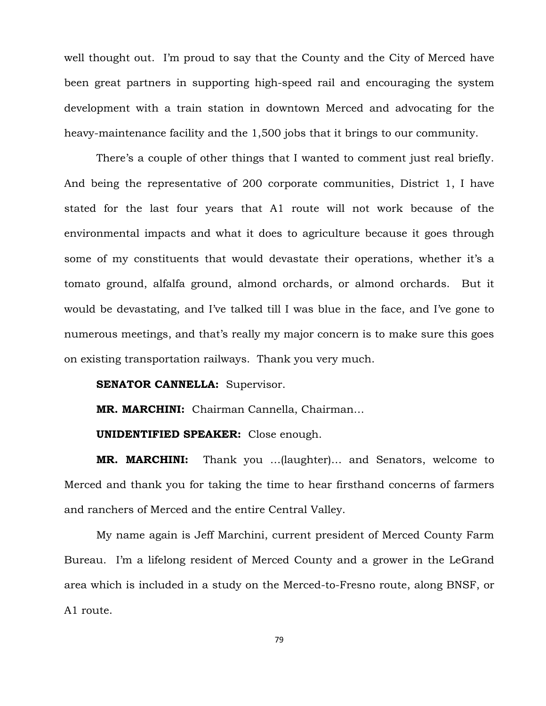well thought out. I'm proud to say that the County and the City of Merced have been great partners in supporting high-speed rail and encouraging the system development with a train station in downtown Merced and advocating for the heavy-maintenance facility and the 1,500 jobs that it brings to our community.

There's a couple of other things that I wanted to comment just real briefly. And being the representative of 200 corporate communities, District 1, I have stated for the last four years that A1 route will not work because of the environmental impacts and what it does to agriculture because it goes through some of my constituents that would devastate their operations, whether it's a tomato ground, alfalfa ground, almond orchards, or almond orchards. But it would be devastating, and I've talked till I was blue in the face, and I've gone to numerous meetings, and that's really my major concern is to make sure this goes on existing transportation railways. Thank you very much.

## **SENATOR CANNELLA:** Supervisor.

**MR. MARCHINI:** Chairman Cannella, Chairman…

**UNIDENTIFIED SPEAKER:** Close enough.

**MR. MARCHINI:** Thank you …(laughter)… and Senators, welcome to Merced and thank you for taking the time to hear firsthand concerns of farmers and ranchers of Merced and the entire Central Valley.

My name again is Jeff Marchini, current president of Merced County Farm Bureau. I'm a lifelong resident of Merced County and a grower in the LeGrand area which is included in a study on the Merced-to-Fresno route, along BNSF, or A1 route.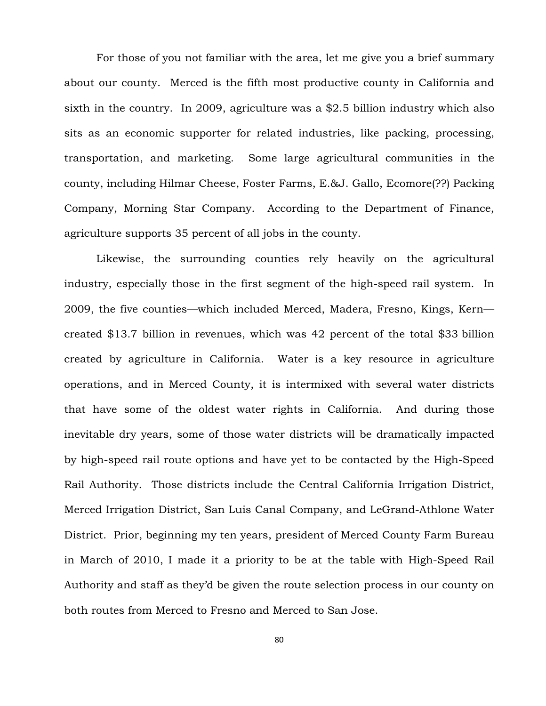For those of you not familiar with the area, let me give you a brief summary about our county. Merced is the fifth most productive county in California and sixth in the country. In 2009, agriculture was a \$2.5 billion industry which also sits as an economic supporter for related industries, like packing, processing, transportation, and marketing. Some large agricultural communities in the county, including Hilmar Cheese, Foster Farms, E.&J. Gallo, Ecomore(??) Packing Company, Morning Star Company. According to the Department of Finance, agriculture supports 35 percent of all jobs in the county.

Likewise, the surrounding counties rely heavily on the agricultural industry, especially those in the first segment of the high-speed rail system. In 2009, the five counties—which included Merced, Madera, Fresno, Kings, Kern created \$13.7 billion in revenues, which was 42 percent of the total \$33 billion created by agriculture in California. Water is a key resource in agriculture operations, and in Merced County, it is intermixed with several water districts that have some of the oldest water rights in California. And during those inevitable dry years, some of those water districts will be dramatically impacted by high-speed rail route options and have yet to be contacted by the High-Speed Rail Authority. Those districts include the Central California Irrigation District, Merced Irrigation District, San Luis Canal Company, and LeGrand-Athlone Water District. Prior, beginning my ten years, president of Merced County Farm Bureau in March of 2010, I made it a priority to be at the table with High-Speed Rail Authority and staff as they'd be given the route selection process in our county on both routes from Merced to Fresno and Merced to San Jose.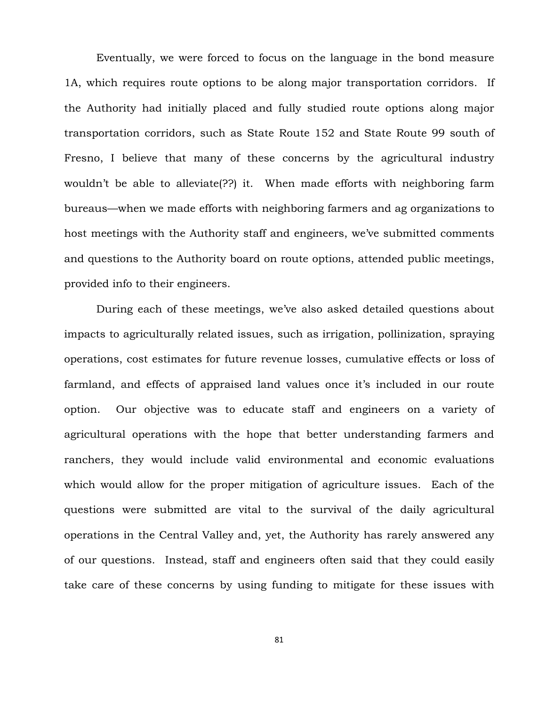Eventually, we were forced to focus on the language in the bond measure 1A, which requires route options to be along major transportation corridors. If the Authority had initially placed and fully studied route options along major transportation corridors, such as State Route 152 and State Route 99 south of Fresno, I believe that many of these concerns by the agricultural industry wouldn't be able to alleviate(??) it. When made efforts with neighboring farm bureaus—when we made efforts with neighboring farmers and ag organizations to host meetings with the Authority staff and engineers, we've submitted comments and questions to the Authority board on route options, attended public meetings, provided info to their engineers.

During each of these meetings, we've also asked detailed questions about impacts to agriculturally related issues, such as irrigation, pollinization, spraying operations, cost estimates for future revenue losses, cumulative effects or loss of farmland, and effects of appraised land values once it's included in our route option. Our objective was to educate staff and engineers on a variety of agricultural operations with the hope that better understanding farmers and ranchers, they would include valid environmental and economic evaluations which would allow for the proper mitigation of agriculture issues. Each of the questions were submitted are vital to the survival of the daily agricultural operations in the Central Valley and, yet, the Authority has rarely answered any of our questions. Instead, staff and engineers often said that they could easily take care of these concerns by using funding to mitigate for these issues with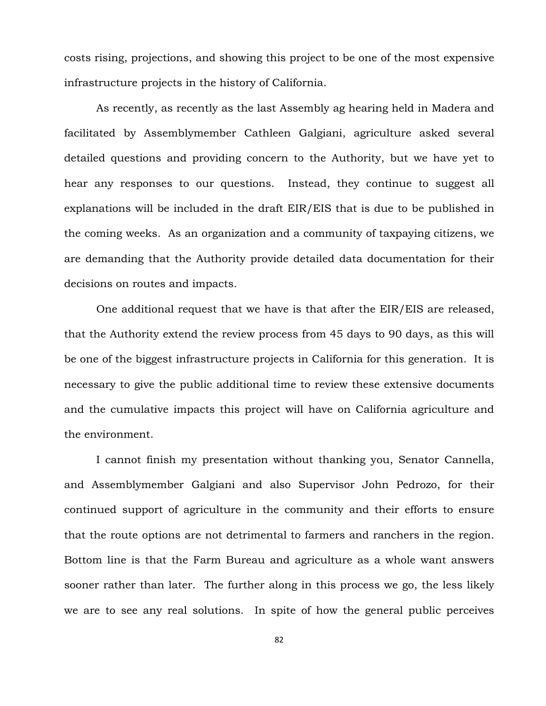costs rising, projections, and showing this project to be one of the most expensive infrastructure projects in the history of California.

As recently, as recently as the last Assembly ag hearing held in Madera and facilitated by Assemblymember Cathleen Galgiani, agriculture asked several detailed questions and providing concern to the Authority, but we have yet to hear any responses to our questions. Instead, they continue to suggest all explanations will be included in the draft EIR/EIS that is due to be published in the coming weeks. As an organization and a community of taxpaying citizens, we are demanding that the Authority provide detailed data documentation for their decisions on routes and impacts.

One additional request that we have is that after the EIR/EIS are released, that the Authority extend the review process from 45 days to 90 days, as this will be one of the biggest infrastructure projects in California for this generation. It is necessary to give the public additional time to review these extensive documents and the cumulative impacts this project will have on California agriculture and the environment.

I cannot finish my presentation without thanking you, Senator Cannella, and Assemblymember Galgiani and also Supervisor John Pedrozo, for their continued support of agriculture in the community and their efforts to ensure that the route options are not detrimental to farmers and ranchers in the region. Bottom line is that the Farm Bureau and agriculture as a whole want answers sooner rather than later. The further along in this process we go, the less likely we are to see any real solutions. In spite of how the general public perceives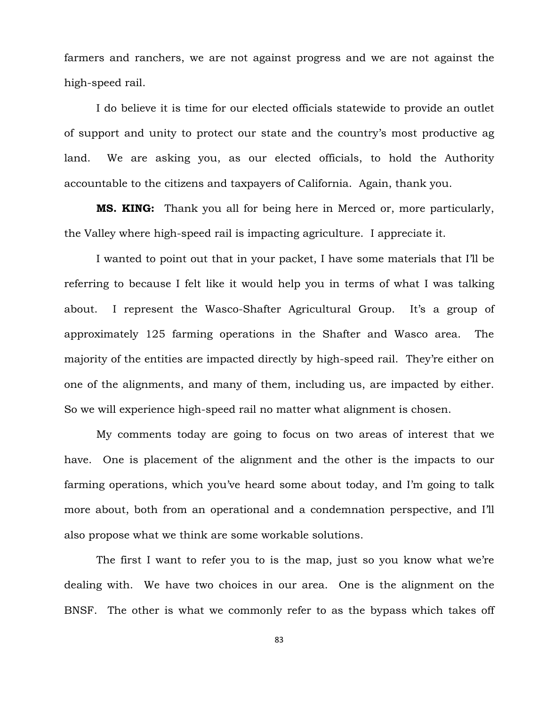farmers and ranchers, we are not against progress and we are not against the high-speed rail.

I do believe it is time for our elected officials statewide to provide an outlet of support and unity to protect our state and the country's most productive ag land. We are asking you, as our elected officials, to hold the Authority accountable to the citizens and taxpayers of California. Again, thank you.

**MS. KING:** Thank you all for being here in Merced or, more particularly, the Valley where high-speed rail is impacting agriculture. I appreciate it.

I wanted to point out that in your packet, I have some materials that I'll be referring to because I felt like it would help you in terms of what I was talking about. I represent the Wasco-Shafter Agricultural Group. It's a group of approximately 125 farming operations in the Shafter and Wasco area. The majority of the entities are impacted directly by high-speed rail. They're either on one of the alignments, and many of them, including us, are impacted by either. So we will experience high-speed rail no matter what alignment is chosen.

My comments today are going to focus on two areas of interest that we have. One is placement of the alignment and the other is the impacts to our farming operations, which you've heard some about today, and I'm going to talk more about, both from an operational and a condemnation perspective, and I'll also propose what we think are some workable solutions.

The first I want to refer you to is the map, just so you know what we're dealing with. We have two choices in our area. One is the alignment on the BNSF. The other is what we commonly refer to as the bypass which takes off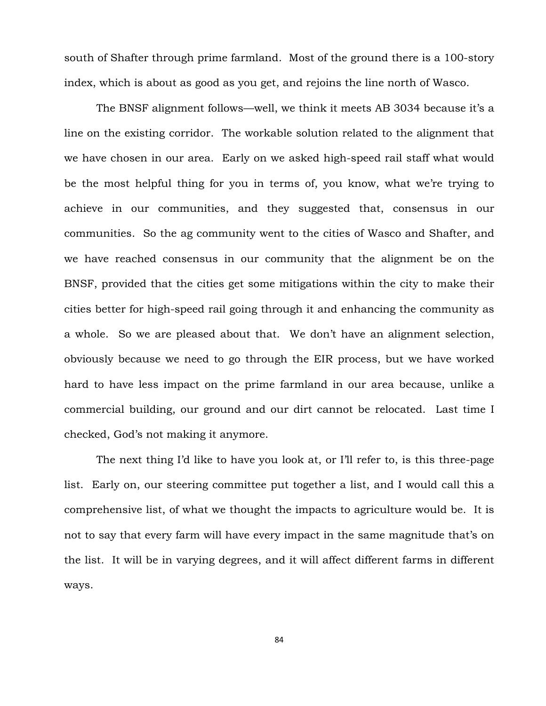south of Shafter through prime farmland. Most of the ground there is a 100-story index, which is about as good as you get, and rejoins the line north of Wasco.

The BNSF alignment follows—well, we think it meets AB 3034 because it's a line on the existing corridor. The workable solution related to the alignment that we have chosen in our area. Early on we asked high-speed rail staff what would be the most helpful thing for you in terms of, you know, what we're trying to achieve in our communities, and they suggested that, consensus in our communities. So the ag community went to the cities of Wasco and Shafter, and we have reached consensus in our community that the alignment be on the BNSF, provided that the cities get some mitigations within the city to make their cities better for high-speed rail going through it and enhancing the community as a whole. So we are pleased about that. We don't have an alignment selection, obviously because we need to go through the EIR process, but we have worked hard to have less impact on the prime farmland in our area because, unlike a commercial building, our ground and our dirt cannot be relocated. Last time I checked, God's not making it anymore.

The next thing I'd like to have you look at, or I'll refer to, is this three-page list. Early on, our steering committee put together a list, and I would call this a comprehensive list, of what we thought the impacts to agriculture would be. It is not to say that every farm will have every impact in the same magnitude that's on the list. It will be in varying degrees, and it will affect different farms in different ways.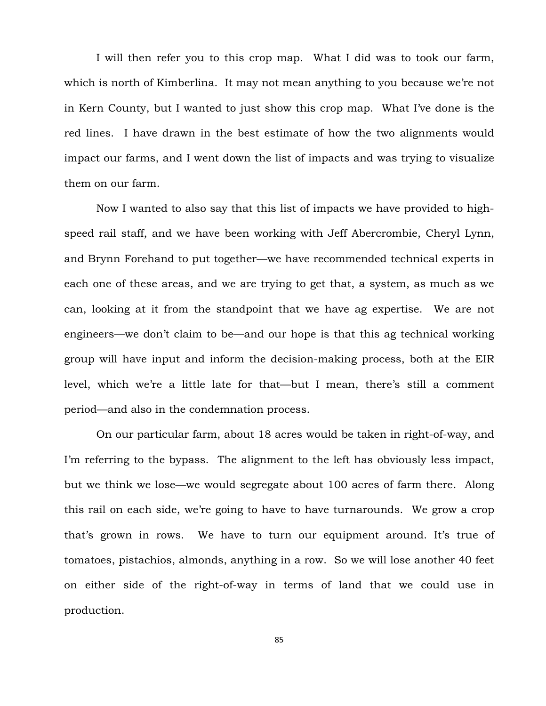I will then refer you to this crop map. What I did was to took our farm, which is north of Kimberlina. It may not mean anything to you because we're not in Kern County, but I wanted to just show this crop map. What I've done is the red lines. I have drawn in the best estimate of how the two alignments would impact our farms, and I went down the list of impacts and was trying to visualize them on our farm.

Now I wanted to also say that this list of impacts we have provided to highspeed rail staff, and we have been working with Jeff Abercrombie, Cheryl Lynn, and Brynn Forehand to put together—we have recommended technical experts in each one of these areas, and we are trying to get that, a system, as much as we can, looking at it from the standpoint that we have ag expertise. We are not engineers—we don't claim to be—and our hope is that this ag technical working group will have input and inform the decision-making process, both at the EIR level, which we're a little late for that—but I mean, there's still a comment period—and also in the condemnation process.

On our particular farm, about 18 acres would be taken in right-of-way, and I'm referring to the bypass. The alignment to the left has obviously less impact, but we think we lose—we would segregate about 100 acres of farm there. Along this rail on each side, we're going to have to have turnarounds. We grow a crop that's grown in rows. We have to turn our equipment around. It's true of tomatoes, pistachios, almonds, anything in a row. So we will lose another 40 feet on either side of the right-of-way in terms of land that we could use in production.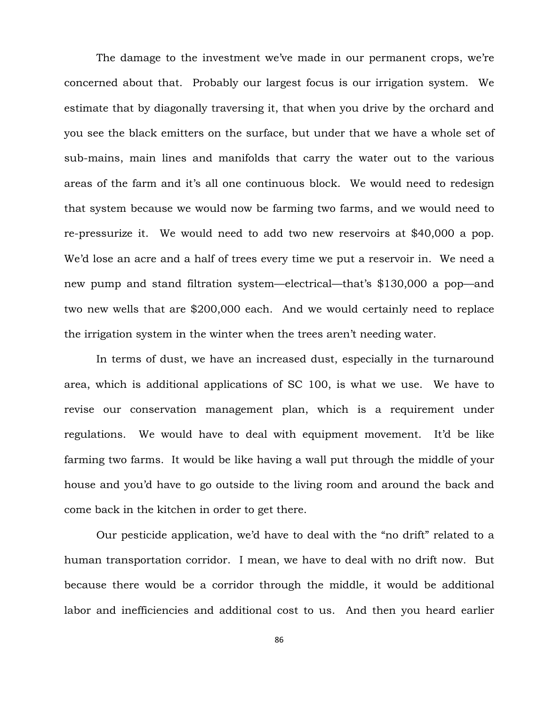The damage to the investment we've made in our permanent crops, we're concerned about that. Probably our largest focus is our irrigation system. We estimate that by diagonally traversing it, that when you drive by the orchard and you see the black emitters on the surface, but under that we have a whole set of sub-mains, main lines and manifolds that carry the water out to the various areas of the farm and it's all one continuous block. We would need to redesign that system because we would now be farming two farms, and we would need to re-pressurize it. We would need to add two new reservoirs at \$40,000 a pop. We'd lose an acre and a half of trees every time we put a reservoir in. We need a new pump and stand filtration system—electrical—that's \$130,000 a pop—and two new wells that are \$200,000 each. And we would certainly need to replace the irrigation system in the winter when the trees aren't needing water.

In terms of dust, we have an increased dust, especially in the turnaround area, which is additional applications of SC 100, is what we use. We have to revise our conservation management plan, which is a requirement under regulations. We would have to deal with equipment movement. It'd be like farming two farms. It would be like having a wall put through the middle of your house and you'd have to go outside to the living room and around the back and come back in the kitchen in order to get there.

Our pesticide application, we'd have to deal with the "no drift" related to a human transportation corridor. I mean, we have to deal with no drift now. But because there would be a corridor through the middle, it would be additional labor and inefficiencies and additional cost to us. And then you heard earlier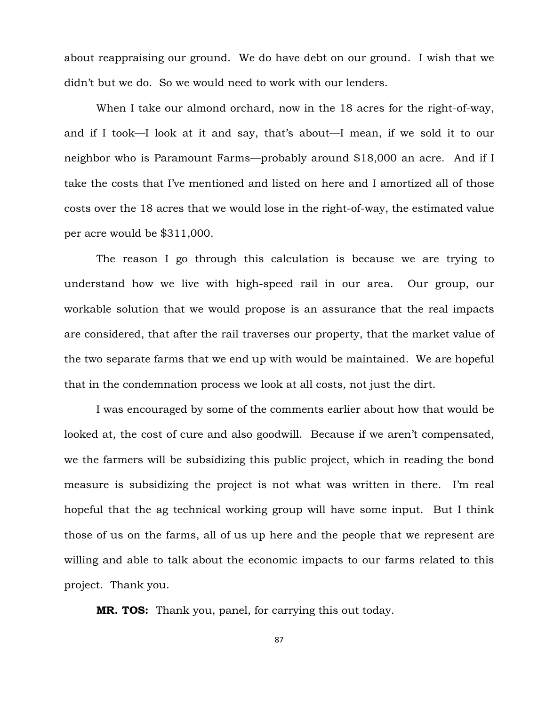about reappraising our ground. We do have debt on our ground. I wish that we didn't but we do. So we would need to work with our lenders.

When I take our almond orchard, now in the 18 acres for the right-of-way, and if I took—I look at it and say, that's about—I mean, if we sold it to our neighbor who is Paramount Farms—probably around \$18,000 an acre. And if I take the costs that I've mentioned and listed on here and I amortized all of those costs over the 18 acres that we would lose in the right-of-way, the estimated value per acre would be \$311,000.

The reason I go through this calculation is because we are trying to understand how we live with high-speed rail in our area. Our group, our workable solution that we would propose is an assurance that the real impacts are considered, that after the rail traverses our property, that the market value of the two separate farms that we end up with would be maintained. We are hopeful that in the condemnation process we look at all costs, not just the dirt.

I was encouraged by some of the comments earlier about how that would be looked at, the cost of cure and also goodwill. Because if we aren't compensated, we the farmers will be subsidizing this public project, which in reading the bond measure is subsidizing the project is not what was written in there. I'm real hopeful that the ag technical working group will have some input. But I think those of us on the farms, all of us up here and the people that we represent are willing and able to talk about the economic impacts to our farms related to this project. Thank you.

**MR. TOS:** Thank you, panel, for carrying this out today.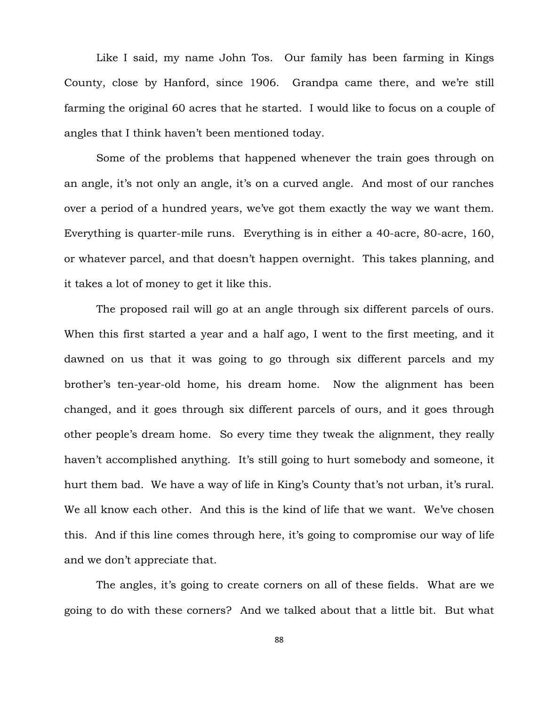Like I said, my name John Tos. Our family has been farming in Kings County, close by Hanford, since 1906. Grandpa came there, and we're still farming the original 60 acres that he started. I would like to focus on a couple of angles that I think haven't been mentioned today.

Some of the problems that happened whenever the train goes through on an angle, it's not only an angle, it's on a curved angle. And most of our ranches over a period of a hundred years, we've got them exactly the way we want them. Everything is quarter-mile runs. Everything is in either a 40-acre, 80-acre, 160, or whatever parcel, and that doesn't happen overnight. This takes planning, and it takes a lot of money to get it like this.

The proposed rail will go at an angle through six different parcels of ours. When this first started a year and a half ago, I went to the first meeting, and it dawned on us that it was going to go through six different parcels and my brother's ten-year-old home, his dream home. Now the alignment has been changed, and it goes through six different parcels of ours, and it goes through other people's dream home. So every time they tweak the alignment, they really haven't accomplished anything. It's still going to hurt somebody and someone, it hurt them bad. We have a way of life in King's County that's not urban, it's rural. We all know each other. And this is the kind of life that we want. We've chosen this. And if this line comes through here, it's going to compromise our way of life and we don't appreciate that.

The angles, it's going to create corners on all of these fields. What are we going to do with these corners? And we talked about that a little bit. But what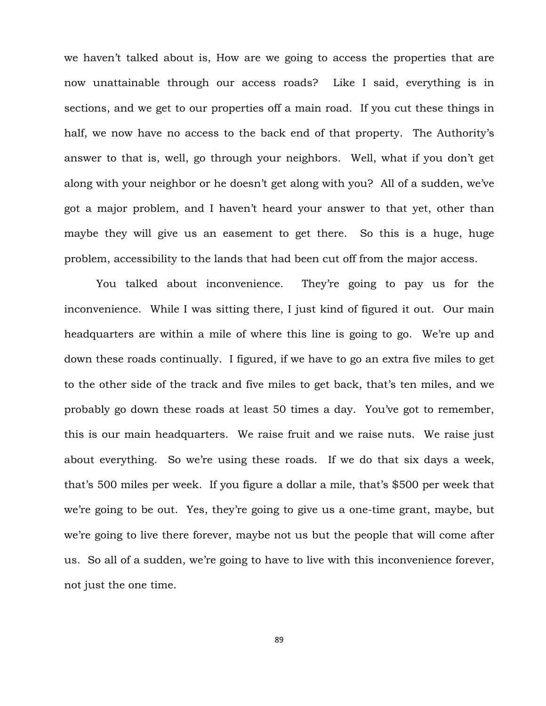we haven't talked about is, How are we going to access the properties that are now unattainable through our access roads? Like I said, everything is in sections, and we get to our properties off a main road. If you cut these things in half, we now have no access to the back end of that property. The Authority's answer to that is, well, go through your neighbors. Well, what if you don't get along with your neighbor or he doesn't get along with you? All of a sudden, we've got a major problem, and I haven't heard your answer to that yet, other than maybe they will give us an easement to get there. So this is a huge, huge problem, accessibility to the lands that had been cut off from the major access.

You talked about inconvenience. They're going to pay us for the inconvenience. While I was sitting there, I just kind of figured it out. Our main headquarters are within a mile of where this line is going to go. We're up and down these roads continually. I figured, if we have to go an extra five miles to get to the other side of the track and five miles to get back, that's ten miles, and we probably go down these roads at least 50 times a day. You've got to remember, this is our main headquarters. We raise fruit and we raise nuts. We raise just about everything. So we're using these roads. If we do that six days a week, that's 500 miles per week. If you figure a dollar a mile, that's \$500 per week that we're going to be out. Yes, they're going to give us a one-time grant, maybe, but we're going to live there forever, maybe not us but the people that will come after us. So all of a sudden, we're going to have to live with this inconvenience forever, not just the one time.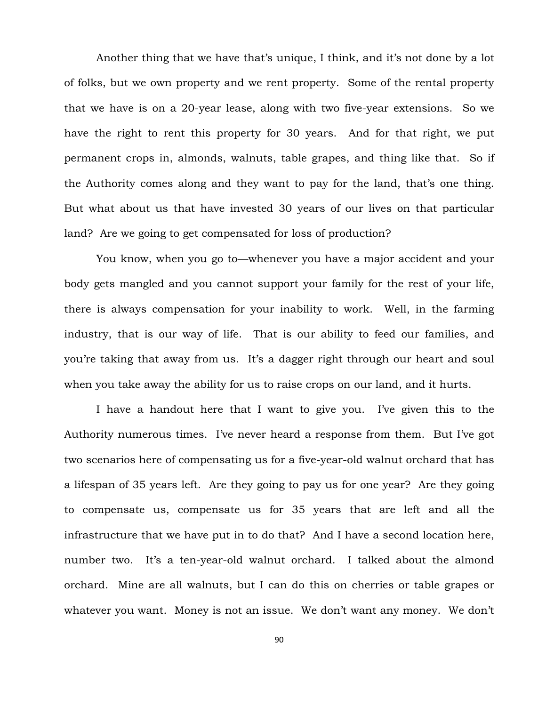Another thing that we have that's unique, I think, and it's not done by a lot of folks, but we own property and we rent property. Some of the rental property that we have is on a 20-year lease, along with two five-year extensions. So we have the right to rent this property for 30 years. And for that right, we put permanent crops in, almonds, walnuts, table grapes, and thing like that. So if the Authority comes along and they want to pay for the land, that's one thing. But what about us that have invested 30 years of our lives on that particular land? Are we going to get compensated for loss of production?

You know, when you go to—whenever you have a major accident and your body gets mangled and you cannot support your family for the rest of your life, there is always compensation for your inability to work. Well, in the farming industry, that is our way of life. That is our ability to feed our families, and you're taking that away from us. It's a dagger right through our heart and soul when you take away the ability for us to raise crops on our land, and it hurts.

I have a handout here that I want to give you. I've given this to the Authority numerous times. I've never heard a response from them. But I've got two scenarios here of compensating us for a five-year-old walnut orchard that has a lifespan of 35 years left. Are they going to pay us for one year? Are they going to compensate us, compensate us for 35 years that are left and all the infrastructure that we have put in to do that? And I have a second location here, number two. It's a ten-year-old walnut orchard. I talked about the almond orchard. Mine are all walnuts, but I can do this on cherries or table grapes or whatever you want. Money is not an issue. We don't want any money. We don't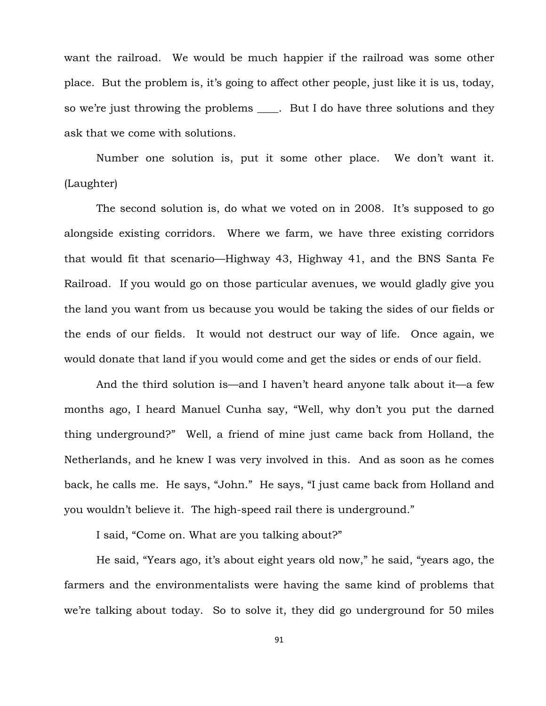want the railroad. We would be much happier if the railroad was some other place. But the problem is, it's going to affect other people, just like it is us, today, so we're just throwing the problems . But I do have three solutions and they ask that we come with solutions.

Number one solution is, put it some other place. We don't want it. (Laughter)

The second solution is, do what we voted on in 2008. It's supposed to go alongside existing corridors. Where we farm, we have three existing corridors that would fit that scenario—Highway 43, Highway 41, and the BNS Santa Fe Railroad. If you would go on those particular avenues, we would gladly give you the land you want from us because you would be taking the sides of our fields or the ends of our fields. It would not destruct our way of life. Once again, we would donate that land if you would come and get the sides or ends of our field.

And the third solution is—and I haven't heard anyone talk about it—a few months ago, I heard Manuel Cunha say, "Well, why don't you put the darned thing underground?" Well, a friend of mine just came back from Holland, the Netherlands, and he knew I was very involved in this. And as soon as he comes back, he calls me. He says, "John." He says, "I just came back from Holland and you wouldn't believe it. The high-speed rail there is underground."

I said, "Come on. What are you talking about?"

He said, "Years ago, it's about eight years old now," he said, "years ago, the farmers and the environmentalists were having the same kind of problems that we're talking about today. So to solve it, they did go underground for 50 miles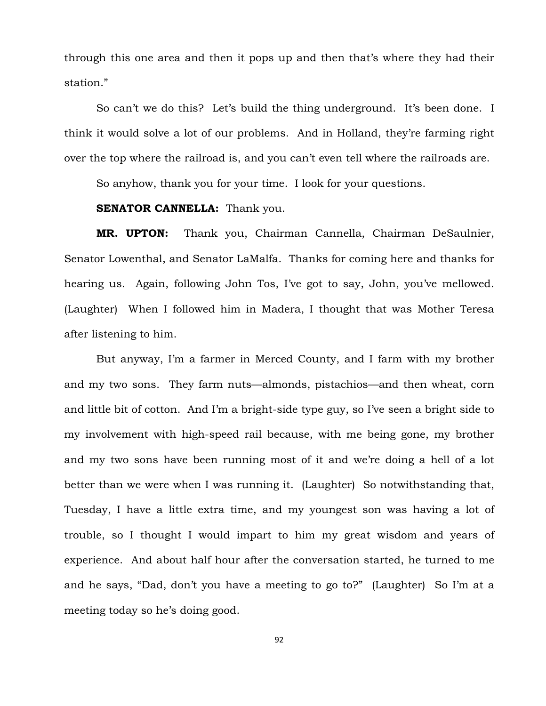through this one area and then it pops up and then that's where they had their station."

So can't we do this? Let's build the thing underground. It's been done. I think it would solve a lot of our problems. And in Holland, they're farming right over the top where the railroad is, and you can't even tell where the railroads are.

So anyhow, thank you for your time. I look for your questions.

# **SENATOR CANNELLA:** Thank you.

**MR. UPTON:** Thank you, Chairman Cannella, Chairman DeSaulnier, Senator Lowenthal, and Senator LaMalfa. Thanks for coming here and thanks for hearing us. Again, following John Tos, I've got to say, John, you've mellowed. (Laughter) When I followed him in Madera, I thought that was Mother Teresa after listening to him.

But anyway, I'm a farmer in Merced County, and I farm with my brother and my two sons. They farm nuts—almonds, pistachios—and then wheat, corn and little bit of cotton. And I'm a bright-side type guy, so I've seen a bright side to my involvement with high-speed rail because, with me being gone, my brother and my two sons have been running most of it and we're doing a hell of a lot better than we were when I was running it. (Laughter) So notwithstanding that, Tuesday, I have a little extra time, and my youngest son was having a lot of trouble, so I thought I would impart to him my great wisdom and years of experience. And about half hour after the conversation started, he turned to me and he says, "Dad, don't you have a meeting to go to?" (Laughter) So I'm at a meeting today so he's doing good.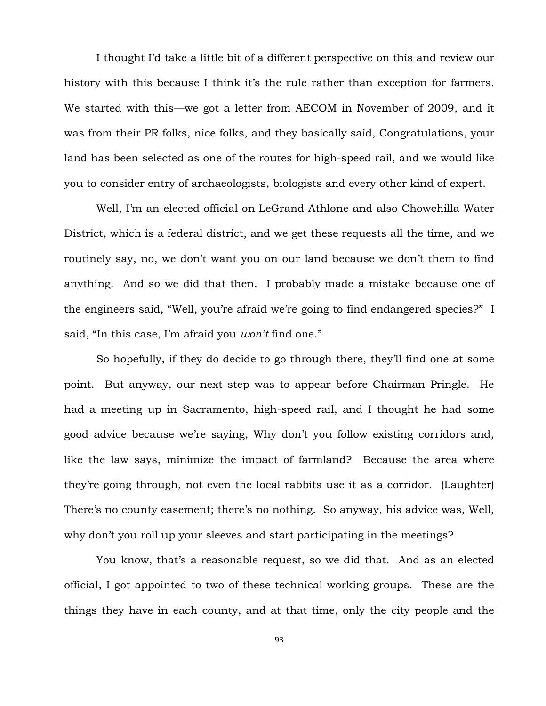I thought I'd take a little bit of a different perspective on this and review our history with this because I think it's the rule rather than exception for farmers. We started with this—we got a letter from AECOM in November of 2009, and it was from their PR folks, nice folks, and they basically said, Congratulations, your land has been selected as one of the routes for high-speed rail, and we would like you to consider entry of archaeologists, biologists and every other kind of expert.

Well, I'm an elected official on LeGrand-Athlone and also Chowchilla Water District, which is a federal district, and we get these requests all the time, and we routinely say, no, we don't want you on our land because we don't them to find anything. And so we did that then. I probably made a mistake because one of the engineers said, "Well, you're afraid we're going to find endangered species?" I said, "In this case, I'm afraid you *won't* find one."

So hopefully, if they do decide to go through there, they'll find one at some point. But anyway, our next step was to appear before Chairman Pringle. He had a meeting up in Sacramento, high-speed rail, and I thought he had some good advice because we're saying, Why don't you follow existing corridors and, like the law says, minimize the impact of farmland? Because the area where they're going through, not even the local rabbits use it as a corridor. (Laughter) There's no county easement; there's no nothing. So anyway, his advice was, Well, why don't you roll up your sleeves and start participating in the meetings?

You know, that's a reasonable request, so we did that. And as an elected official, I got appointed to two of these technical working groups. These are the things they have in each county, and at that time, only the city people and the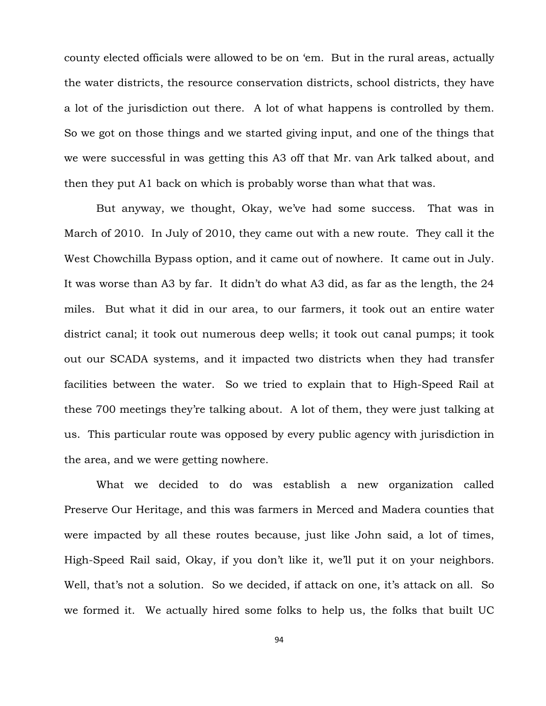county elected officials were allowed to be on 'em. But in the rural areas, actually the water districts, the resource conservation districts, school districts, they have a lot of the jurisdiction out there. A lot of what happens is controlled by them. So we got on those things and we started giving input, and one of the things that we were successful in was getting this A3 off that Mr. van Ark talked about, and then they put A1 back on which is probably worse than what that was.

But anyway, we thought, Okay, we've had some success. That was in March of 2010. In July of 2010, they came out with a new route. They call it the West Chowchilla Bypass option, and it came out of nowhere. It came out in July. It was worse than A3 by far. It didn't do what A3 did, as far as the length, the 24 miles. But what it did in our area, to our farmers, it took out an entire water district canal; it took out numerous deep wells; it took out canal pumps; it took out our SCADA systems, and it impacted two districts when they had transfer facilities between the water. So we tried to explain that to High-Speed Rail at these 700 meetings they're talking about. A lot of them, they were just talking at us. This particular route was opposed by every public agency with jurisdiction in the area, and we were getting nowhere.

What we decided to do was establish a new organization called Preserve Our Heritage, and this was farmers in Merced and Madera counties that were impacted by all these routes because, just like John said, a lot of times, High-Speed Rail said, Okay, if you don't like it, we'll put it on your neighbors. Well, that's not a solution. So we decided, if attack on one, it's attack on all. So we formed it. We actually hired some folks to help us, the folks that built UC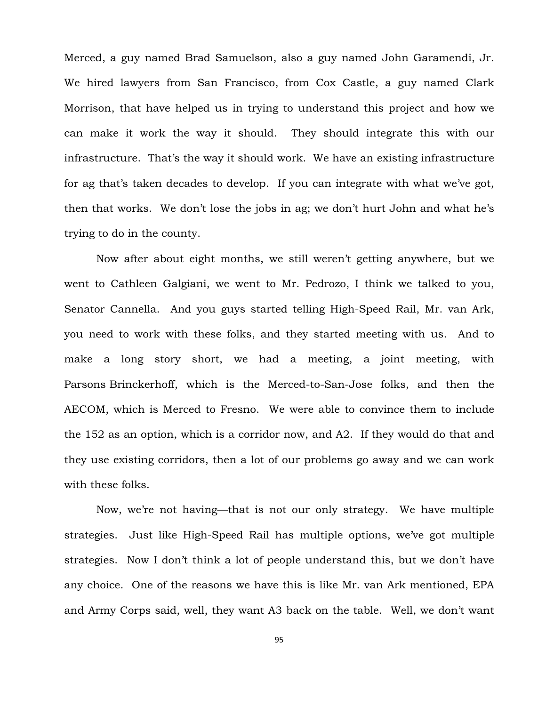Merced, a guy named Brad Samuelson, also a guy named John Garamendi, Jr. We hired lawyers from San Francisco, from Cox Castle, a guy named Clark Morrison, that have helped us in trying to understand this project and how we can make it work the way it should. They should integrate this with our infrastructure. That's the way it should work. We have an existing infrastructure for ag that's taken decades to develop. If you can integrate with what we've got, then that works. We don't lose the jobs in ag; we don't hurt John and what he's trying to do in the county.

Now after about eight months, we still weren't getting anywhere, but we went to Cathleen Galgiani, we went to Mr. Pedrozo, I think we talked to you, Senator Cannella. And you guys started telling High-Speed Rail, Mr. van Ark, you need to work with these folks, and they started meeting with us. And to make a long story short, we had a meeting, a joint meeting, with Parsons Brinckerhoff, which is the Merced-to-San-Jose folks, and then the AECOM, which is Merced to Fresno. We were able to convince them to include the 152 as an option, which is a corridor now, and A2. If they would do that and they use existing corridors, then a lot of our problems go away and we can work with these folks.

Now, we're not having—that is not our only strategy. We have multiple strategies. Just like High-Speed Rail has multiple options, we've got multiple strategies. Now I don't think a lot of people understand this, but we don't have any choice. One of the reasons we have this is like Mr. van Ark mentioned, EPA and Army Corps said, well, they want A3 back on the table. Well, we don't want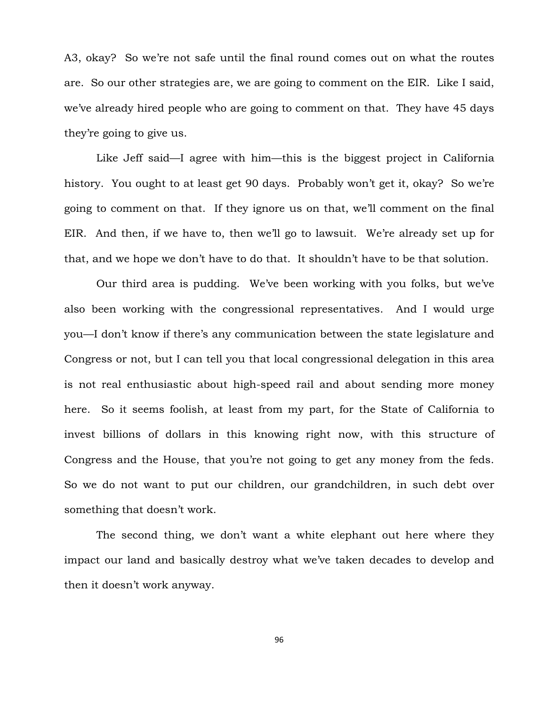A3, okay? So we're not safe until the final round comes out on what the routes are. So our other strategies are, we are going to comment on the EIR. Like I said, we've already hired people who are going to comment on that. They have 45 days they're going to give us.

Like Jeff said—I agree with him—this is the biggest project in California history. You ought to at least get 90 days. Probably won't get it, okay? So we're going to comment on that. If they ignore us on that, we'll comment on the final EIR. And then, if we have to, then we'll go to lawsuit. We're already set up for that, and we hope we don't have to do that. It shouldn't have to be that solution.

Our third area is pudding. We've been working with you folks, but we've also been working with the congressional representatives. And I would urge you—I don't know if there's any communication between the state legislature and Congress or not, but I can tell you that local congressional delegation in this area is not real enthusiastic about high-speed rail and about sending more money here. So it seems foolish, at least from my part, for the State of California to invest billions of dollars in this knowing right now, with this structure of Congress and the House, that you're not going to get any money from the feds. So we do not want to put our children, our grandchildren, in such debt over something that doesn't work.

The second thing, we don't want a white elephant out here where they impact our land and basically destroy what we've taken decades to develop and then it doesn't work anyway.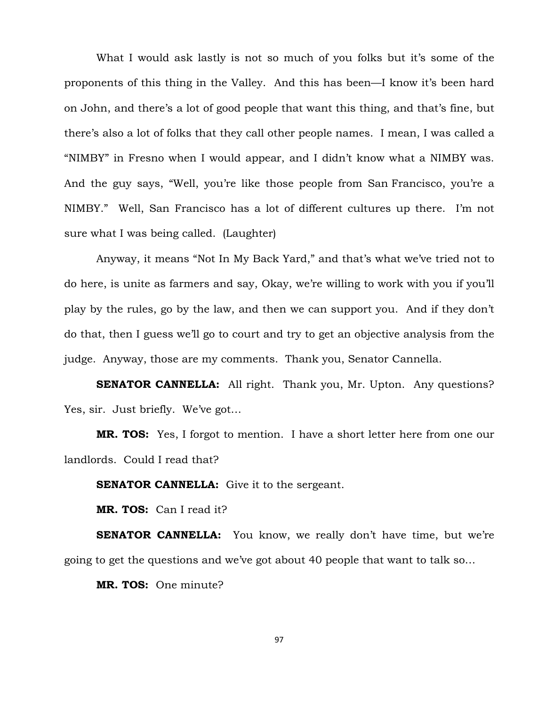What I would ask lastly is not so much of you folks but it's some of the proponents of this thing in the Valley. And this has been—I know it's been hard on John, and there's a lot of good people that want this thing, and that's fine, but there's also a lot of folks that they call other people names. I mean, I was called a "NIMBY" in Fresno when I would appear, and I didn't know what a NIMBY was. And the guy says, "Well, you're like those people from San Francisco, you're a NIMBY." Well, San Francisco has a lot of different cultures up there. I'm not sure what I was being called. (Laughter)

Anyway, it means "Not In My Back Yard," and that's what we've tried not to do here, is unite as farmers and say, Okay, we're willing to work with you if you'll play by the rules, go by the law, and then we can support you. And if they don't do that, then I guess we'll go to court and try to get an objective analysis from the judge. Anyway, those are my comments. Thank you, Senator Cannella.

**SENATOR CANNELLA:** All right. Thank you, Mr. Upton. Any questions? Yes, sir. Just briefly. We've got…

**MR. TOS:** Yes, I forgot to mention. I have a short letter here from one our landlords. Could I read that?

**SENATOR CANNELLA:** Give it to the sergeant.

**MR. TOS:** Can I read it?

**SENATOR CANNELLA:** You know, we really don't have time, but we're going to get the questions and we've got about 40 people that want to talk so…

**MR. TOS:** One minute?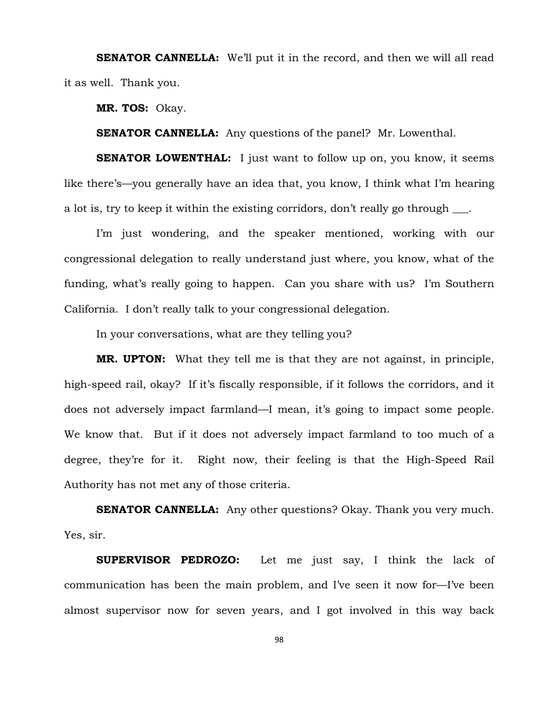**SENATOR CANNELLA:** We'll put it in the record, and then we will all read it as well. Thank you.

**MR. TOS:** Okay.

**SENATOR CANNELLA:** Any questions of the panel? Mr. Lowenthal.

**SENATOR LOWENTHAL:** I just want to follow up on, you know, it seems like there's—you generally have an idea that, you know, I think what I'm hearing a lot is, try to keep it within the existing corridors, don't really go through  $\qquad$ .

I'm just wondering, and the speaker mentioned, working with our congressional delegation to really understand just where, you know, what of the funding, what's really going to happen. Can you share with us? I'm Southern California. I don't really talk to your congressional delegation.

In your conversations, what are they telling you?

**MR. UPTON:** What they tell me is that they are not against, in principle, high-speed rail, okay? If it's fiscally responsible, if it follows the corridors, and it does not adversely impact farmland—I mean, it's going to impact some people. We know that. But if it does not adversely impact farmland to too much of a degree, they're for it. Right now, their feeling is that the High-Speed Rail Authority has not met any of those criteria.

**SENATOR CANNELLA:** Any other questions? Okay. Thank you very much. Yes, sir.

**SUPERVISOR PEDROZO:** Let me just say, I think the lack of communication has been the main problem, and I've seen it now for—I've been almost supervisor now for seven years, and I got involved in this way back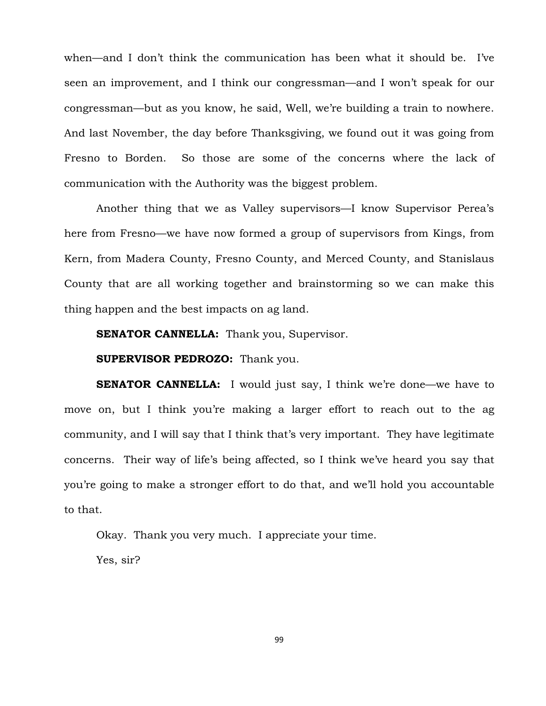when—and I don't think the communication has been what it should be. I've seen an improvement, and I think our congressman—and I won't speak for our congressman—but as you know, he said, Well, we're building a train to nowhere. And last November, the day before Thanksgiving, we found out it was going from Fresno to Borden. So those are some of the concerns where the lack of communication with the Authority was the biggest problem.

Another thing that we as Valley supervisors—I know Supervisor Perea's here from Fresno—we have now formed a group of supervisors from Kings, from Kern, from Madera County, Fresno County, and Merced County, and Stanislaus County that are all working together and brainstorming so we can make this thing happen and the best impacts on ag land.

**SENATOR CANNELLA:** Thank you, Supervisor.

**SUPERVISOR PEDROZO:** Thank you.

**SENATOR CANNELLA:** I would just say, I think we're done—we have to move on, but I think you're making a larger effort to reach out to the ag community, and I will say that I think that's very important. They have legitimate concerns. Their way of life's being affected, so I think we've heard you say that you're going to make a stronger effort to do that, and we'll hold you accountable to that.

Okay. Thank you very much. I appreciate your time.

Yes, sir?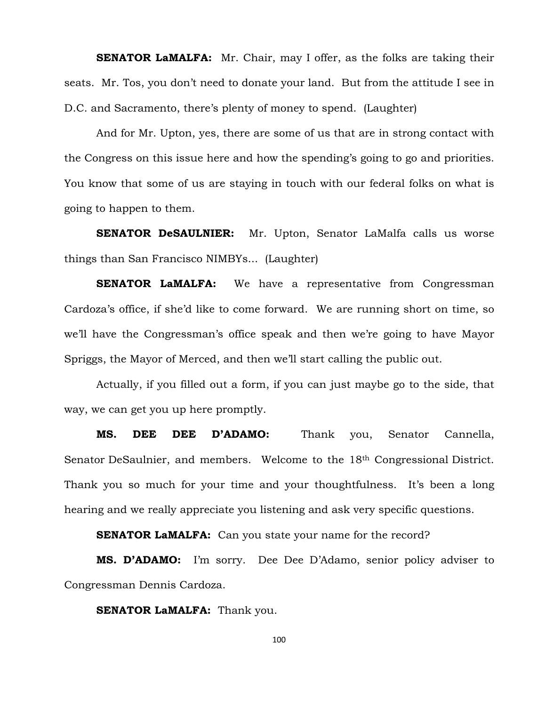**SENATOR LaMALFA:** Mr. Chair, may I offer, as the folks are taking their seats. Mr. Tos, you don't need to donate your land. But from the attitude I see in D.C. and Sacramento, there's plenty of money to spend. (Laughter)

And for Mr. Upton, yes, there are some of us that are in strong contact with the Congress on this issue here and how the spending's going to go and priorities. You know that some of us are staying in touch with our federal folks on what is going to happen to them.

**SENATOR DeSAULNIER:** Mr. Upton, Senator LaMalfa calls us worse things than San Francisco NIMBYs... (Laughter)

**SENATOR LaMALFA:** We have a representative from Congressman Cardoza's office, if she'd like to come forward. We are running short on time, so we'll have the Congressman's office speak and then we're going to have Mayor Spriggs, the Mayor of Merced, and then we'll start calling the public out.

Actually, if you filled out a form, if you can just maybe go to the side, that way, we can get you up here promptly.

**MS. DEE DEE D'ADAMO:** Thank you, Senator Cannella, Senator DeSaulnier, and members. Welcome to the 18th Congressional District. Thank you so much for your time and your thoughtfulness. It's been a long hearing and we really appreciate you listening and ask very specific questions.

**SENATOR LaMALFA:** Can you state your name for the record?

MS. D'ADAMO: I'm sorry. Dee Dee D'Adamo, senior policy adviser to Congressman Dennis Cardoza.

**SENATOR LaMALFA:** Thank you.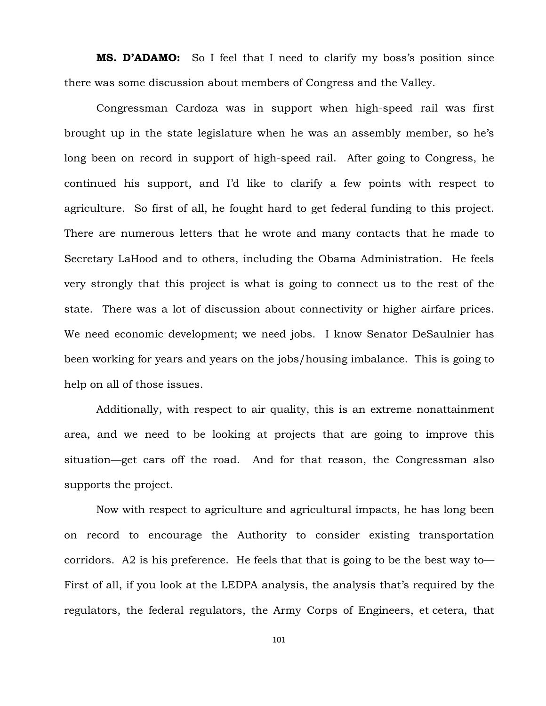**MS. D'ADAMO:** So I feel that I need to clarify my boss's position since there was some discussion about members of Congress and the Valley.

Congressman Cardoza was in support when high-speed rail was first brought up in the state legislature when he was an assembly member, so he's long been on record in support of high-speed rail. After going to Congress, he continued his support, and I'd like to clarify a few points with respect to agriculture. So first of all, he fought hard to get federal funding to this project. There are numerous letters that he wrote and many contacts that he made to Secretary LaHood and to others, including the Obama Administration. He feels very strongly that this project is what is going to connect us to the rest of the state. There was a lot of discussion about connectivity or higher airfare prices. We need economic development; we need jobs. I know Senator DeSaulnier has been working for years and years on the jobs/housing imbalance. This is going to help on all of those issues.

Additionally, with respect to air quality, this is an extreme nonattainment area, and we need to be looking at projects that are going to improve this situation—get cars off the road. And for that reason, the Congressman also supports the project.

Now with respect to agriculture and agricultural impacts, he has long been on record to encourage the Authority to consider existing transportation corridors. A2 is his preference. He feels that that is going to be the best way to— First of all, if you look at the LEDPA analysis, the analysis that's required by the regulators, the federal regulators, the Army Corps of Engineers, et cetera, that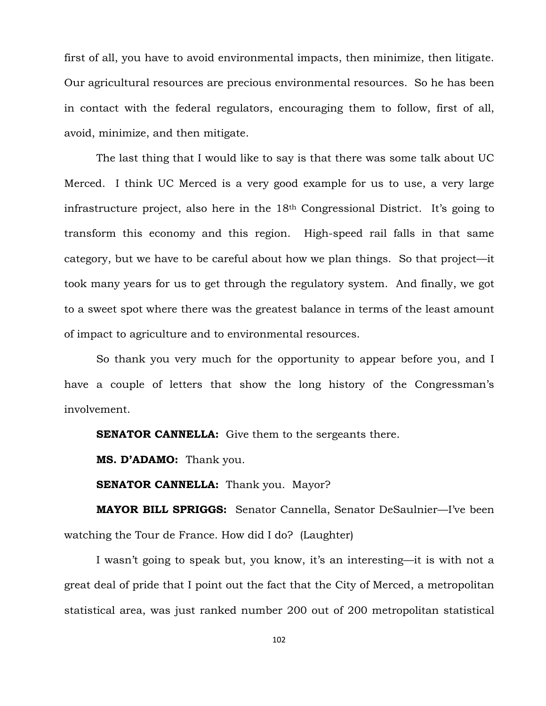first of all, you have to avoid environmental impacts, then minimize, then litigate. Our agricultural resources are precious environmental resources. So he has been in contact with the federal regulators, encouraging them to follow, first of all, avoid, minimize, and then mitigate.

The last thing that I would like to say is that there was some talk about UC Merced. I think UC Merced is a very good example for us to use, a very large infrastructure project, also here in the 18th Congressional District. It's going to transform this economy and this region. High-speed rail falls in that same category, but we have to be careful about how we plan things. So that project—it took many years for us to get through the regulatory system. And finally, we got to a sweet spot where there was the greatest balance in terms of the least amount of impact to agriculture and to environmental resources.

So thank you very much for the opportunity to appear before you, and I have a couple of letters that show the long history of the Congressman's involvement.

**SENATOR CANNELLA:** Give them to the sergeants there.

**MS. D'ADAMO:** Thank you.

**SENATOR CANNELLA:** Thank you. Mayor?

**MAYOR BILL SPRIGGS:** Senator Cannella, Senator DeSaulnier—I've been watching the Tour de France. How did I do? (Laughter)

I wasn't going to speak but, you know, it's an interesting—it is with not a great deal of pride that I point out the fact that the City of Merced, a metropolitan statistical area, was just ranked number 200 out of 200 metropolitan statistical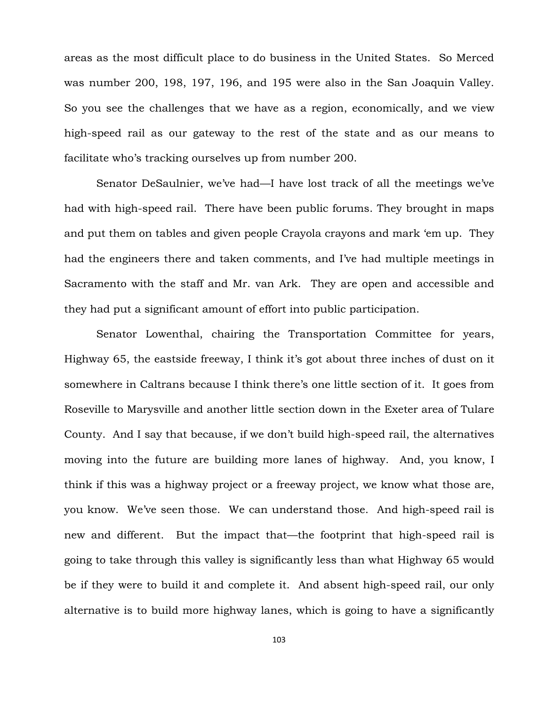areas as the most difficult place to do business in the United States. So Merced was number 200, 198, 197, 196, and 195 were also in the San Joaquin Valley. So you see the challenges that we have as a region, economically, and we view high-speed rail as our gateway to the rest of the state and as our means to facilitate who's tracking ourselves up from number 200.

Senator DeSaulnier, we've had—I have lost track of all the meetings we've had with high-speed rail. There have been public forums. They brought in maps and put them on tables and given people Crayola crayons and mark 'em up. They had the engineers there and taken comments, and I've had multiple meetings in Sacramento with the staff and Mr. van Ark. They are open and accessible and they had put a significant amount of effort into public participation.

Senator Lowenthal, chairing the Transportation Committee for years, Highway 65, the eastside freeway, I think it's got about three inches of dust on it somewhere in Caltrans because I think there's one little section of it. It goes from Roseville to Marysville and another little section down in the Exeter area of Tulare County. And I say that because, if we don't build high-speed rail, the alternatives moving into the future are building more lanes of highway. And, you know, I think if this was a highway project or a freeway project, we know what those are, you know. We've seen those. We can understand those. And high-speed rail is new and different. But the impact that—the footprint that high-speed rail is going to take through this valley is significantly less than what Highway 65 would be if they were to build it and complete it. And absent high-speed rail, our only alternative is to build more highway lanes, which is going to have a significantly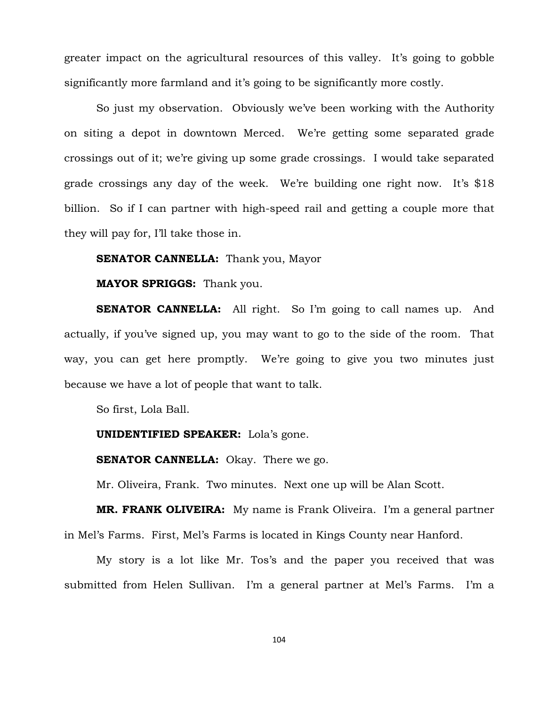greater impact on the agricultural resources of this valley. It's going to gobble significantly more farmland and it's going to be significantly more costly.

So just my observation. Obviously we've been working with the Authority on siting a depot in downtown Merced. We're getting some separated grade crossings out of it; we're giving up some grade crossings. I would take separated grade crossings any day of the week. We're building one right now. It's \$18 billion. So if I can partner with high-speed rail and getting a couple more that they will pay for, I'll take those in.

### **SENATOR CANNELLA:** Thank you, Mayor

## **MAYOR SPRIGGS:** Thank you.

**SENATOR CANNELLA:** All right. So I'm going to call names up. And actually, if you've signed up, you may want to go to the side of the room. That way, you can get here promptly. We're going to give you two minutes just because we have a lot of people that want to talk.

So first, Lola Ball.

#### **UNIDENTIFIED SPEAKER:** Lola's gone.

#### **SENATOR CANNELLA:** Okay. There we go.

Mr. Oliveira, Frank. Two minutes. Next one up will be Alan Scott.

**MR. FRANK OLIVEIRA:** My name is Frank Oliveira. I'm a general partner in Mel's Farms. First, Mel's Farms is located in Kings County near Hanford.

My story is a lot like Mr. Tos's and the paper you received that was submitted from Helen Sullivan. I'm a general partner at Mel's Farms. I'm a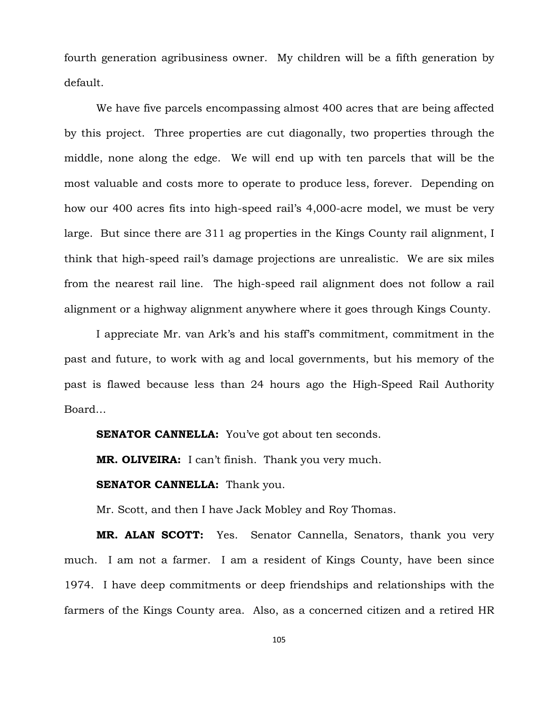fourth generation agribusiness owner. My children will be a fifth generation by default.

We have five parcels encompassing almost 400 acres that are being affected by this project. Three properties are cut diagonally, two properties through the middle, none along the edge. We will end up with ten parcels that will be the most valuable and costs more to operate to produce less, forever. Depending on how our 400 acres fits into high-speed rail's 4,000-acre model, we must be very large. But since there are 311 ag properties in the Kings County rail alignment, I think that high-speed rail's damage projections are unrealistic. We are six miles from the nearest rail line. The high-speed rail alignment does not follow a rail alignment or a highway alignment anywhere where it goes through Kings County.

I appreciate Mr. van Ark's and his staff's commitment, commitment in the past and future, to work with ag and local governments, but his memory of the past is flawed because less than 24 hours ago the High-Speed Rail Authority Board…

**SENATOR CANNELLA:** You've got about ten seconds.

**MR. OLIVEIRA:** I can't finish. Thank you very much.

### **SENATOR CANNELLA:** Thank you.

Mr. Scott, and then I have Jack Mobley and Roy Thomas.

**MR. ALAN SCOTT:** Yes. Senator Cannella, Senators, thank you very much. I am not a farmer. I am a resident of Kings County, have been since 1974. I have deep commitments or deep friendships and relationships with the farmers of the Kings County area. Also, as a concerned citizen and a retired HR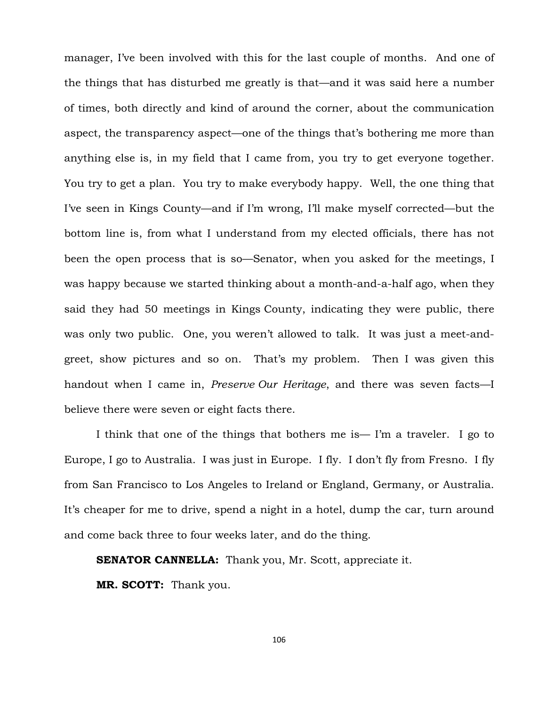manager, I've been involved with this for the last couple of months. And one of the things that has disturbed me greatly is that—and it was said here a number of times, both directly and kind of around the corner, about the communication aspect, the transparency aspect—one of the things that's bothering me more than anything else is, in my field that I came from, you try to get everyone together. You try to get a plan. You try to make everybody happy. Well, the one thing that I've seen in Kings County—and if I'm wrong, I'll make myself corrected—but the bottom line is, from what I understand from my elected officials, there has not been the open process that is so—Senator, when you asked for the meetings, I was happy because we started thinking about a month-and-a-half ago, when they said they had 50 meetings in Kings County, indicating they were public, there was only two public. One, you weren't allowed to talk. It was just a meet-andgreet, show pictures and so on. That's my problem. Then I was given this handout when I came in, *Preserve Our Heritage*, and there was seven facts—I believe there were seven or eight facts there.

I think that one of the things that bothers me is— I'm a traveler. I go to Europe, I go to Australia. I was just in Europe. I fly. I don't fly from Fresno. I fly from San Francisco to Los Angeles to Ireland or England, Germany, or Australia. It's cheaper for me to drive, spend a night in a hotel, dump the car, turn around and come back three to four weeks later, and do the thing.

**SENATOR CANNELLA:** Thank you, Mr. Scott, appreciate it.

**MR. SCOTT:** Thank you.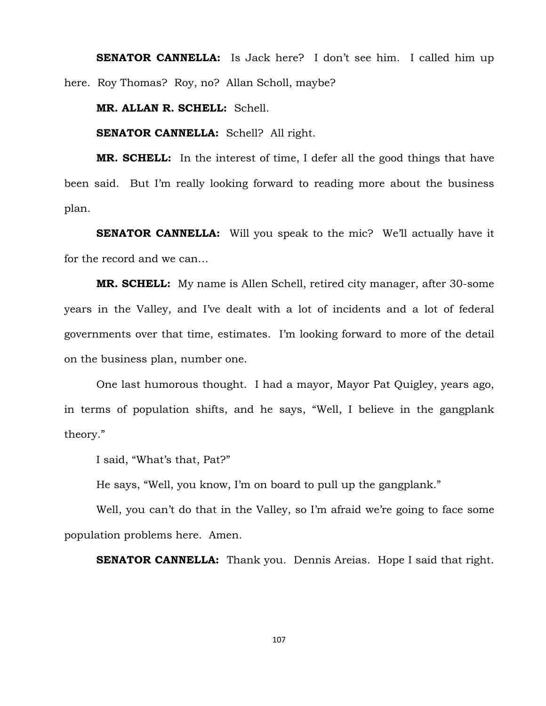**SENATOR CANNELLA:** Is Jack here? I don't see him. I called him up here. Roy Thomas? Roy, no? Allan Scholl, maybe?

**MR. ALLAN R. SCHELL:** Schell.

**SENATOR CANNELLA:** Schell? All right.

**MR. SCHELL:** In the interest of time, I defer all the good things that have been said. But I'm really looking forward to reading more about the business plan.

**SENATOR CANNELLA:** Will you speak to the mic? We'll actually have it for the record and we can…

**MR. SCHELL:** My name is Allen Schell, retired city manager, after 30-some years in the Valley, and I've dealt with a lot of incidents and a lot of federal governments over that time, estimates. I'm looking forward to more of the detail on the business plan, number one.

One last humorous thought. I had a mayor, Mayor Pat Quigley, years ago, in terms of population shifts, and he says, "Well, I believe in the gangplank theory."

I said, "What's that, Pat?"

He says, "Well, you know, I'm on board to pull up the gangplank."

Well, you can't do that in the Valley, so I'm afraid we're going to face some population problems here. Amen.

**SENATOR CANNELLA:** Thank you. Dennis Areias. Hope I said that right.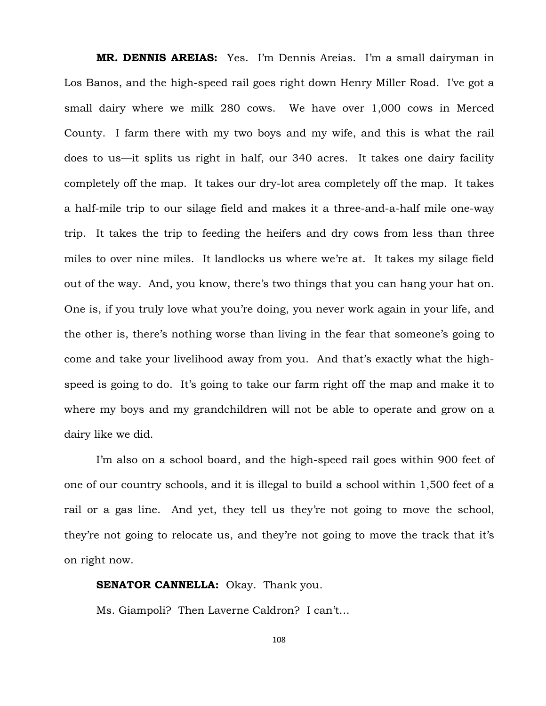**MR. DENNIS AREIAS:** Yes. I'm Dennis Areias. I'm a small dairyman in Los Banos, and the high-speed rail goes right down Henry Miller Road. I've got a small dairy where we milk 280 cows. We have over 1,000 cows in Merced County. I farm there with my two boys and my wife, and this is what the rail does to us—it splits us right in half, our 340 acres. It takes one dairy facility completely off the map. It takes our dry-lot area completely off the map. It takes a half-mile trip to our silage field and makes it a three-and-a-half mile one-way trip. It takes the trip to feeding the heifers and dry cows from less than three miles to over nine miles. It landlocks us where we're at. It takes my silage field out of the way. And, you know, there's two things that you can hang your hat on. One is, if you truly love what you're doing, you never work again in your life, and the other is, there's nothing worse than living in the fear that someone's going to come and take your livelihood away from you. And that's exactly what the highspeed is going to do. It's going to take our farm right off the map and make it to where my boys and my grandchildren will not be able to operate and grow on a dairy like we did.

I'm also on a school board, and the high-speed rail goes within 900 feet of one of our country schools, and it is illegal to build a school within 1,500 feet of a rail or a gas line. And yet, they tell us they're not going to move the school, they're not going to relocate us, and they're not going to move the track that it's on right now.

# **SENATOR CANNELLA:** Okay. Thank you.

Ms. Giampoli? Then Laverne Caldron? I can't…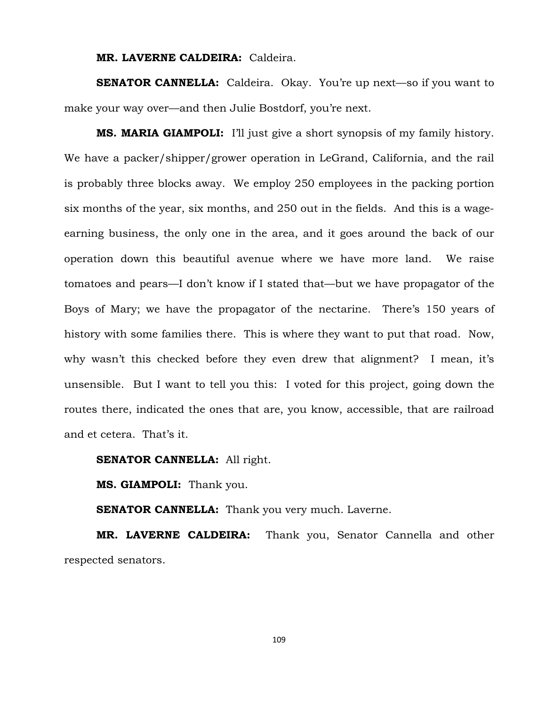#### **MR. LAVERNE CALDEIRA:** Caldeira.

**SENATOR CANNELLA:** Caldeira. Okay. You're up next—so if you want to make your way over—and then Julie Bostdorf, you're next.

**MS. MARIA GIAMPOLI:** I'll just give a short synopsis of my family history. We have a packer/shipper/grower operation in LeGrand, California, and the rail is probably three blocks away. We employ 250 employees in the packing portion six months of the year, six months, and 250 out in the fields. And this is a wageearning business, the only one in the area, and it goes around the back of our operation down this beautiful avenue where we have more land. We raise tomatoes and pears—I don't know if I stated that—but we have propagator of the Boys of Mary; we have the propagator of the nectarine. There's 150 years of history with some families there. This is where they want to put that road. Now, why wasn't this checked before they even drew that alignment? I mean, it's unsensible. But I want to tell you this: I voted for this project, going down the routes there, indicated the ones that are, you know, accessible, that are railroad and et cetera. That's it.

#### **SENATOR CANNELLA:** All right.

**MS. GIAMPOLI:** Thank you.

**SENATOR CANNELLA:** Thank you very much. Laverne.

**MR. LAVERNE CALDEIRA:** Thank you, Senator Cannella and other respected senators.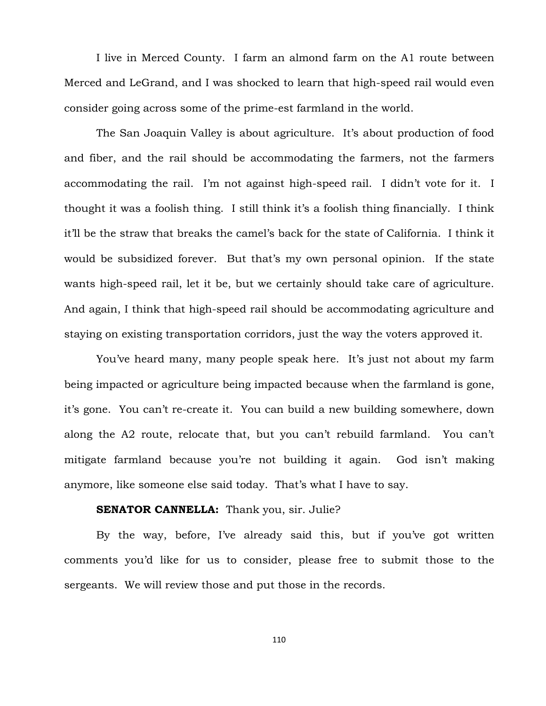I live in Merced County. I farm an almond farm on the A1 route between Merced and LeGrand, and I was shocked to learn that high-speed rail would even consider going across some of the prime-est farmland in the world.

The San Joaquin Valley is about agriculture. It's about production of food and fiber, and the rail should be accommodating the farmers, not the farmers accommodating the rail. I'm not against high-speed rail. I didn't vote for it. I thought it was a foolish thing. I still think it's a foolish thing financially. I think it'll be the straw that breaks the camel's back for the state of California. I think it would be subsidized forever. But that's my own personal opinion. If the state wants high-speed rail, let it be, but we certainly should take care of agriculture. And again, I think that high-speed rail should be accommodating agriculture and staying on existing transportation corridors, just the way the voters approved it.

You've heard many, many people speak here. It's just not about my farm being impacted or agriculture being impacted because when the farmland is gone, it's gone. You can't re-create it. You can build a new building somewhere, down along the A2 route, relocate that, but you can't rebuild farmland. You can't mitigate farmland because you're not building it again. God isn't making anymore, like someone else said today. That's what I have to say.

# **SENATOR CANNELLA:** Thank you, sir. Julie?

By the way, before, I've already said this, but if you've got written comments you'd like for us to consider, please free to submit those to the sergeants. We will review those and put those in the records.

110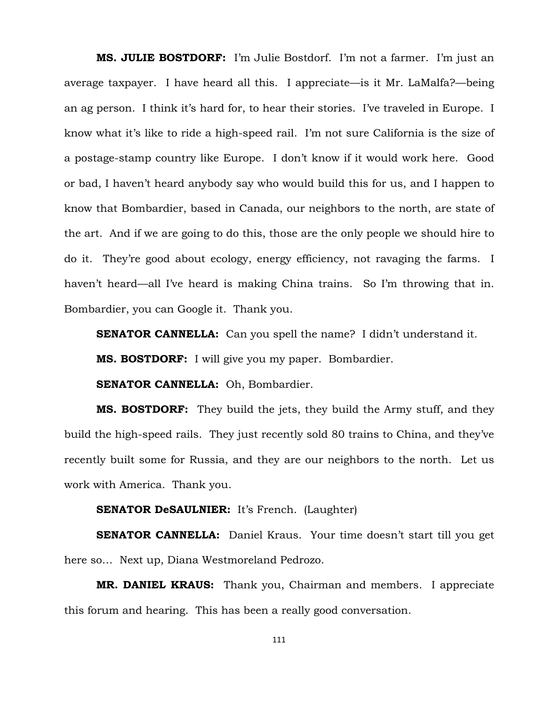**MS. JULIE BOSTDORF:** I'm Julie Bostdorf. I'm not a farmer. I'm just an average taxpayer. I have heard all this. I appreciate—is it Mr. LaMalfa?—being an ag person. I think it's hard for, to hear their stories. I've traveled in Europe. I know what it's like to ride a high-speed rail. I'm not sure California is the size of a postage-stamp country like Europe. I don't know if it would work here. Good or bad, I haven't heard anybody say who would build this for us, and I happen to know that Bombardier, based in Canada, our neighbors to the north, are state of the art. And if we are going to do this, those are the only people we should hire to do it. They're good about ecology, energy efficiency, not ravaging the farms. I haven't heard—all I've heard is making China trains. So I'm throwing that in. Bombardier, you can Google it. Thank you.

**SENATOR CANNELLA:** Can you spell the name? I didn't understand it.

**MS. BOSTDORF:** I will give you my paper. Bombardier.

**SENATOR CANNELLA:** Oh, Bombardier.

**MS. BOSTDORF:** They build the jets, they build the Army stuff, and they build the high-speed rails. They just recently sold 80 trains to China, and they've recently built some for Russia, and they are our neighbors to the north. Let us work with America. Thank you.

# **SENATOR DeSAULNIER:** It's French. (Laughter)

**SENATOR CANNELLA:** Daniel Kraus. Your time doesn't start till you get here so… Next up, Diana Westmoreland Pedrozo.

**MR. DANIEL KRAUS:** Thank you, Chairman and members. I appreciate this forum and hearing. This has been a really good conversation.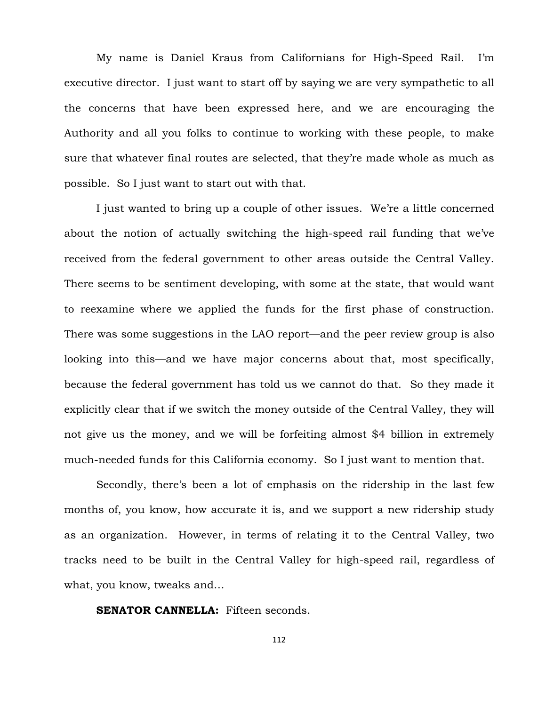My name is Daniel Kraus from Californians for High-Speed Rail. I'm executive director. I just want to start off by saying we are very sympathetic to all the concerns that have been expressed here, and we are encouraging the Authority and all you folks to continue to working with these people, to make sure that whatever final routes are selected, that they're made whole as much as possible. So I just want to start out with that.

I just wanted to bring up a couple of other issues. We're a little concerned about the notion of actually switching the high-speed rail funding that we've received from the federal government to other areas outside the Central Valley. There seems to be sentiment developing, with some at the state, that would want to reexamine where we applied the funds for the first phase of construction. There was some suggestions in the LAO report—and the peer review group is also looking into this—and we have major concerns about that, most specifically, because the federal government has told us we cannot do that. So they made it explicitly clear that if we switch the money outside of the Central Valley, they will not give us the money, and we will be forfeiting almost \$4 billion in extremely much-needed funds for this California economy. So I just want to mention that.

Secondly, there's been a lot of emphasis on the ridership in the last few months of, you know, how accurate it is, and we support a new ridership study as an organization. However, in terms of relating it to the Central Valley, two tracks need to be built in the Central Valley for high-speed rail, regardless of what, you know, tweaks and…

**SENATOR CANNELLA:** Fifteen seconds.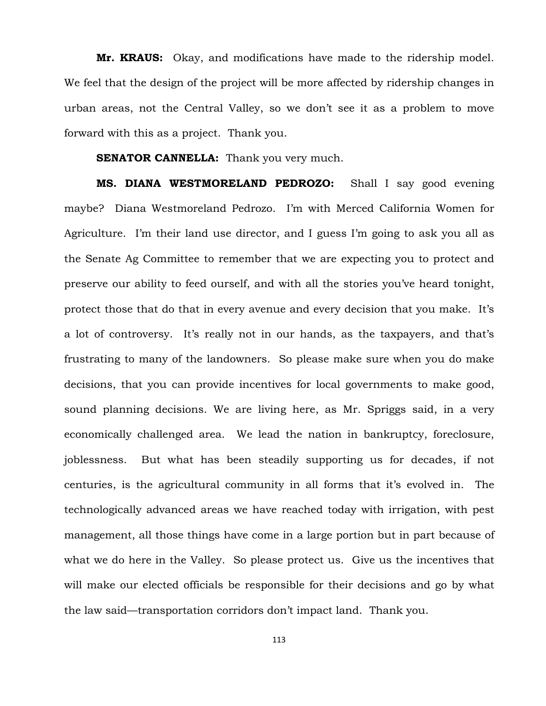**Mr. KRAUS:** Okay, and modifications have made to the ridership model. We feel that the design of the project will be more affected by ridership changes in urban areas, not the Central Valley, so we don't see it as a problem to move forward with this as a project. Thank you.

#### **SENATOR CANNELLA:** Thank you very much.

**MS. DIANA WESTMORELAND PEDROZO:** Shall I say good evening maybe? Diana Westmoreland Pedrozo. I'm with Merced California Women for Agriculture. I'm their land use director, and I guess I'm going to ask you all as the Senate Ag Committee to remember that we are expecting you to protect and preserve our ability to feed ourself, and with all the stories you've heard tonight, protect those that do that in every avenue and every decision that you make. It's a lot of controversy. It's really not in our hands, as the taxpayers, and that's frustrating to many of the landowners. So please make sure when you do make decisions, that you can provide incentives for local governments to make good, sound planning decisions. We are living here, as Mr. Spriggs said, in a very economically challenged area. We lead the nation in bankruptcy, foreclosure, joblessness. But what has been steadily supporting us for decades, if not centuries, is the agricultural community in all forms that it's evolved in. The technologically advanced areas we have reached today with irrigation, with pest management, all those things have come in a large portion but in part because of what we do here in the Valley. So please protect us. Give us the incentives that will make our elected officials be responsible for their decisions and go by what the law said—transportation corridors don't impact land. Thank you.

113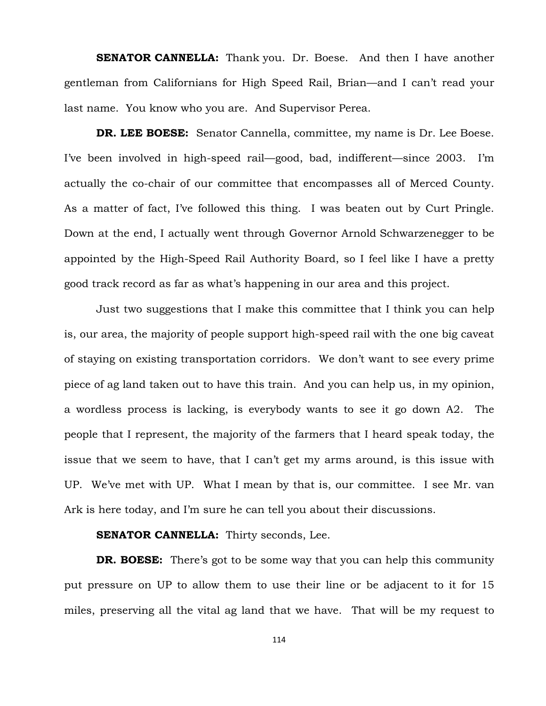**SENATOR CANNELLA:** Thank you. Dr. Boese. And then I have another gentleman from Californians for High Speed Rail, Brian—and I can't read your last name. You know who you are. And Supervisor Perea.

**DR. LEE BOESE:** Senator Cannella, committee, my name is Dr. Lee Boese. I've been involved in high-speed rail—good, bad, indifferent—since 2003. I'm actually the co-chair of our committee that encompasses all of Merced County. As a matter of fact, I've followed this thing. I was beaten out by Curt Pringle. Down at the end, I actually went through Governor Arnold Schwarzenegger to be appointed by the High-Speed Rail Authority Board, so I feel like I have a pretty good track record as far as what's happening in our area and this project.

Just two suggestions that I make this committee that I think you can help is, our area, the majority of people support high-speed rail with the one big caveat of staying on existing transportation corridors. We don't want to see every prime piece of ag land taken out to have this train. And you can help us, in my opinion, a wordless process is lacking, is everybody wants to see it go down A2. The people that I represent, the majority of the farmers that I heard speak today, the issue that we seem to have, that I can't get my arms around, is this issue with UP. We've met with UP. What I mean by that is, our committee. I see Mr. van Ark is here today, and I'm sure he can tell you about their discussions.

## **SENATOR CANNELLA:** Thirty seconds, Lee.

**DR. BOESE:** There's got to be some way that you can help this community put pressure on UP to allow them to use their line or be adjacent to it for 15 miles, preserving all the vital ag land that we have. That will be my request to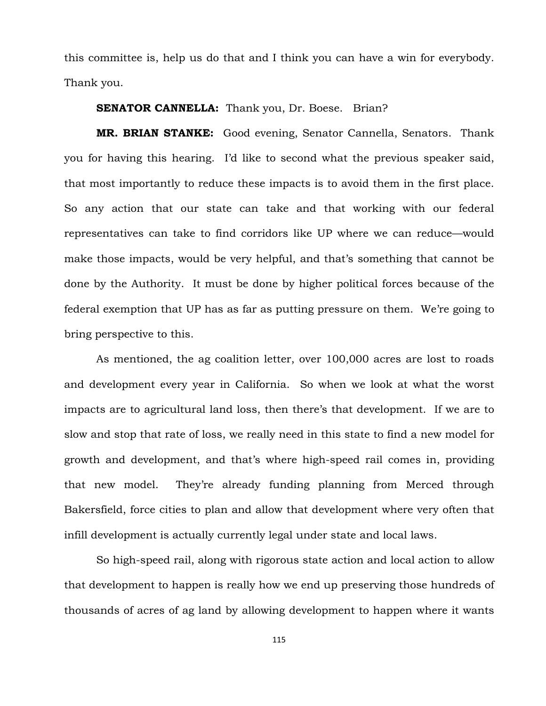this committee is, help us do that and I think you can have a win for everybody. Thank you.

## **SENATOR CANNELLA:** Thank you, Dr. Boese. Brian?

**MR. BRIAN STANKE:** Good evening, Senator Cannella, Senators. Thank you for having this hearing. I'd like to second what the previous speaker said, that most importantly to reduce these impacts is to avoid them in the first place. So any action that our state can take and that working with our federal representatives can take to find corridors like UP where we can reduce—would make those impacts, would be very helpful, and that's something that cannot be done by the Authority. It must be done by higher political forces because of the federal exemption that UP has as far as putting pressure on them. We're going to bring perspective to this.

As mentioned, the ag coalition letter, over 100,000 acres are lost to roads and development every year in California. So when we look at what the worst impacts are to agricultural land loss, then there's that development. If we are to slow and stop that rate of loss, we really need in this state to find a new model for growth and development, and that's where high-speed rail comes in, providing that new model. They're already funding planning from Merced through Bakersfield, force cities to plan and allow that development where very often that infill development is actually currently legal under state and local laws.

So high-speed rail, along with rigorous state action and local action to allow that development to happen is really how we end up preserving those hundreds of thousands of acres of ag land by allowing development to happen where it wants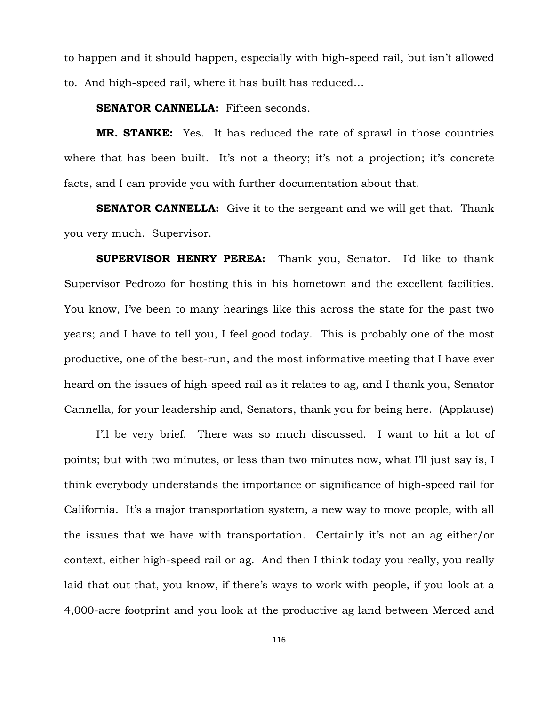to happen and it should happen, especially with high-speed rail, but isn't allowed to. And high-speed rail, where it has built has reduced…

## **SENATOR CANNELLA:** Fifteen seconds.

**MR. STANKE:** Yes. It has reduced the rate of sprawl in those countries where that has been built. It's not a theory; it's not a projection; it's concrete facts, and I can provide you with further documentation about that.

**SENATOR CANNELLA:** Give it to the sergeant and we will get that. Thank you very much. Supervisor.

**SUPERVISOR HENRY PEREA:** Thank you, Senator. I'd like to thank Supervisor Pedrozo for hosting this in his hometown and the excellent facilities. You know, I've been to many hearings like this across the state for the past two years; and I have to tell you, I feel good today. This is probably one of the most productive, one of the best-run, and the most informative meeting that I have ever heard on the issues of high-speed rail as it relates to ag, and I thank you, Senator Cannella, for your leadership and, Senators, thank you for being here. (Applause)

I'll be very brief. There was so much discussed. I want to hit a lot of points; but with two minutes, or less than two minutes now, what I'll just say is, I think everybody understands the importance or significance of high-speed rail for California. It's a major transportation system, a new way to move people, with all the issues that we have with transportation. Certainly it's not an ag either/or context, either high-speed rail or ag. And then I think today you really, you really laid that out that, you know, if there's ways to work with people, if you look at a 4,000-acre footprint and you look at the productive ag land between Merced and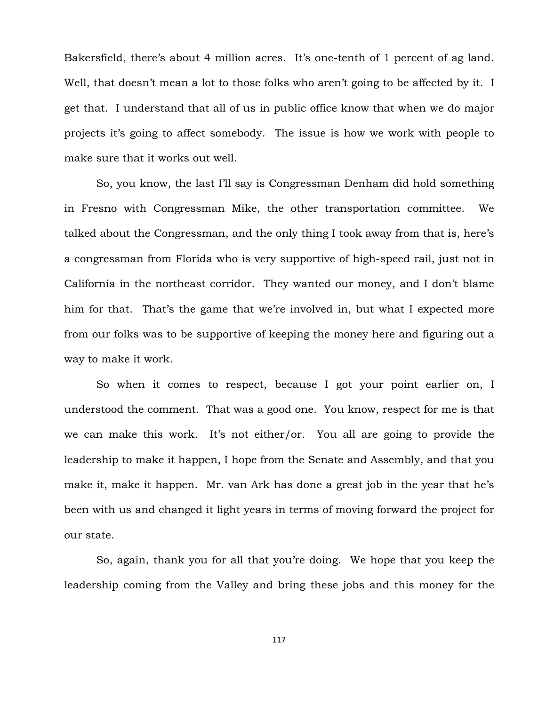Bakersfield, there's about 4 million acres. It's one-tenth of 1 percent of ag land. Well, that doesn't mean a lot to those folks who aren't going to be affected by it. I get that. I understand that all of us in public office know that when we do major projects it's going to affect somebody. The issue is how we work with people to make sure that it works out well.

So, you know, the last I'll say is Congressman Denham did hold something in Fresno with Congressman Mike, the other transportation committee. We talked about the Congressman, and the only thing I took away from that is, here's a congressman from Florida who is very supportive of high-speed rail, just not in California in the northeast corridor. They wanted our money, and I don't blame him for that. That's the game that we're involved in, but what I expected more from our folks was to be supportive of keeping the money here and figuring out a way to make it work.

So when it comes to respect, because I got your point earlier on, I understood the comment. That was a good one. You know, respect for me is that we can make this work. It's not either/or. You all are going to provide the leadership to make it happen, I hope from the Senate and Assembly, and that you make it, make it happen. Mr. van Ark has done a great job in the year that he's been with us and changed it light years in terms of moving forward the project for our state.

So, again, thank you for all that you're doing. We hope that you keep the leadership coming from the Valley and bring these jobs and this money for the

117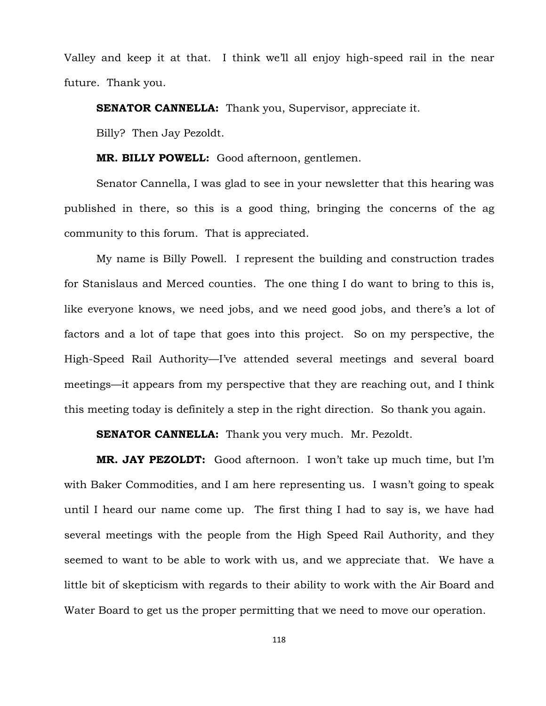Valley and keep it at that. I think we'll all enjoy high-speed rail in the near future. Thank you.

**SENATOR CANNELLA:** Thank you, Supervisor, appreciate it.

Billy? Then Jay Pezoldt.

**MR. BILLY POWELL:** Good afternoon, gentlemen.

Senator Cannella, I was glad to see in your newsletter that this hearing was published in there, so this is a good thing, bringing the concerns of the ag community to this forum. That is appreciated.

My name is Billy Powell. I represent the building and construction trades for Stanislaus and Merced counties. The one thing I do want to bring to this is, like everyone knows, we need jobs, and we need good jobs, and there's a lot of factors and a lot of tape that goes into this project. So on my perspective, the High-Speed Rail Authority—I've attended several meetings and several board meetings—it appears from my perspective that they are reaching out, and I think this meeting today is definitely a step in the right direction. So thank you again.

**SENATOR CANNELLA:** Thank you very much. Mr. Pezoldt.

**MR. JAY PEZOLDT:** Good afternoon. I won't take up much time, but I'm with Baker Commodities, and I am here representing us. I wasn't going to speak until I heard our name come up. The first thing I had to say is, we have had several meetings with the people from the High Speed Rail Authority, and they seemed to want to be able to work with us, and we appreciate that. We have a little bit of skepticism with regards to their ability to work with the Air Board and Water Board to get us the proper permitting that we need to move our operation.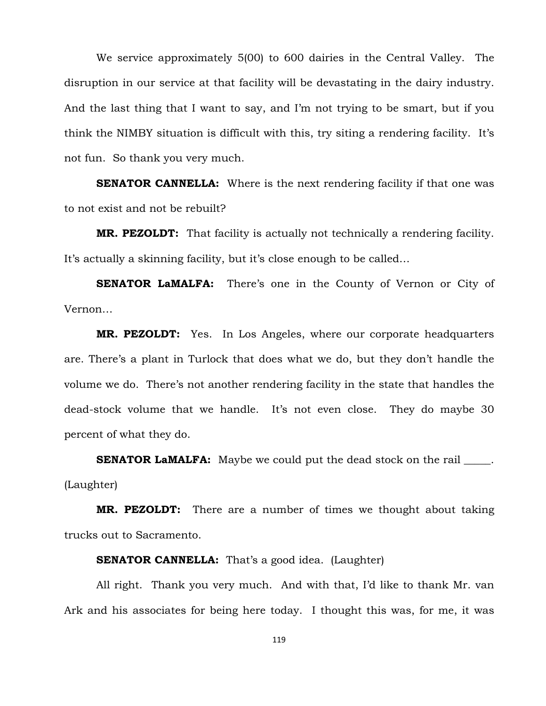We service approximately 5(00) to 600 dairies in the Central Valley. The disruption in our service at that facility will be devastating in the dairy industry. And the last thing that I want to say, and I'm not trying to be smart, but if you think the NIMBY situation is difficult with this, try siting a rendering facility. It's not fun. So thank you very much.

**SENATOR CANNELLA:** Where is the next rendering facility if that one was to not exist and not be rebuilt?

**MR. PEZOLDT:** That facility is actually not technically a rendering facility. It's actually a skinning facility, but it's close enough to be called…

**SENATOR LaMALFA:** There's one in the County of Vernon or City of Vernon…

**MR. PEZOLDT:** Yes. In Los Angeles, where our corporate headquarters are. There's a plant in Turlock that does what we do, but they don't handle the volume we do. There's not another rendering facility in the state that handles the dead-stock volume that we handle. It's not even close. They do maybe 30 percent of what they do.

**SENATOR LaMALFA:** Maybe we could put the dead stock on the rail \_\_\_\_\_. (Laughter)

**MR. PEZOLDT:** There are a number of times we thought about taking trucks out to Sacramento.

## **SENATOR CANNELLA:** That's a good idea. (Laughter)

All right. Thank you very much. And with that, I'd like to thank Mr. van Ark and his associates for being here today. I thought this was, for me, it was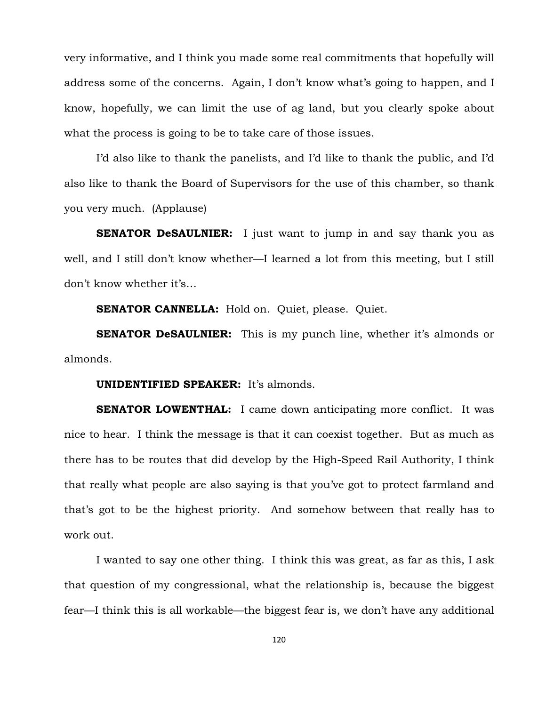very informative, and I think you made some real commitments that hopefully will address some of the concerns. Again, I don't know what's going to happen, and I know, hopefully, we can limit the use of ag land, but you clearly spoke about what the process is going to be to take care of those issues.

I'd also like to thank the panelists, and I'd like to thank the public, and I'd also like to thank the Board of Supervisors for the use of this chamber, so thank you very much. (Applause)

**SENATOR DeSAULNIER:** I just want to jump in and say thank you as well, and I still don't know whether—I learned a lot from this meeting, but I still don't know whether it's…

**SENATOR CANNELLA:** Hold on. Quiet, please. Quiet.

**SENATOR DeSAULNIER:** This is my punch line, whether it's almonds or almonds.

#### **UNIDENTIFIED SPEAKER:** It's almonds.

**SENATOR LOWENTHAL:** I came down anticipating more conflict. It was nice to hear. I think the message is that it can coexist together. But as much as there has to be routes that did develop by the High-Speed Rail Authority, I think that really what people are also saying is that you've got to protect farmland and that's got to be the highest priority. And somehow between that really has to work out.

I wanted to say one other thing. I think this was great, as far as this, I ask that question of my congressional, what the relationship is, because the biggest fear—I think this is all workable—the biggest fear is, we don't have any additional